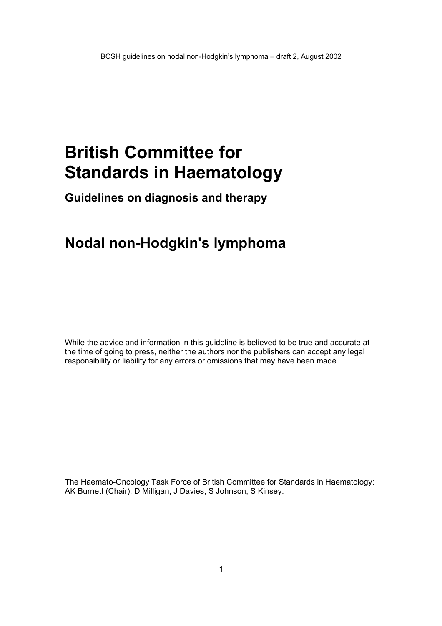# **British Committee for Standards in Haematology**

**Guidelines on diagnosis and therapy** 

## **Nodal non-Hodgkin's lymphoma**

While the advice and information in this guideline is believed to be true and accurate at the time of going to press, neither the authors nor the publishers can accept any legal responsibility or liability for any errors or omissions that may have been made.

The Haemato-Oncology Task Force of British Committee for Standards in Haematology: AK Burnett (Chair), D Milligan, J Davies, S Johnson, S Kinsey.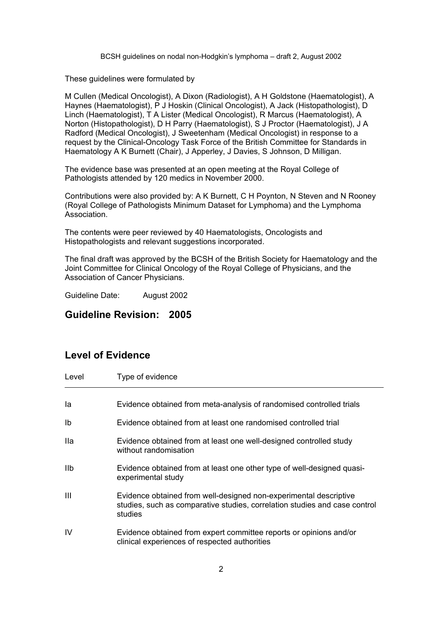These guidelines were formulated by

M Cullen (Medical Oncologist), A Dixon (Radiologist), A H Goldstone (Haematologist), A Haynes (Haematologist), P J Hoskin (Clinical Oncologist), A Jack (Histopathologist), D Linch (Haematologist), T A Lister (Medical Oncologist), R Marcus (Haematologist), A Norton (Histopathologist), D H Parry (Haematologist), S J Proctor (Haematologist), J A Radford (Medical Oncologist), J Sweetenham (Medical Oncologist) in response to a request by the Clinical-Oncology Task Force of the British Committee for Standards in Haematology A K Burnett (Chair), J Apperley, J Davies, S Johnson, D Milligan.

The evidence base was presented at an open meeting at the Royal College of Pathologists attended by 120 medics in November 2000.

Contributions were also provided by: A K Burnett, C H Poynton, N Steven and N Rooney (Royal College of Pathologists Minimum Dataset for Lymphoma) and the Lymphoma Association.

The contents were peer reviewed by 40 Haematologists, Oncologists and Histopathologists and relevant suggestions incorporated.

The final draft was approved by the BCSH of the British Society for Haematology and the Joint Committee for Clinical Oncology of the Royal College of Physicians, and the Association of Cancer Physicians.

Guideline Date: August 2002

## **Guideline Revision: 2005**

## **Level of Evidence**

| Level      | Type of evidence                                                                                                                                           |
|------------|------------------------------------------------------------------------------------------------------------------------------------------------------------|
|            |                                                                                                                                                            |
| la         | Evidence obtained from meta-analysis of randomised controlled trials                                                                                       |
| Ib         | Evidence obtained from at least one randomised controlled trial                                                                                            |
| lla.       | Evidence obtained from at least one well-designed controlled study<br>without randomisation                                                                |
| <b>IIb</b> | Evidence obtained from at least one other type of well-designed quasi-<br>experimental study                                                               |
| Ш          | Evidence obtained from well-designed non-experimental descriptive<br>studies, such as comparative studies, correlation studies and case control<br>studies |
| IV         | Evidence obtained from expert committee reports or opinions and/or<br>clinical experiences of respected authorities                                        |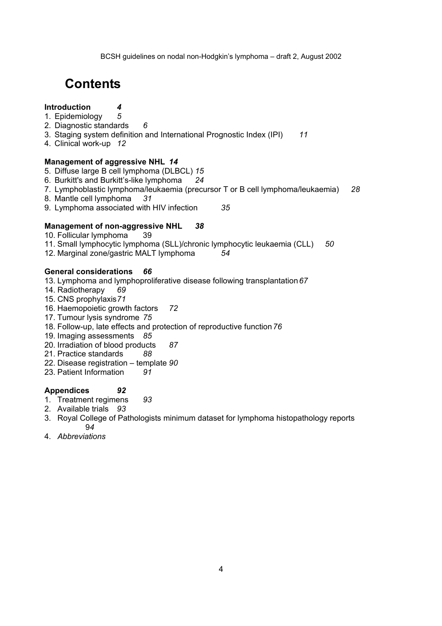## **Contents**

### **Introduction** *4*

- 1. Epidemiology *5*
- 2. Diagnostic standards *6*
- 3. Staging system definition and International Prognostic Index (IPI) *11*
- 4. Clinical work-up *12*

### **Management of aggressive NHL** *14*

- 5. Diffuse large B cell lymphoma (DLBCL) *15*
- 6. Burkitt's and Burkitt's-like lymphoma *24*
- 7. Lymphoblastic lymphoma/leukaemia (precursor T or B cell lymphoma/leukaemia) *28*
- 8. Mantle cell lymphoma *31*
- 9. Lymphoma associated with HIV infection *35*

### **Management of non-aggressive NHL** *38*

- 10. Follicular lymphoma 39
- 11. Small lymphocytic lymphoma (SLL)/chronic lymphocytic leukaemia (CLL) *50*
- 12. Marginal zone/gastric MALT lymphoma *54*

#### **General considerations** *66*

- 13. Lymphoma and lymphoproliferative disease following transplantation *67*
- 14. Radiotherapy *69*
- 15. CNS prophylaxis *71*
- 16. Haemopoietic growth factors *72*
- 17. Tumour lysis syndrome *75*
- 18. Follow-up, late effects and protection of reproductive function *76*
- 19. Imaging assessments *85*
- 20. Irradiation of blood products *87*
- 21. Practice standards *88*
- 22. Disease registration template *90*
- 23. Patient Information *91*

### **Appendices** *92*

- 1. Treatment regimens *93*
- 2. Available trials *93*
- 3. Royal College of Pathologists minimum dataset for lymphoma histopathology reports 9*4*
- 4. *Abbreviations*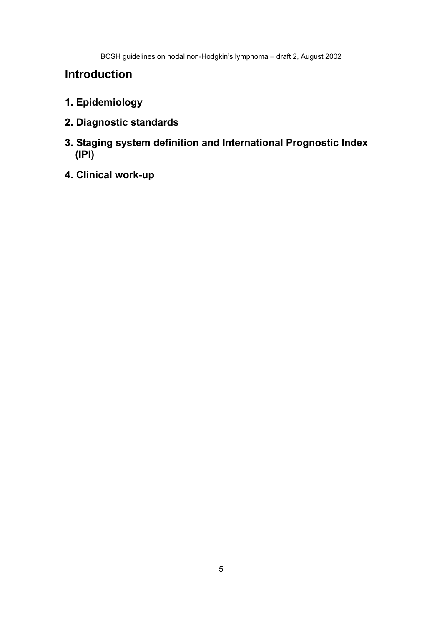## **Introduction**

- **1. Epidemiology**
- **2. Diagnostic standards**
- **3. Staging system definition and International Prognostic Index (IPI)**
- **4. Clinical work-up**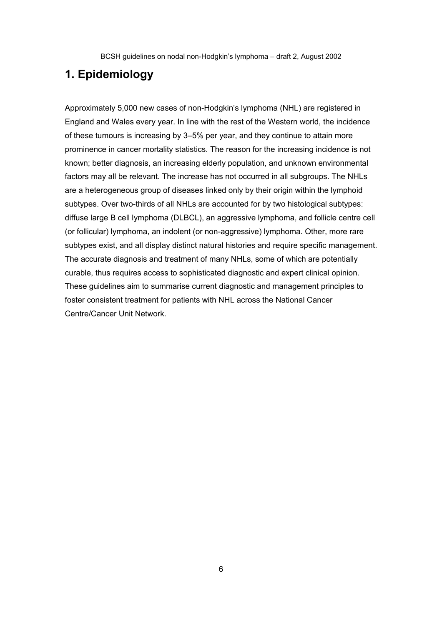## **1. Epidemiology**

Approximately 5,000 new cases of non-Hodgkin's lymphoma (NHL) are registered in England and Wales every year. In line with the rest of the Western world, the incidence of these tumours is increasing by 3–5% per year, and they continue to attain more prominence in cancer mortality statistics. The reason for the increasing incidence is not known; better diagnosis, an increasing elderly population, and unknown environmental factors may all be relevant. The increase has not occurred in all subgroups. The NHLs are a heterogeneous group of diseases linked only by their origin within the lymphoid subtypes. Over two-thirds of all NHLs are accounted for by two histological subtypes: diffuse large B cell lymphoma (DLBCL), an aggressive lymphoma, and follicle centre cell (or follicular) lymphoma, an indolent (or non-aggressive) lymphoma. Other, more rare subtypes exist, and all display distinct natural histories and require specific management. The accurate diagnosis and treatment of many NHLs, some of which are potentially curable, thus requires access to sophisticated diagnostic and expert clinical opinion. These guidelines aim to summarise current diagnostic and management principles to foster consistent treatment for patients with NHL across the National Cancer Centre/Cancer Unit Network.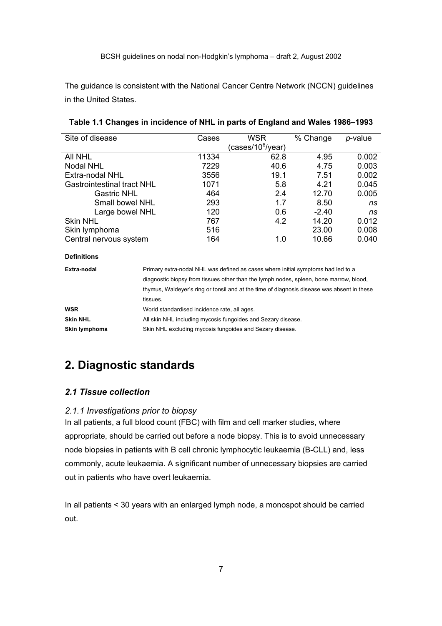The guidance is consistent with the National Cancer Centre Network (NCCN) guidelines in the United States.

| Site of disease                   | Cases | WSR                           | % Change | $p$ -value |
|-----------------------------------|-------|-------------------------------|----------|------------|
|                                   |       | (cases/10 <sup>6</sup> /year) |          |            |
| AII NHL                           | 11334 | 62.8                          | 4.95     | 0.002      |
| Nodal NHL                         | 7229  | 40.6                          | 4.75     | 0.003      |
| Extra-nodal NHL                   | 3556  | 19.1                          | 7.51     | 0.002      |
| <b>Gastrointestinal tract NHL</b> | 1071  | 5.8                           | 4.21     | 0.045      |
| <b>Gastric NHL</b>                | 464   | 2.4                           | 12.70    | 0.005      |
| Small bowel NHL                   | 293   | 1.7                           | 8.50     | ns         |
| Large bowel NHL                   | 120   | 0.6                           | $-2.40$  | ns         |
| <b>Skin NHL</b>                   | 767   | 4.2                           | 14.20    | 0.012      |
| Skin lymphoma                     | 516   |                               | 23.00    | 0.008      |
| Central nervous system            | 164   | 1.0                           | 10.66    | 0.040      |

#### **Table 1.1 Changes in incidence of NHL in parts of England and Wales 1986–1993**

| Extra-nodal     | Primary extra-nodal NHL was defined as cases where initial symptoms had led to a           |
|-----------------|--------------------------------------------------------------------------------------------|
|                 | diagnostic biopsy from tissues other than the lymph nodes, spleen, bone marrow, blood,     |
|                 | thymus, Waldeyer's ring or tonsil and at the time of diagnosis disease was absent in these |
|                 | tissues.                                                                                   |
| WSR             | World standardised incidence rate, all ages.                                               |
| <b>Skin NHL</b> | All skin NHL including mycosis fungoides and Sezary disease.                               |
| Skin lymphoma   | Skin NHL excluding mycosis fungoides and Sezary disease.                                   |

## **2. Diagnostic standards**

#### *2.1 Tissue collection*

**Definitions** 

#### *2.1.1 Investigations prior to biopsy*

In all patients, a full blood count (FBC) with film and cell marker studies, where appropriate, should be carried out before a node biopsy. This is to avoid unnecessary node biopsies in patients with B cell chronic lymphocytic leukaemia (B-CLL) and, less commonly, acute leukaemia. A significant number of unnecessary biopsies are carried out in patients who have overt leukaemia.

In all patients < 30 years with an enlarged lymph node, a monospot should be carried out.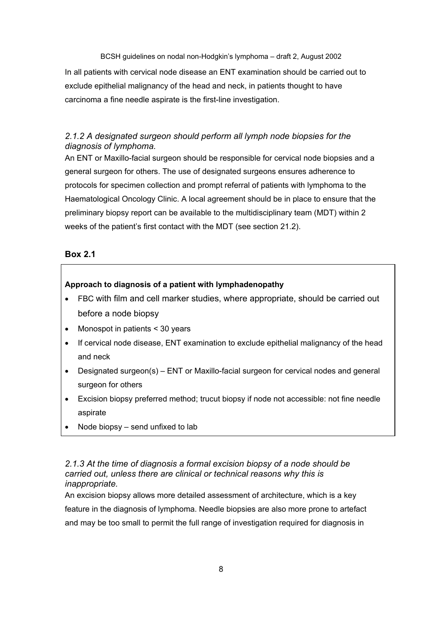In all patients with cervical node disease an ENT examination should be carried out to exclude epithelial malignancy of the head and neck, in patients thought to have carcinoma a fine needle aspirate is the first-line investigation.

## *2.1.2 A designated surgeon should perform all lymph node biopsies for the diagnosis of lymphoma.*

An ENT or Maxillo-facial surgeon should be responsible for cervical node biopsies and a general surgeon for others. The use of designated surgeons ensures adherence to protocols for specimen collection and prompt referral of patients with lymphoma to the Haematological Oncology Clinic. A local agreement should be in place to ensure that the preliminary biopsy report can be available to the multidisciplinary team (MDT) within 2 weeks of the patient's first contact with the MDT (see section 21.2).

### **Box 2.1**

#### **Approach to diagnosis of a patient with lymphadenopathy**

- FBC with film and cell marker studies, where appropriate, should be carried out before a node biopsy
- Monospot in patients < 30 years
- If cervical node disease, ENT examination to exclude epithelial malignancy of the head and neck
- Designated surgeon(s) ENT or Maxillo-facial surgeon for cervical nodes and general surgeon for others
- Excision biopsy preferred method; trucut biopsy if node not accessible: not fine needle aspirate
- Node biopsy  $-$  send unfixed to lab

### *2.1.3 At the time of diagnosis a formal excision biopsy of a node should be carried out, unless there are clinical or technical reasons why this is inappropriate.*

An excision biopsy allows more detailed assessment of architecture, which is a key feature in the diagnosis of lymphoma. Needle biopsies are also more prone to artefact and may be too small to permit the full range of investigation required for diagnosis in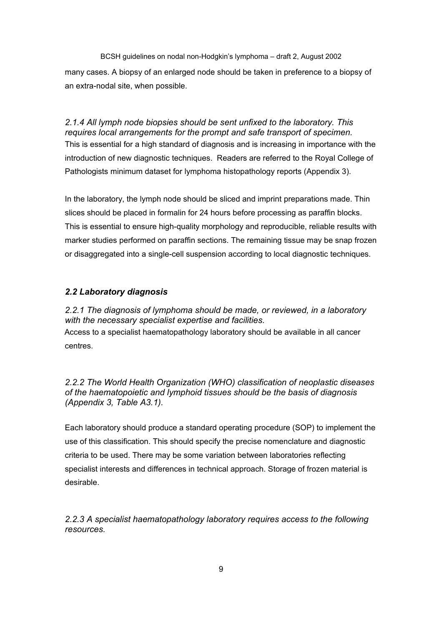BCSH guidelines on nodal non-Hodgkin's lymphoma – draft 2, August 2002 many cases. A biopsy of an enlarged node should be taken in preference to a biopsy of an extra-nodal site, when possible.

*2.1.4 All lymph node biopsies should be sent unfixed to the laboratory. This requires local arrangements for the prompt and safe transport of specimen.*  This is essential for a high standard of diagnosis and is increasing in importance with the introduction of new diagnostic techniques. Readers are referred to the Royal College of Pathologists minimum dataset for lymphoma histopathology reports (Appendix 3).

In the laboratory, the lymph node should be sliced and imprint preparations made. Thin slices should be placed in formalin for 24 hours before processing as paraffin blocks. This is essential to ensure high-quality morphology and reproducible, reliable results with marker studies performed on paraffin sections. The remaining tissue may be snap frozen or disaggregated into a single-cell suspension according to local diagnostic techniques.

### *2.2 Laboratory diagnosis*

*2.2.1 The diagnosis of lymphoma should be made, or reviewed, in a laboratory with the necessary specialist expertise and facilities.*  Access to a specialist haematopathology laboratory should be available in all cancer centres.

*2.2.2 The World Health Organization (WHO) classification of neoplastic diseases of the haematopoietic and lymphoid tissues should be the basis of diagnosis (Appendix 3, Table A3.1).* 

Each laboratory should produce a standard operating procedure (SOP) to implement the use of this classification. This should specify the precise nomenclature and diagnostic criteria to be used. There may be some variation between laboratories reflecting specialist interests and differences in technical approach. Storage of frozen material is desirable.

*2.2.3 A specialist haematopathology laboratory requires access to the following resources.*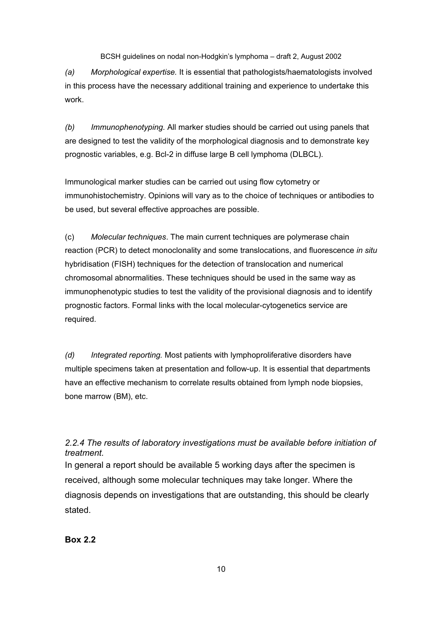*(a) Morphological expertise.* It is essential that pathologists/haematologists involved in this process have the necessary additional training and experience to undertake this work.

*(b) Immunophenotyping.* All marker studies should be carried out using panels that are designed to test the validity of the morphological diagnosis and to demonstrate key prognostic variables, e.g. Bcl-2 in diffuse large B cell lymphoma (DLBCL).

Immunological marker studies can be carried out using flow cytometry or immunohistochemistry. Opinions will vary as to the choice of techniques or antibodies to be used, but several effective approaches are possible.

(c) *Molecular techniques*. The main current techniques are polymerase chain reaction (PCR) to detect monoclonality and some translocations, and fluorescence *in situ* hybridisation (FISH) techniques for the detection of translocation and numerical chromosomal abnormalities. These techniques should be used in the same way as immunophenotypic studies to test the validity of the provisional diagnosis and to identify prognostic factors. Formal links with the local molecular-cytogenetics service are required.

*(d) Integrated reporting.* Most patients with lymphoproliferative disorders have multiple specimens taken at presentation and follow-up. It is essential that departments have an effective mechanism to correlate results obtained from lymph node biopsies, bone marrow (BM), etc.

*2.2.4 The results of laboratory investigations must be available before initiation of treatment.* 

In general a report should be available 5 working days after the specimen is received, although some molecular techniques may take longer. Where the diagnosis depends on investigations that are outstanding, this should be clearly stated.

**Box 2.2**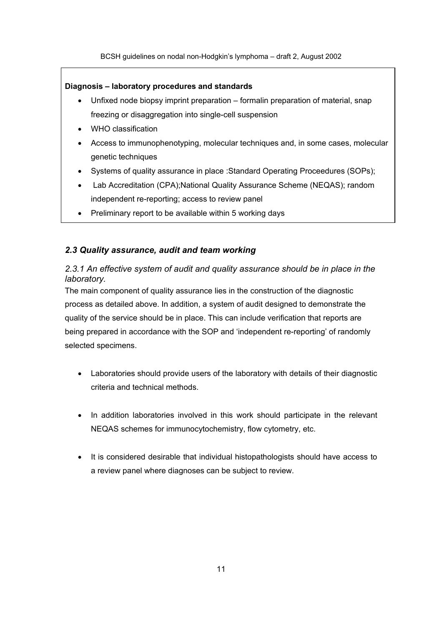#### **Diagnosis – laboratory procedures and standards**

- Unfixed node biopsy imprint preparation formalin preparation of material, snap freezing or disaggregation into single-cell suspension
- WHO classification
- Access to immunophenotyping, molecular techniques and, in some cases, molecular genetic techniques
- Systems of quality assurance in place :Standard Operating Proceedures (SOPs);
- Lab Accreditation (CPA);National Quality Assurance Scheme (NEQAS); random independent re-reporting; access to review panel
- Preliminary report to be available within 5 working days

### *2.3 Quality assurance, audit and team working*

## *2.3.1 An effective system of audit and quality assurance should be in place in the laboratory.*

The main component of quality assurance lies in the construction of the diagnostic process as detailed above. In addition, a system of audit designed to demonstrate the quality of the service should be in place. This can include verification that reports are being prepared in accordance with the SOP and 'independent re-reporting' of randomly selected specimens.

- Laboratories should provide users of the laboratory with details of their diagnostic criteria and technical methods.
- In addition laboratories involved in this work should participate in the relevant NEQAS schemes for immunocytochemistry, flow cytometry, etc.
- It is considered desirable that individual histopathologists should have access to a review panel where diagnoses can be subject to review.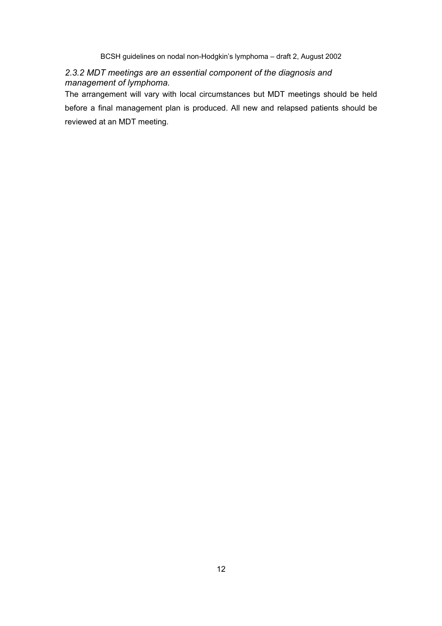## *2.3.2 MDT meetings are an essential component of the diagnosis and management of lymphoma.*

The arrangement will vary with local circumstances but MDT meetings should be held before a final management plan is produced. All new and relapsed patients should be reviewed at an MDT meeting.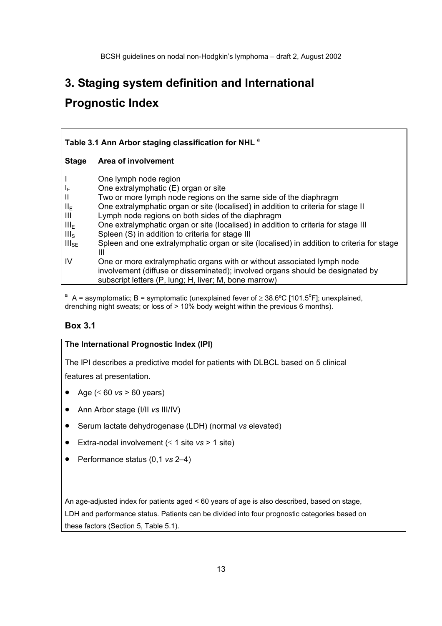## **3. Staging system definition and International**

## **Prognostic Index**

| Table 3.1 Ann Arbor staging classification for NHL <sup>a</sup>                      |                                                                                                                                                                                                                                                                                                                                                                                                                                                                                                                                                                                                                                                                                                                                               |  |
|--------------------------------------------------------------------------------------|-----------------------------------------------------------------------------------------------------------------------------------------------------------------------------------------------------------------------------------------------------------------------------------------------------------------------------------------------------------------------------------------------------------------------------------------------------------------------------------------------------------------------------------------------------------------------------------------------------------------------------------------------------------------------------------------------------------------------------------------------|--|
| <b>Stage</b>                                                                         | Area of involvement                                                                                                                                                                                                                                                                                                                                                                                                                                                                                                                                                                                                                                                                                                                           |  |
| ΙE<br>Ш<br>$II_{E}$<br>Ш<br>$III_{E}$<br>III <sub>S</sub><br>III <sub>SE</sub><br>IV | One lymph node region<br>One extralymphatic (E) organ or site<br>Two or more lymph node regions on the same side of the diaphragm<br>One extralymphatic organ or site (localised) in addition to criteria for stage II<br>Lymph node regions on both sides of the diaphragm<br>One extralymphatic organ or site (localised) in addition to criteria for stage III<br>Spleen (S) in addition to criteria for stage III<br>Spleen and one extralymphatic organ or site (localised) in addition to criteria for stage<br>Ш<br>One or more extralymphatic organs with or without associated lymph node<br>involvement (diffuse or disseminated); involved organs should be designated by<br>subscript letters (P, lung; H, liver; M, bone marrow) |  |

<sup>a</sup> A = asymptomatic; B = symptomatic (unexplained fever of  $\geq 38.6^{\circ}$ C [101.5<sup>o</sup>F]; unexplained, drenching night sweats; or loss of > 10% body weight within the previous 6 months).

## **Box 3.1**

#### **The International Prognostic Index (IPI)**

The IPI describes a predictive model for patients with DLBCL based on 5 clinical features at presentation.

- Age (≤ 60 *vs* > 60 years)
- Ann Arbor stage (I/II *vs* III/IV)
- Serum lactate dehydrogenase (LDH) (normal *vs* elevated)
- Extra-nodal involvement (≤ 1 site *vs* > 1 site)
- Performance status (0,1 *vs* 2–4)

An age-adjusted index for patients aged < 60 years of age is also described, based on stage, LDH and performance status. Patients can be divided into four prognostic categories based on these factors (Section 5, Table 5.1).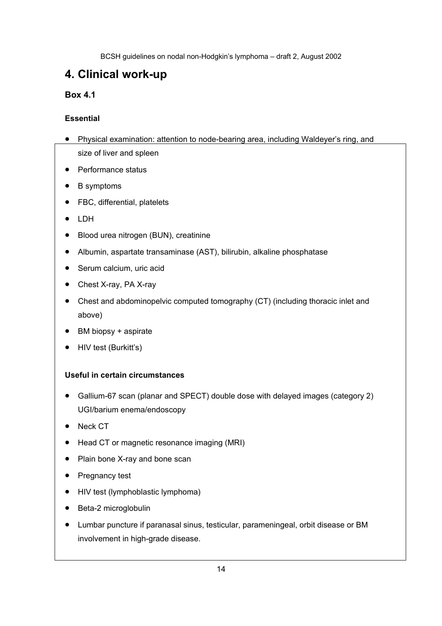## **4. Clinical work-up**

## **Box 4.1**

## **Essential**

- Physical examination: attention to node-bearing area, including Waldeyer's ring, and size of liver and spleen
- Performance status
- B symptoms
- FBC, differential, platelets
- LDH
- Blood urea nitrogen (BUN), creatinine
- Albumin, aspartate transaminase (AST), bilirubin, alkaline phosphatase
- Serum calcium, uric acid
- Chest X-ray, PA X-ray
- Chest and abdominopelvic computed tomography (CT) (including thoracic inlet and above)
- BM biopsy + aspirate
- HIV test (Burkitt's)

## **Useful in certain circumstances**

- Gallium-67 scan (planar and SPECT) double dose with delayed images (category 2) UGI/barium enema/endoscopy
- Neck CT
- Head CT or magnetic resonance imaging (MRI)
- Plain bone X-ray and bone scan
- Pregnancy test
- HIV test (lymphoblastic lymphoma)
- Beta-2 microglobulin
- Lumbar puncture if paranasal sinus, testicular, parameningeal, orbit disease or BM involvement in high-grade disease.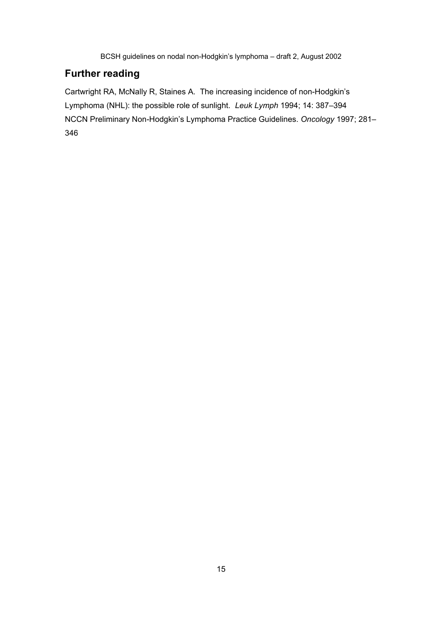## **Further reading**

Cartwright RA, McNally R, Staines A. The increasing incidence of non-Hodgkin's Lymphoma (NHL): the possible role of sunlight. *Leuk Lymph* 1994; 14: 387–394 NCCN Preliminary Non-Hodgkin's Lymphoma Practice Guidelines. *Oncology* 1997; 281– 346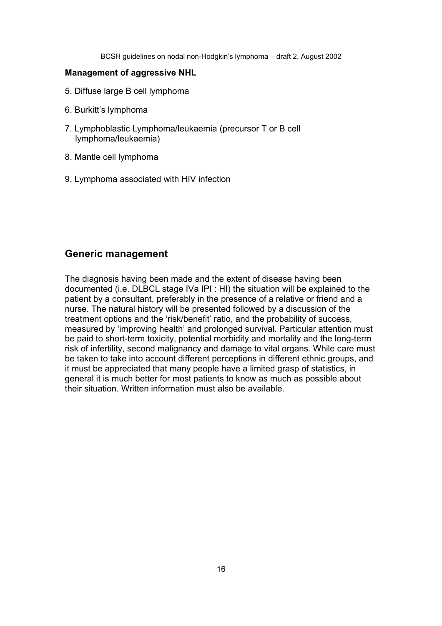#### **Management of aggressive NHL**

- 5. Diffuse large B cell lymphoma
- 6. Burkitt's lymphoma
- 7. Lymphoblastic Lymphoma/leukaemia (precursor T or B cell lymphoma/leukaemia)
- 8. Mantle cell lymphoma
- 9. Lymphoma associated with HIV infection

## **Generic management**

The diagnosis having been made and the extent of disease having been documented (i.e. DLBCL stage IVa IPI : HI) the situation will be explained to the patient by a consultant, preferably in the presence of a relative or friend and a nurse. The natural history will be presented followed by a discussion of the treatment options and the 'risk/benefit' ratio, and the probability of success, measured by 'improving health' and prolonged survival. Particular attention must be paid to short-term toxicity, potential morbidity and mortality and the long-term risk of infertility, second malignancy and damage to vital organs. While care must be taken to take into account different perceptions in different ethnic groups, and it must be appreciated that many people have a limited grasp of statistics, in general it is much better for most patients to know as much as possible about their situation. Written information must also be available.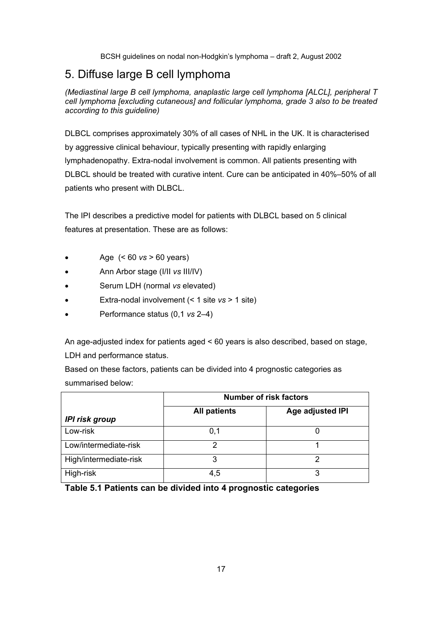## 5. Diffuse large B cell lymphoma

*(Mediastinal large B cell lymphoma, anaplastic large cell lymphoma [ALCL], peripheral T cell lymphoma [excluding cutaneous] and follicular lymphoma, grade 3 also to be treated according to this guideline)* 

DLBCL comprises approximately 30% of all cases of NHL in the UK. It is characterised by aggressive clinical behaviour, typically presenting with rapidly enlarging lymphadenopathy. Extra-nodal involvement is common. All patients presenting with DLBCL should be treated with curative intent. Cure can be anticipated in 40%–50% of all patients who present with DLBCL.

The IPI describes a predictive model for patients with DLBCL based on 5 clinical features at presentation. These are as follows:

- Age  $( $60 \text{ vs } > 60 \text{ years})$$
- Ann Arbor stage (I/II *vs* III/IV)
- Serum LDH (normal *vs* elevated)
- Extra-nodal involvement (< 1 site *vs* > 1 site)
- Performance status (0,1 *vs* 2–4)

An age-adjusted index for patients aged < 60 years is also described, based on stage, LDH and performance status.

Based on these factors, patients can be divided into 4 prognostic categories as summarised below:

|                        | <b>Number of risk factors</b> |                  |  |
|------------------------|-------------------------------|------------------|--|
| <b>IPI risk group</b>  | <b>All patients</b>           | Age adjusted IPI |  |
| Low-risk               | 0,1                           |                  |  |
| Low/intermediate-risk  |                               |                  |  |
| High/intermediate-risk |                               |                  |  |
| High-risk              | 4,5                           |                  |  |

**Table 5.1 Patients can be divided into 4 prognostic categories**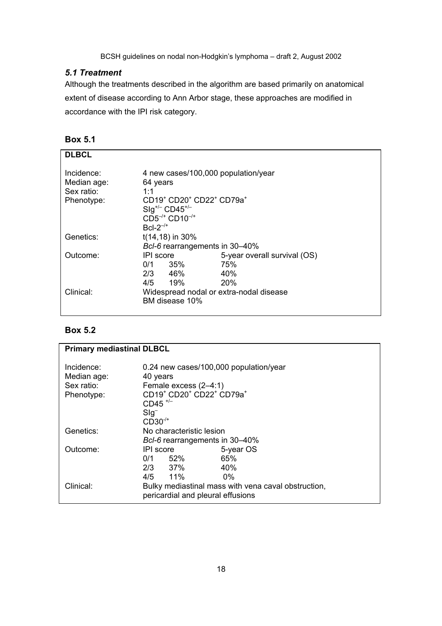## *5.1 Treatment*

Although the treatments described in the algorithm are based primarily on anatomical extent of disease according to Ann Arbor stage, these approaches are modified in accordance with the IPI risk category.

| <b>DLBCL</b> |                                                                          |                              |
|--------------|--------------------------------------------------------------------------|------------------------------|
|              |                                                                          |                              |
| Incidence:   | 4 new cases/100,000 population/year                                      |                              |
| Median age:  | 64 years                                                                 |                              |
| Sex ratio:   | 1:1                                                                      |                              |
| Phenotype:   | CD19 <sup>+</sup> CD20 <sup>+</sup> CD22 <sup>+</sup> CD79a <sup>+</sup> |                              |
|              | $\text{Slg}^{+/-} \text{CD45}^{+/-}$                                     |                              |
|              | $CD5^{-/+}$ $CD10^{-/+}$                                                 |                              |
|              | $Bcl-2^{-/+}$                                                            |                              |
| Genetics:    | $t(14, 18)$ in 30%                                                       |                              |
|              | Bcl-6 rearrangements in 30-40%                                           |                              |
|              |                                                                          |                              |
| Outcome:     | IPI score                                                                | 5-year overall survival (OS) |
|              | 0/1<br>35%                                                               | 75%                          |
|              | $2/3$ 46%                                                                | 40%                          |
|              | $4/5$ 19%                                                                | 20%                          |
| Clinical:    | Widespread nodal or extra-nodal disease                                  |                              |
|              | BM disease 10%                                                           |                              |
|              |                                                                          |                              |

## **Box 5.2**

| <b>Primary mediastinal DLBCL</b>                      |                                                                                                                                                                                                          |                                                     |
|-------------------------------------------------------|----------------------------------------------------------------------------------------------------------------------------------------------------------------------------------------------------------|-----------------------------------------------------|
| Incidence:<br>Median age:<br>Sex ratio:<br>Phenotype: | 0.24 new cases/100,000 population/year<br>40 years<br>Female excess (2-4:1)<br>CD19 <sup>+</sup> CD20 <sup>+</sup> CD22 <sup>+</sup> CD79a <sup>+</sup><br>$CD45$ <sup>+/-</sup><br>$Sig^-$<br>$CD30-/-$ |                                                     |
| Genetics:                                             | No characteristic lesion                                                                                                                                                                                 |                                                     |
|                                                       | Bcl-6 rearrangements in 30-40%                                                                                                                                                                           |                                                     |
| Outcome:                                              | IPI score<br>0/1<br>52%<br>2/3 37%<br>$4/5$ 11%                                                                                                                                                          | 5-year OS<br>65%<br>40%<br>በ%                       |
| Clinical:                                             | pericardial and pleural effusions                                                                                                                                                                        | Bulky mediastinal mass with vena caval obstruction, |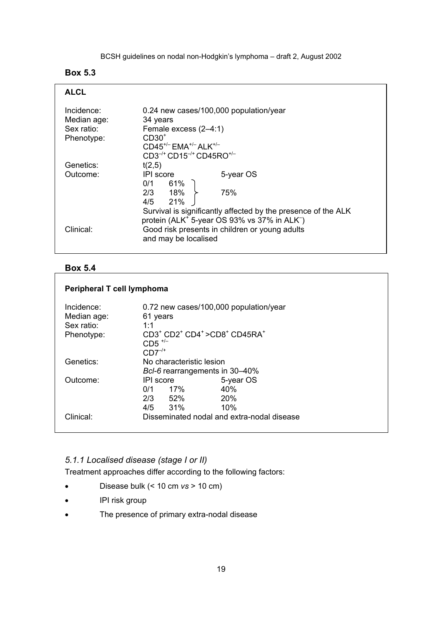## **Box 5.3**

| <b>ALCL</b>                                           |                                                                                                                                                                                                                 |  |
|-------------------------------------------------------|-----------------------------------------------------------------------------------------------------------------------------------------------------------------------------------------------------------------|--|
| Incidence:<br>Median age:<br>Sex ratio:<br>Phenotype: | 0.24 new cases/100,000 population/year<br>34 years<br>Female excess (2-4:1)<br>$CD30+$<br>$CD45^{+/}$ $EMA^{+/}$ $ALK^{+/-}$<br>$CD3^{-/+}$ CD15 <sup>-/+</sup> CD45RO <sup>+/-</sup>                           |  |
| Genetics:                                             | t(2,5)                                                                                                                                                                                                          |  |
| Outcome:                                              | IPI score<br>5-year OS<br>$0/1$ 61%                                                                                                                                                                             |  |
|                                                       | $2/3$ 18% $\succ$<br>75%<br>4/5 21%                                                                                                                                                                             |  |
| Clinical:                                             | Survival is significantly affected by the presence of the ALK<br>protein (ALK <sup>+</sup> 5-year OS 93% vs 37% in ALK <sup>-</sup> )<br>Good risk presents in children or young adults<br>and may be localised |  |

### **Box 5.4**

## **Peripheral T cell lymphoma**

| Incidence:<br>Median age:<br>Sex ratio:<br>Phenotype: | 0.72 new cases/100,000 population/year<br>61 years<br>$1 - 1$<br>$CD3^+$ $CD2^+$ $CD4^+$ $>CD8^+$ $CD45RA^+$<br>$CD5$ <sup>+/-</sup><br>$CD7^{-/+}$ |                                            |
|-------------------------------------------------------|-----------------------------------------------------------------------------------------------------------------------------------------------------|--------------------------------------------|
| Genetics:                                             | No characteristic lesion                                                                                                                            |                                            |
|                                                       | Bcl-6 rearrangements in 30-40%                                                                                                                      |                                            |
| Outcome:                                              | <b>IPI</b> score                                                                                                                                    | 5-year OS                                  |
|                                                       | 17%<br>0/1                                                                                                                                          | 40%                                        |
|                                                       | 2/3<br>52%                                                                                                                                          | 20%                                        |
|                                                       | 31%<br>4/5                                                                                                                                          | 10%                                        |
| Clinical:                                             |                                                                                                                                                     | Disseminated nodal and extra-nodal disease |

## *5.1.1 Localised disease (stage I or II)*

Treatment approaches differ according to the following factors:

- Disease bulk (< 10 cm *vs* > 10 cm)
- IPI risk group
- The presence of primary extra-nodal disease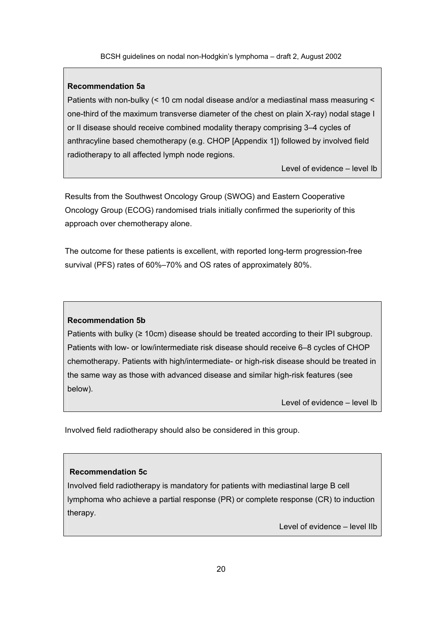#### **Recommendation 5a**

Patients with non-bulky (< 10 cm nodal disease and/or a mediastinal mass measuring < one-third of the maximum transverse diameter of the chest on plain X-ray) nodal stage I or II disease should receive combined modality therapy comprising 3–4 cycles of anthracyline based chemotherapy (e.g. CHOP [Appendix 1]) followed by involved field radiotherapy to all affected lymph node regions.

Level of evidence – level Ib

Results from the Southwest Oncology Group (SWOG) and Eastern Cooperative Oncology Group (ECOG) randomised trials initially confirmed the superiority of this approach over chemotherapy alone.

The outcome for these patients is excellent, with reported long-term progression-free survival (PFS) rates of 60%–70% and OS rates of approximately 80%.

#### **Recommendation 5b**

Patients with bulky (≥ 10cm) disease should be treated according to their IPI subgroup. Patients with low- or low/intermediate risk disease should receive 6–8 cycles of CHOP chemotherapy. Patients with high/intermediate- or high-risk disease should be treated in the same way as those with advanced disease and similar high-risk features (see below).

Level of evidence – level Ib

Involved field radiotherapy should also be considered in this group.

#### **Recommendation 5c**

Involved field radiotherapy is mandatory for patients with mediastinal large B cell lymphoma who achieve a partial response (PR) or complete response (CR) to induction therapy.

Level of evidence – level IIb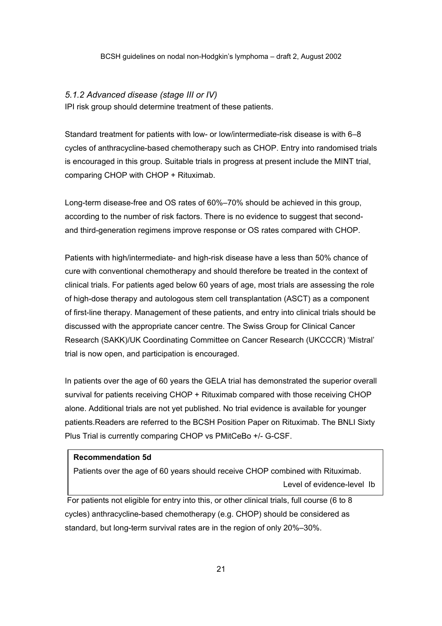#### *5.1.2 Advanced disease (stage III or IV)*

IPI risk group should determine treatment of these patients.

Standard treatment for patients with low- or low/intermediate-risk disease is with 6–8 cycles of anthracycline-based chemotherapy such as CHOP. Entry into randomised trials is encouraged in this group. Suitable trials in progress at present include the MINT trial, comparing CHOP with CHOP + Rituximab.

Long-term disease-free and OS rates of 60%–70% should be achieved in this group, according to the number of risk factors. There is no evidence to suggest that secondand third-generation regimens improve response or OS rates compared with CHOP.

Patients with high/intermediate- and high-risk disease have a less than 50% chance of cure with conventional chemotherapy and should therefore be treated in the context of clinical trials. For patients aged below 60 years of age, most trials are assessing the role of high-dose therapy and autologous stem cell transplantation (ASCT) as a component of first-line therapy. Management of these patients, and entry into clinical trials should be discussed with the appropriate cancer centre. The Swiss Group for Clinical Cancer Research (SAKK)/UK Coordinating Committee on Cancer Research (UKCCCR) 'Mistral' trial is now open, and participation is encouraged.

In patients over the age of 60 years the GELA trial has demonstrated the superior overall survival for patients receiving CHOP + Rituximab compared with those receiving CHOP alone. Additional trials are not yet published. No trial evidence is available for younger patients.Readers are referred to the BCSH Position Paper on Rituximab. The BNLI Sixty Plus Trial is currently comparing CHOP vs PMitCeBo +/- G-CSF.

#### **Recommendation 5d**

Patients over the age of 60 years should receive CHOP combined with Rituximab. Level of evidence-level Ib

 For patients not eligible for entry into this, or other clinical trials, full course (6 to 8 cycles) anthracycline-based chemotherapy (e.g. CHOP) should be considered as standard, but long-term survival rates are in the region of only 20%–30%.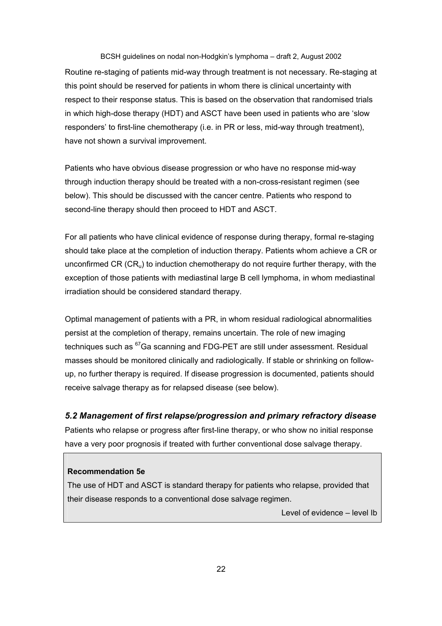BCSH guidelines on nodal non-Hodgkin's lymphoma – draft 2, August 2002 Routine re-staging of patients mid-way through treatment is not necessary. Re-staging at this point should be reserved for patients in whom there is clinical uncertainty with respect to their response status. This is based on the observation that randomised trials in which high-dose therapy (HDT) and ASCT have been used in patients who are 'slow responders' to first-line chemotherapy (i.e. in PR or less, mid-way through treatment), have not shown a survival improvement.

Patients who have obvious disease progression or who have no response mid-way through induction therapy should be treated with a non-cross-resistant regimen (see below). This should be discussed with the cancer centre. Patients who respond to second-line therapy should then proceed to HDT and ASCT.

For all patients who have clinical evidence of response during therapy, formal re-staging should take place at the completion of induction therapy. Patients whom achieve a CR or unconfirmed CR  $(CR_u)$  to induction chemotherapy do not require further therapy, with the exception of those patients with mediastinal large B cell lymphoma, in whom mediastinal irradiation should be considered standard therapy.

Optimal management of patients with a PR, in whom residual radiological abnormalities persist at the completion of therapy, remains uncertain. The role of new imaging techniques such as <sup>67</sup>Ga scanning and FDG-PET are still under assessment. Residual masses should be monitored clinically and radiologically. If stable or shrinking on followup, no further therapy is required. If disease progression is documented, patients should receive salvage therapy as for relapsed disease (see below).

#### *5.2 Management of first relapse/progression and primary refractory disease*

Patients who relapse or progress after first-line therapy, or who show no initial response have a very poor prognosis if treated with further conventional dose salvage therapy.

#### **Recommendation 5e**

The use of HDT and ASCT is standard therapy for patients who relapse, provided that their disease responds to a conventional dose salvage regimen.

Level of evidence – level Ib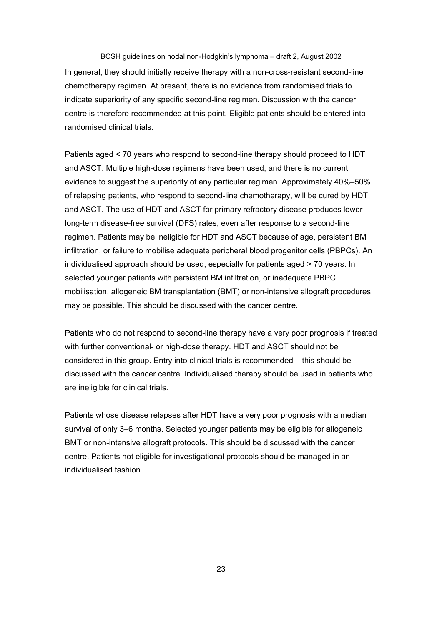BCSH guidelines on nodal non-Hodgkin's lymphoma – draft 2, August 2002 In general, they should initially receive therapy with a non-cross-resistant second-line chemotherapy regimen. At present, there is no evidence from randomised trials to indicate superiority of any specific second-line regimen. Discussion with the cancer centre is therefore recommended at this point. Eligible patients should be entered into randomised clinical trials.

Patients aged < 70 years who respond to second-line therapy should proceed to HDT and ASCT. Multiple high-dose regimens have been used, and there is no current evidence to suggest the superiority of any particular regimen. Approximately 40%–50% of relapsing patients, who respond to second-line chemotherapy, will be cured by HDT and ASCT. The use of HDT and ASCT for primary refractory disease produces lower long-term disease-free survival (DFS) rates, even after response to a second-line regimen. Patients may be ineligible for HDT and ASCT because of age, persistent BM infiltration, or failure to mobilise adequate peripheral blood progenitor cells (PBPCs). An individualised approach should be used, especially for patients aged > 70 years. In selected younger patients with persistent BM infiltration, or inadequate PBPC mobilisation, allogeneic BM transplantation (BMT) or non-intensive allograft procedures may be possible. This should be discussed with the cancer centre.

Patients who do not respond to second-line therapy have a very poor prognosis if treated with further conventional- or high-dose therapy. HDT and ASCT should not be considered in this group. Entry into clinical trials is recommended – this should be discussed with the cancer centre. Individualised therapy should be used in patients who are ineligible for clinical trials.

Patients whose disease relapses after HDT have a very poor prognosis with a median survival of only 3–6 months. Selected younger patients may be eligible for allogeneic BMT or non-intensive allograft protocols. This should be discussed with the cancer centre. Patients not eligible for investigational protocols should be managed in an individualised fashion.

23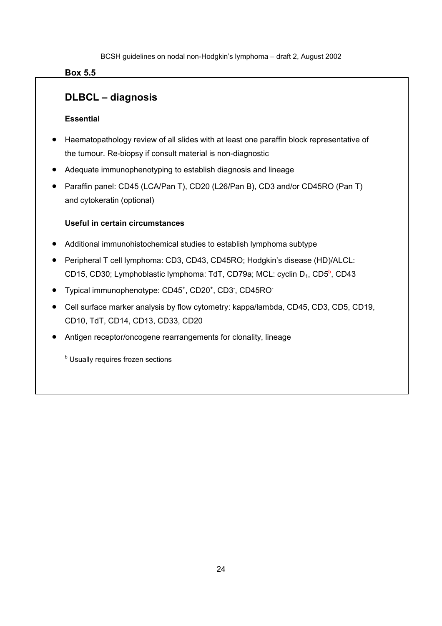### **Box 5.5**

## **DLBCL – diagnosis**

### **Essential**

- Haematopathology review of all slides with at least one paraffin block representative of the tumour. Re-biopsy if consult material is non-diagnostic
- Adequate immunophenotyping to establish diagnosis and lineage
- Paraffin panel: CD45 (LCA/Pan T), CD20 (L26/Pan B), CD3 and/or CD45RO (Pan T) and cytokeratin (optional)

### **Useful in certain circumstances**

- Additional immunohistochemical studies to establish lymphoma subtype
- Peripheral T cell lymphoma: CD3, CD43, CD45RO; Hodgkin's disease (HD)/ALCL: CD15, CD30; Lymphoblastic lymphoma: TdT, CD79a; MCL: cyclin D<sub>1</sub>, CD5<sup>b</sup>, CD43
- Typical immunophenotype: CD45<sup>+</sup>, CD20<sup>+</sup>, CD3<sup>-</sup>, CD45RO<sup>-</sup>
- Cell surface marker analysis by flow cytometry: kappa/lambda, CD45, CD3, CD5, CD19, CD10, TdT, CD14, CD13, CD33, CD20
- Antigen receptor/oncogene rearrangements for clonality, lineage

**b** Usually requires frozen sections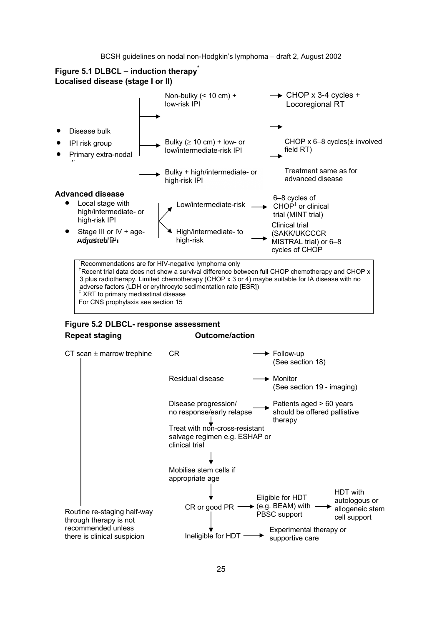### **Figure 5.1 DLBCL – induction therapy\* Localised disease (stage I or II)**



3 plus radiotherapy. Limited chemotherapy (CHOP x 3 or 4) maybe suitable for IA disease with no adverse factors (LDH or erythrocyte sedimentation rate [ESR]) ‡ XRT to primary mediastinal disease For CNS prophylaxis see section 15

### **Figure 5.2 DLBCL- response assessment Repeat staging COUTCOME/ACTION CONTRACTED**



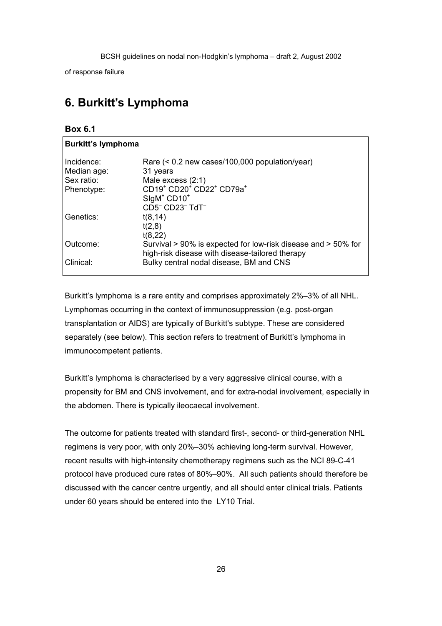of response failure

## **6. Burkitt's Lymphoma**

#### **Box 6.1**

| <b>Burkitt's lymphoma</b> |                                                                                            |
|---------------------------|--------------------------------------------------------------------------------------------|
| Incidence:                | Rare $(< 0.2$ new cases/100,000 population/year)                                           |
| Median age:<br>Sex ratio: | 31 years<br>Male excess (2:1)                                                              |
| Phenotype:                | CD19 <sup>+</sup> CD20 <sup>+</sup> CD22 <sup>+</sup> CD79a <sup>+</sup>                   |
|                           | SIgM <sup>+</sup> CD10 <sup>+</sup><br>CD5 <sup>-</sup> CD23 <sup>-</sup> TdT <sup>-</sup> |
| Genetics:                 | t(8, 14)                                                                                   |
|                           | t(2,8)<br>t(8,22)                                                                          |
| Outcome:                  | Survival > 90% is expected for low-risk disease and > 50% for                              |
| Clinical:                 | high-risk disease with disease-tailored therapy<br>Bulky central nodal disease, BM and CNS |

Burkitt's lymphoma is a rare entity and comprises approximately 2%–3% of all NHL. Lymphomas occurring in the context of immunosuppression (e.g. post-organ transplantation or AIDS) are typically of Burkitt's subtype. These are considered separately (see below). This section refers to treatment of Burkitt's lymphoma in immunocompetent patients.

Burkitt's lymphoma is characterised by a very aggressive clinical course, with a propensity for BM and CNS involvement, and for extra-nodal involvement, especially in the abdomen. There is typically ileocaecal involvement.

The outcome for patients treated with standard first-, second- or third-generation NHL regimens is very poor, with only 20%–30% achieving long-term survival. However, recent results with high-intensity chemotherapy regimens such as the NCI 89-C-41 protocol have produced cure rates of 80%–90%. All such patients should therefore be discussed with the cancer centre urgently, and all should enter clinical trials. Patients under 60 years should be entered into the LY10 Trial.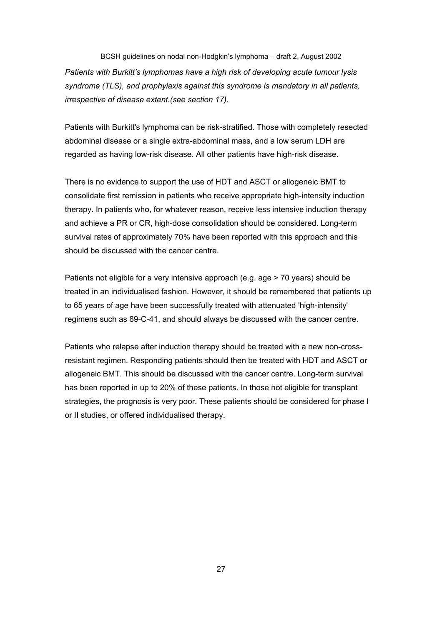BCSH guidelines on nodal non-Hodgkin's lymphoma – draft 2, August 2002 *Patients with Burkitt's lymphomas have a high risk of developing acute tumour lysis syndrome (TLS), and prophylaxis against this syndrome is mandatory in all patients, irrespective of disease extent.(see section 17).* 

Patients with Burkitt's lymphoma can be risk-stratified. Those with completely resected abdominal disease or a single extra-abdominal mass, and a low serum LDH are regarded as having low-risk disease. All other patients have high-risk disease.

There is no evidence to support the use of HDT and ASCT or allogeneic BMT to consolidate first remission in patients who receive appropriate high-intensity induction therapy. In patients who, for whatever reason, receive less intensive induction therapy and achieve a PR or CR, high-dose consolidation should be considered. Long-term survival rates of approximately 70% have been reported with this approach and this should be discussed with the cancer centre.

Patients not eligible for a very intensive approach (e.g. age > 70 years) should be treated in an individualised fashion. However, it should be remembered that patients up to 65 years of age have been successfully treated with attenuated 'high-intensity' regimens such as 89-C-41, and should always be discussed with the cancer centre.

Patients who relapse after induction therapy should be treated with a new non-crossresistant regimen. Responding patients should then be treated with HDT and ASCT or allogeneic BMT. This should be discussed with the cancer centre. Long-term survival has been reported in up to 20% of these patients. In those not eligible for transplant strategies, the prognosis is very poor. These patients should be considered for phase I or II studies, or offered individualised therapy.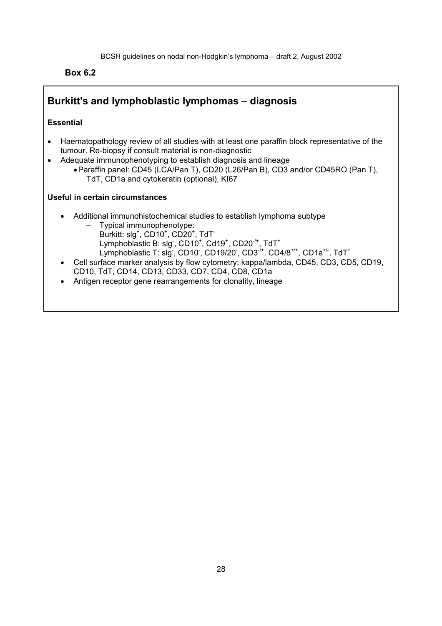**Box 6.2**

## **Burkitt's and lymphoblastic lymphomas – diagnosis**

### **Essential**

- Haematopathology review of all studies with at least one paraffin block representative of the tumour. Re-biopsy if consult material is non-diagnostic
- Adequate immunophenotyping to establish diagnosis and lineage
	- Paraffin panel: CD45 (LCA/Pan T), CD20 (L26/Pan B), CD3 and/or CD45RO (Pan T), TdT, CD1a and cytokeratin (optional), KI67

### **Useful in certain circumstances**

- Additional immunohistochemical studies to establish lymphoma subtype
	- Typical immunophenotype: Burkitt: slg<sup>+</sup>, CD10<sup>+</sup>, CD20<sup>+</sup>, TdT<sup>-</sup> Lymphoblastic B: slg<sup>-</sup>, CD10<sup>+</sup>, Cd19<sup>+</sup>, CD20<sup>-/+</sup>, TdT<sup>+</sup> Lymphoblastic T: slg , CD10 , CD19/20 , CD3<sup>-/+</sup>. CD4/8<sup>+/+</sup>, CD1a<sup>+/-</sup>, TdT<sup>+</sup>
- Cell surface marker analysis by flow cytometry: kappa/lambda, CD45, CD3, CD5, CD19, CD10, TdT, CD14, CD13, CD33, CD7, CD4, CD8, CD1a
- Antigen receptor gene rearrangements for clonality, lineage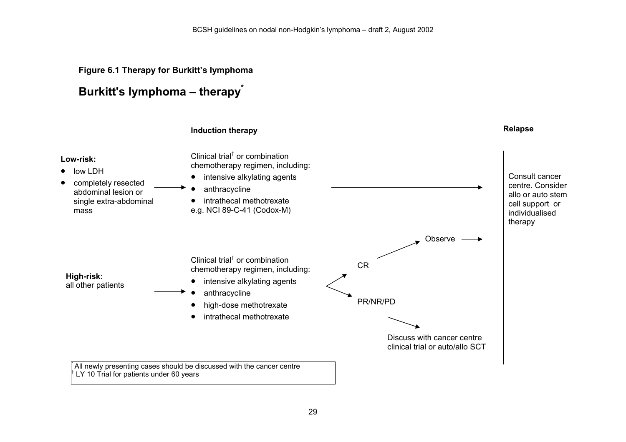## **Figure 6.1 Therapy for Burkitt's lymphoma**

## **Burkitt's lymphoma – therapy\***

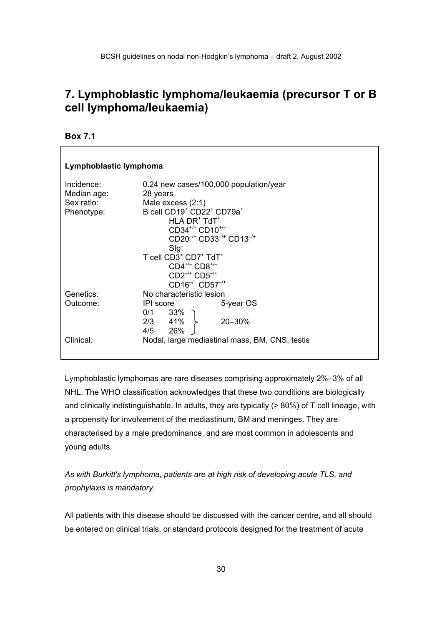## **7. Lymphoblastic lymphoma/leukaemia (precursor T or B cell lymphoma/leukaemia)**

**Box 7.1** 

 $\Gamma$ 

| Lymphoblastic lymphoma |                                                               |  |  |
|------------------------|---------------------------------------------------------------|--|--|
| Incidence:             | 0.24 new cases/100,000 population/year                        |  |  |
| Median age:            | 28 years                                                      |  |  |
| Sex ratio:             | Male excess $(2:1)$                                           |  |  |
| Phenotype:             | B cell CD19 <sup>+</sup> CD22 <sup>+</sup> CD79a <sup>+</sup> |  |  |
|                        | $HLA DR+ TdT+$                                                |  |  |
|                        | $CD34^{+/}$ CD10 <sup>+/-</sup>                               |  |  |
|                        | $CD20^{-/+}$ $CD33^{-/+}$ $CD13^{-/+}$                        |  |  |
|                        | $Slg^-$                                                       |  |  |
|                        | T cell CD3 <sup>+</sup> CD7 <sup>+</sup> TdT <sup>+</sup>     |  |  |
|                        | $CD4^{+/-}$ $CD8^{+/-}$                                       |  |  |
|                        | $CD2^{-/+}$ $CD5^{-/+}$                                       |  |  |
|                        | $CD16^{-/+}$ CD57 <sup>-/+</sup>                              |  |  |
| Genetics:              | No characteristic lesion                                      |  |  |
| Outcome:               | 5-year OS<br>IPI score                                        |  |  |
|                        |                                                               |  |  |
|                        | $0/1$ 33%<br>2/3 41%<br>20-30%                                |  |  |
|                        | 4/5 26%                                                       |  |  |
|                        |                                                               |  |  |
| Clinical:              | Nodal, large mediastinal mass, BM, CNS, testis                |  |  |
|                        |                                                               |  |  |

Lymphoblastic lymphomas are rare diseases comprising approximately 2%–3% of all NHL. The WHO classification acknowledges that these two conditions are biologically and clinically indistinguishable. In adults, they are typically (> 80%) of T cell lineage, with a propensity for involvement of the mediastinum, BM and meninges. They are characterised by a male predominance, and are most common in adolescents and young adults.

*As with Burkitt's lymphoma, patients are at high risk of developing acute TLS, and prophylaxis is mandatory.* 

All patients with this disease should be discussed with the cancer centre, and all should be entered on clinical trials, or standard protocols designed for the treatment of acute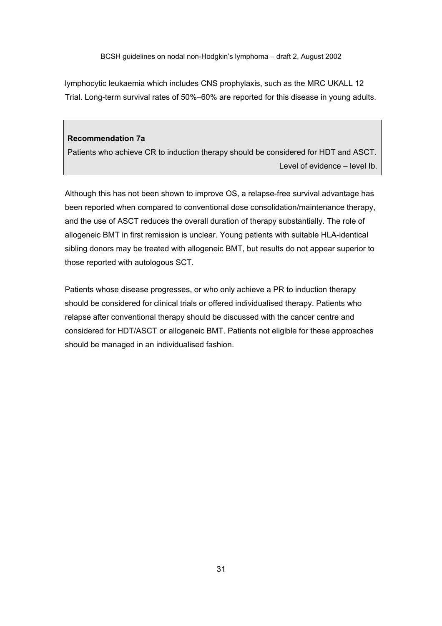lymphocytic leukaemia which includes CNS prophylaxis, such as the MRC UKALL 12 Trial. Long-term survival rates of 50%–60% are reported for this disease in young adults.

#### **Recommendation 7a**

Patients who achieve CR to induction therapy should be considered for HDT and ASCT. Level of evidence – level Ib.

Although this has not been shown to improve OS, a relapse-free survival advantage has been reported when compared to conventional dose consolidation/maintenance therapy, and the use of ASCT reduces the overall duration of therapy substantially. The role of allogeneic BMT in first remission is unclear. Young patients with suitable HLA-identical sibling donors may be treated with allogeneic BMT, but results do not appear superior to those reported with autologous SCT.

Patients whose disease progresses, or who only achieve a PR to induction therapy should be considered for clinical trials or offered individualised therapy. Patients who relapse after conventional therapy should be discussed with the cancer centre and considered for HDT/ASCT or allogeneic BMT. Patients not eligible for these approaches should be managed in an individualised fashion.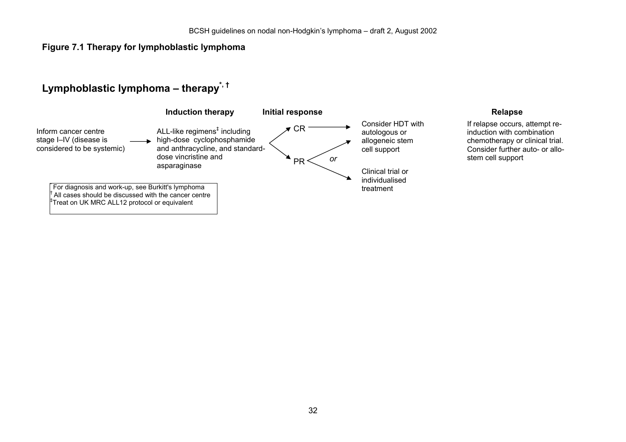## **Figure 7.1 Therapy for lymphoblastic lymphoma**

## **Lymphoblastic lymphoma – therapy\*, †**

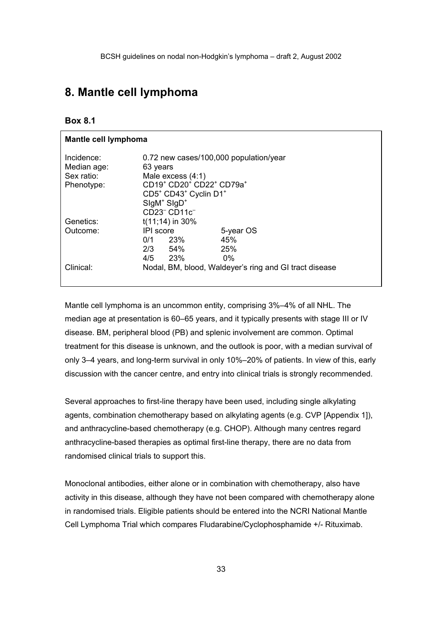## **8. Mantle cell lymphoma**

### **Box 8.1**

| Mantle cell lymphoma      |                                                                          |           |
|---------------------------|--------------------------------------------------------------------------|-----------|
| Incidence:<br>Median age: | 0.72 new cases/100,000 population/year<br>63 years                       |           |
| Sex ratio:                | Male excess $(4:1)$                                                      |           |
| Phenotype:                | CD19 <sup>+</sup> CD20 <sup>+</sup> CD22 <sup>+</sup> CD79a <sup>+</sup> |           |
|                           | CD5 <sup>+</sup> CD43 <sup>+</sup> Cyclin D1 <sup>+</sup>                |           |
|                           | $SlqM+ SlqD+$                                                            |           |
|                           | CD23 <sup>-</sup> CD11c <sup>-</sup>                                     |           |
| Genetics:                 | $t(11;14)$ in 30%                                                        |           |
| Outcome:                  | IPI score                                                                | 5-year OS |
|                           | -23%<br>0/1                                                              | 45%       |
|                           | $2/3$ 54%                                                                | 25%       |
|                           | 4/5 23%                                                                  | $0\%$     |
| Clinical:                 | Nodal, BM, blood, Waldeyer's ring and GI tract disease                   |           |

Mantle cell lymphoma is an uncommon entity, comprising 3%–4% of all NHL. The median age at presentation is 60–65 years, and it typically presents with stage III or IV disease. BM, peripheral blood (PB) and splenic involvement are common. Optimal treatment for this disease is unknown, and the outlook is poor, with a median survival of only 3–4 years, and long-term survival in only 10%–20% of patients. In view of this, early discussion with the cancer centre, and entry into clinical trials is strongly recommended.

Several approaches to first-line therapy have been used, including single alkylating agents, combination chemotherapy based on alkylating agents (e.g. CVP [Appendix 1]), and anthracycline-based chemotherapy (e.g. CHOP). Although many centres regard anthracycline-based therapies as optimal first-line therapy, there are no data from randomised clinical trials to support this.

Monoclonal antibodies, either alone or in combination with chemotherapy, also have activity in this disease, although they have not been compared with chemotherapy alone in randomised trials. Eligible patients should be entered into the NCRI National Mantle Cell Lymphoma Trial which compares Fludarabine/Cyclophosphamide +/- Rituximab.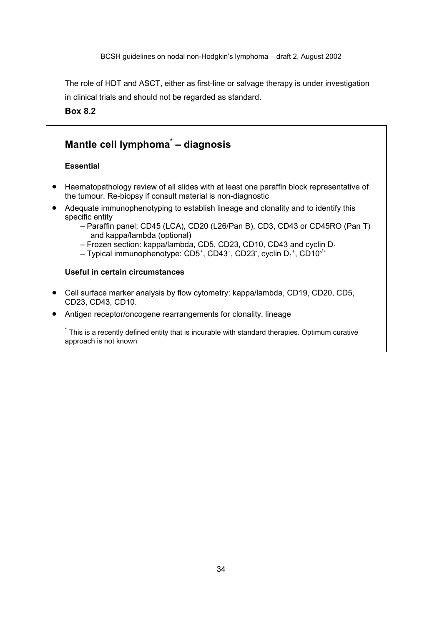The role of HDT and ASCT, either as first-line or salvage therapy is under investigation in clinical trials and should not be regarded as standard.

**Box 8.2** 

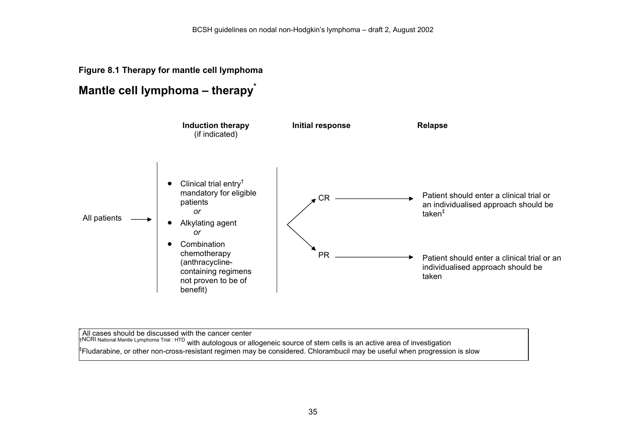## **Figure 8.1 Therapy for mantle cell lymphoma**

## **Mantle cell lymphoma – therapy\***



 $\hat{A}$ ll cases should be discussed with the cancer center †<sup>NCRI National Mantle Lymphoma Trial : HTD with autologous or allogeneic source of stem cells is an active area of investigation<br><sup>‡</sup>Fludarabine, or other non-cross-resistant regimen may be considered. Chlorambucil may be</sup>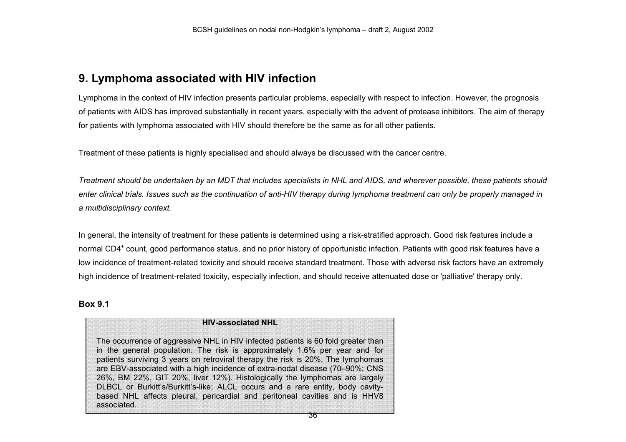## **9. Lymphoma associated with HIV infection**

Lymphoma in the context of HIV infection presents particular problems, especially with respect to infection. However, the prognosis of patients with AIDS has improved substantially in recent years, especially with the advent of protease inhibitors. The aim of therapy for patients with lymphoma associated with HIV should therefore be the same as for all other patients.

Treatment of these patients is highly specialised and should always be discussed with the cancer centre.

*Treatment should be undertaken by an MDT that includes specialists in NHL and AIDS, and wherever possible, these patients should enter clinical trials. Issues such as the continuation of anti-HIV therapy during lymphoma treatment can only be properly managed in a multidisciplinary context.* 

In general, the intensity of treatment for these patients is determined using a risk-stratified approach. Good risk features include a normal CD4<sup>+</sup> count, good performance status, and no prior history of opportunistic infection. Patients with good risk features have a low incidence of treatment-related toxicity and should receive standard treatment. Those with adverse risk factors have an extremely high incidence of treatment-related toxicity, especially infection, and should receive attenuated dose or 'palliative' therapy only.

#### **Box 9.1**

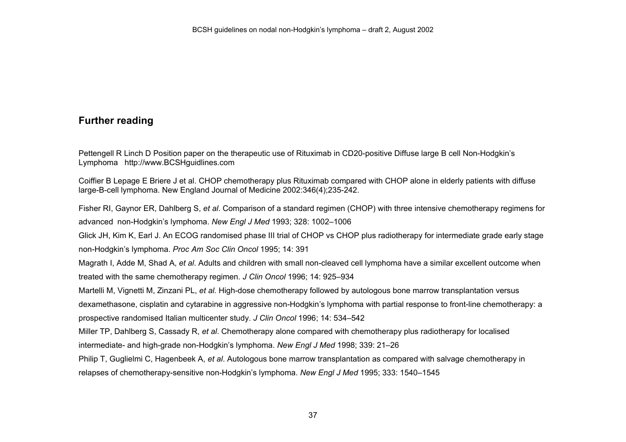# **Further reading**

Pettengell R Linch D Position paper on the therapeutic use of Rituximab in CD20-positive Diffuse large B cell Non-Hodgkin's Lymphoma http://www.BCSHguidlines.com

Coiffier B Lepage E Briere J et al. CHOP chemotherapy plus Rituximab compared with CHOP alone in elderly patients with diffuse large-B-cell lymphoma. New England Journal of Medicine 2002:346(4);235-242.

Fisher RI, Gaynor ER, Dahlberg S, *et al*. Comparison of a standard regimen (CHOP) with three intensive chemotherapy regimens for advanced non-Hodgkin's lymphoma. *New Engl J Med* 1993; 328: 1002–1006

Glick JH, Kim K, Earl J. An ECOG randomised phase III trial of CHOP vs CHOP plus radiotherapy for intermediate grade early stage non-Hodgkin's lymphoma. *Proc Am Soc Clin Oncol* 1995; 14: 391

Magrath I, Adde M, Shad A, *et al*. Adults and children with small non-cleaved cell lymphoma have a similar excellent outcome when treated with the same chemotherapy regimen. *J Clin Oncol* 1996; 14: 925–934

Martelli M, Vignetti M, Zinzani PL, *et al.* High-dose chemotherapy followed by autologous bone marrow transplantation versus dexamethasone, cisplatin and cytarabine in aggressive non-Hodgkin's lymphoma with partial response to front-line chemotherapy: a

prospective randomised Italian multicenter study. *J Clin Oncol* 1996; 14: 534–542

Miller TP, Dahlberg S, Cassady R, *et al*. Chemotherapy alone compared with chemotherapy plus radiotherapy for localised

intermediate- and high-grade non-Hodgkin's lymphoma. *New Engl J Med* 1998; 339: 21–26

Philip T, Guglielmi C, Hagenbeek A, *et al*. Autologous bone marrow transplantation as compared with salvage chemotherapy in

relapses of chemotherapy-sensitive non-Hodgkin's lymphoma. *New Engl J Med* 1995; 333: 1540–1545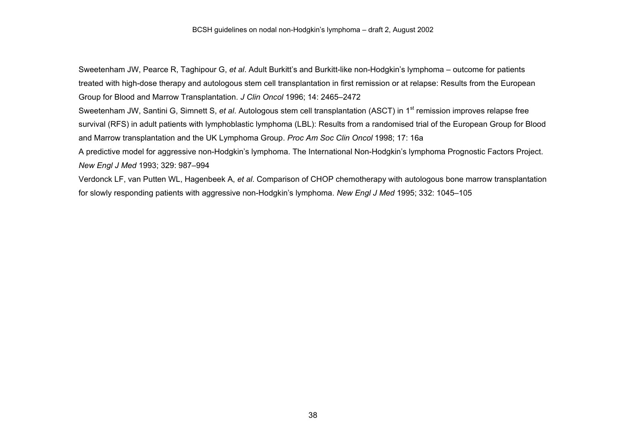Sweetenham JW, Pearce R, Taghipour G, *et al*. Adult Burkitt's and Burkitt-like non-Hodgkin's lymphoma – outcome for patients treated with high-dose therapy and autologous stem cell transplantation in first remission or at relapse: Results from the European Group for Blood and Marrow Transplantation. *J Clin Oncol* 1996; 14: 2465–2472

Sweetenham JW, Santini G, Simnett S, *et al.* Autologous stem cell transplantation (ASCT) in 1<sup>st</sup> remission improves relapse free survival (RFS) in adult patients with lymphoblastic lymphoma (LBL): Results from a randomised trial of the European Group for Blood and Marrow transplantation and the UK Lymphoma Group. *Proc Am Soc Clin Oncol* 1998; 17: 16a

A predictive model for aggressive non-Hodgkin's lymphoma. The International Non-Hodgkin's lymphoma Prognostic Factors Project. *New Engl J Med* 1993; 329: 987–994

Verdonck LF, van Putten WL, Hagenbeek A, *et al*. Comparison of CHOP chemotherapy with autologous bone marrow transplantation for slowly responding patients with aggressive non-Hodgkin's lymphoma. *New Engl J Med* 1995; 332: 1045–105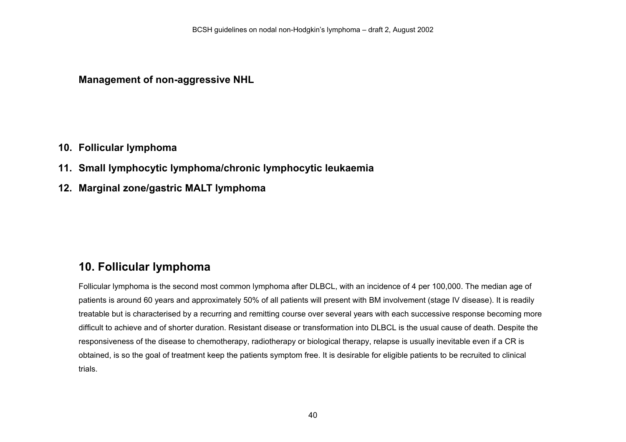**Management of non-aggressive NHL** 

# **10. Follicular lymphoma**

- **11. Small lymphocytic lymphoma/chronic lymphocytic leukaemia**
- **12. Marginal zone/gastric MALT lymphoma**

# **10. Follicular lymphoma**

Follicular lymphoma is the second most common lymphoma after DLBCL, with an incidence of 4 per 100,000. The median age of patients is around 60 years and approximately 50% of all patients will present with BM involvement (stage IV disease). It is readily treatable but is characterised by a recurring and remitting course over several years with each successive response becoming more difficult to achieve and of shorter duration. Resistant disease or transformation into DLBCL is the usual cause of death. Despite the responsiveness of the disease to chemotherapy, radiotherapy or biological therapy, relapse is usually inevitable even if a CR is obtained, is so the goal of treatment keep the patients symptom free. It is desirable for eligible patients to be recruited to clinical trials.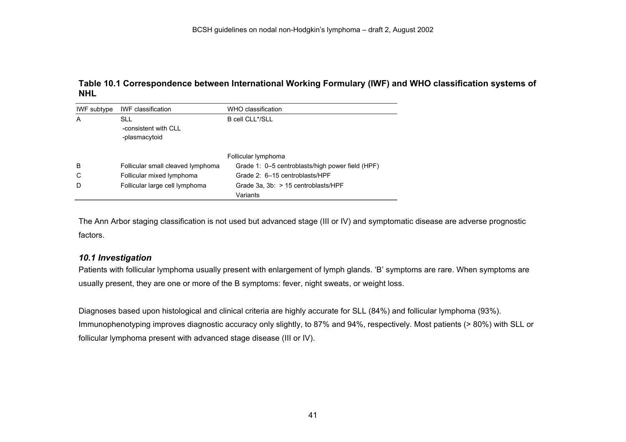## **Table 10.1 Correspondence between International Working Formulary (IWF) and WHO classification systems of NHL**

| IWF subtype | <b>IWF</b> classification                           | WHO classification                               |
|-------------|-----------------------------------------------------|--------------------------------------------------|
| A           | <b>SLL</b><br>-consistent with CLL<br>-plasmacytoid | B cell CLL*/SLL                                  |
|             |                                                     | Follicular lymphoma                              |
| B           | Follicular small cleaved lymphoma                   | Grade 1: 0–5 centroblasts/high power field (HPF) |
| C           | Follicular mixed lymphoma                           | Grade 2: 6-15 centroblasts/HPF                   |
| D           | Follicular large cell lymphoma                      | Grade 3a, 3b: > 15 centroblasts/HPF              |
|             |                                                     | Variants                                         |

The Ann Arbor staging classification is not used but advanced stage (III or IV) and symptomatic disease are adverse prognostic factors.

## *10.1 Investigation*

Patients with follicular lymphoma usually present with enlargement of lymph glands. 'B' symptoms are rare. When symptoms are usually present, they are one or more of the B symptoms: fever, night sweats, or weight loss.

Diagnoses based upon histological and clinical criteria are highly accurate for SLL (84%) and follicular lymphoma (93%). Immunophenotyping improves diagnostic accuracy only slightly, to 87% and 94%, respectively. Most patients (> 80%) with SLL or follicular lymphoma present with advanced stage disease (III or IV).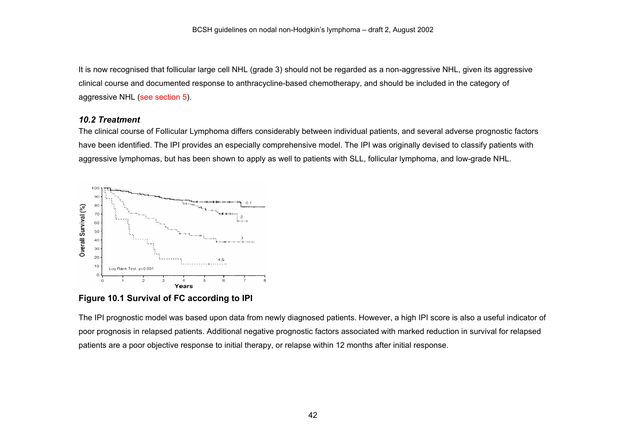It is now recognised that follicular large cell NHL (grade 3) should not be regarded as a non-aggressive NHL, given its aggressive clinical course and documented response to anthracycline-based chemotherapy, and should be included in the category of aggressive NHL (see section 5).

#### *10.2 Treatment*

The clinical course of Follicular Lymphoma differs considerably between individual patients, and several adverse prognostic factors have been identified. The IPI provides an especially comprehensive model. The IPI was originally devised to classify patients with aggressive lymphomas, but has been shown to apply as well to patients with SLL, follicular lymphoma, and low-grade NHL.



**Figure 10.1 Survival of FC according to IPI**

The IPI prognostic model was based upon data from newly diagnosed patients. However, a high IPI score is also a useful indicator of poor prognosis in relapsed patients. Additional negative prognostic factors associated with marked reduction in survival for relapsed patients are a poor objective response to initial therapy, or relapse within 12 months after initial response.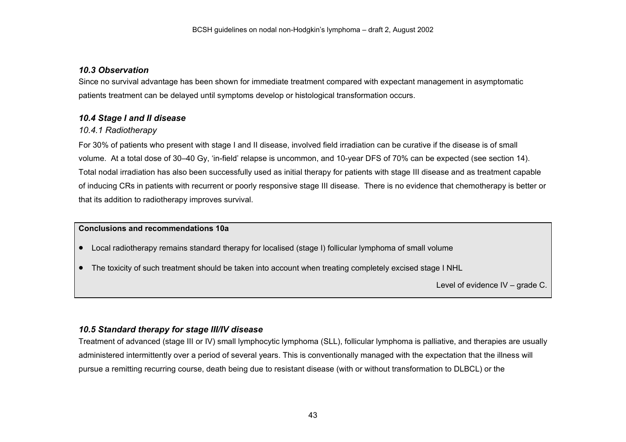## *10.3 Observation*

Since no survival advantage has been shown for immediate treatment compared with expectant management in asymptomatic patients treatment can be delayed until symptoms develop or histological transformation occurs.

# *10.4 Stage I and II disease*

## *10.4.1 Radiotherapy*

For 30% of patients who present with stage I and II disease, involved field irradiation can be curative if the disease is of small volume. At a total dose of 30–40 Gy, 'in-field' relapse is uncommon, and 10-year DFS of 70% can be expected (see section 14). Total nodal irradiation has also been successfully used as initial therapy for patients with stage III disease and as treatment capable of inducing CRs in patients with recurrent or poorly responsive stage III disease. There is no evidence that chemotherapy is better or that its addition to radiotherapy improves survival.

## **Conclusions and recommendations 10a**

- $\bullet$ Local radiotherapy remains standard therapy for localised (stage I) follicular lymphoma of small volume
- The toxicity of such treatment should be taken into account when treating completely excised stage I NHL

Level of evidence IV – grade C.

## *10.5 Standard therapy for stage III/IV disease*

Treatment of advanced (stage III or IV) small lymphocytic lymphoma (SLL), follicular lymphoma is palliative, and therapies are usually administered intermittently over a period of several years. This is conventionally managed with the expectation that the illness will pursue a remitting recurring course, death being due to resistant disease (with or without transformation to DLBCL) or the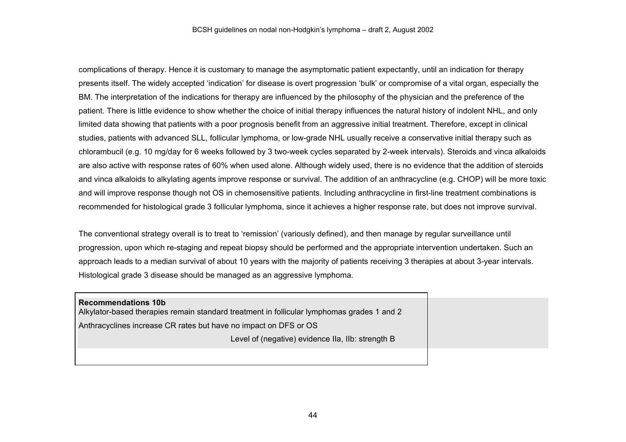complications of therapy. Hence it is customary to manage the asymptomatic patient expectantly, until an indication for therapy presents itself. The widely accepted 'indication' for disease is overt progression 'bulk' or compromise of a vital organ, especially the BM. The interpretation of the indications for therapy are influenced by the philosophy of the physician and the preference of the patient. There is little evidence to show whether the choice of initial therapy influences the natural history of indolent NHL, and only limited data showing that patients with a poor prognosis benefit from an aggressive initial treatment. Therefore, except in clinical studies, patients with advanced SLL, follicular lymphoma, or low-grade NHL usually receive a conservative initial therapy such as chlorambucil (e.g. 10 mg/day for 6 weeks followed by 3 two-week cycles separated by 2-week intervals). Steroids and vinca alkaloids are also active with response rates of 60% when used alone. Although widely used, there is no evidence that the addition of steroids and vinca alkaloids to alkylating agents improve response or survival. The addition of an anthracycline (e.g. CHOP) will be more toxic and will improve response though not OS in chemosensitive patients. Including anthracycline in first-line treatment combinations is recommended for histological grade 3 follicular lymphoma, since it achieves a higher response rate, but does not improve survival.

The conventional strategy overall is to treat to 'remission' (variously defined), and then manage by regular surveillance until progression, upon which re-staging and repeat biopsy should be performed and the appropriate intervention undertaken. Such an approach leads to a median survival of about 10 years with the majority of patients receiving 3 therapies at about 3-year intervals. Histological grade 3 disease should be managed as an aggressive lymphoma.

**Recommendations 10b** Alkylator-based therapies remain standard treatment in follicular lymphomas grades 1 and 2 Anthracyclines increase CR rates but have no impact on DFS or OS Level of (negative) evidence IIa, IIb: strength B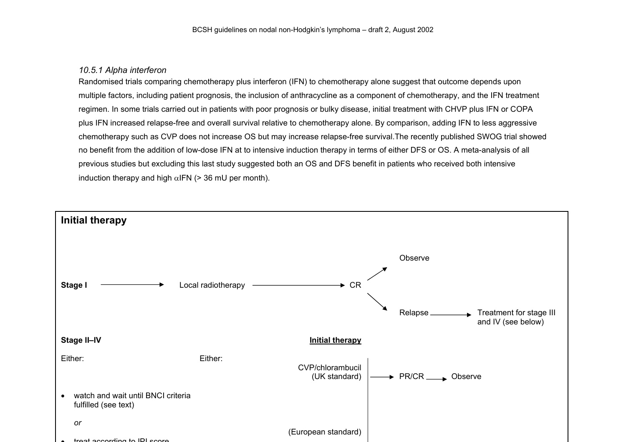#### *10.5.1 Alpha interferon*

Randomised trials comparing chemotherapy plus interferon (IFN) to chemotherapy alone suggest that outcome depends upon multiple factors, including patient prognosis, the inclusion of anthracycline as a component of chemotherapy, and the IFN treatment regimen. In some trials carried out in patients with poor prognosis or bulky disease, initial treatment with CHVP plus IFN or COPA plus IFN increased relapse-free and overall survival relative to chemotherapy alone. By comparison, adding IFN to less aggressive chemotherapy such as CVP does not increase OS but may increase relapse-free survival.The recently published SWOG trial showed no benefit from the addition of low-dose IFN at to intensive induction therapy in terms of either DFS or OS. A meta-analysis of all previous studies but excluding this last study suggested both an OS and DFS benefit in patients who received both intensive induction therapy and high  $\alpha$ IFN (> 36 mU per month).

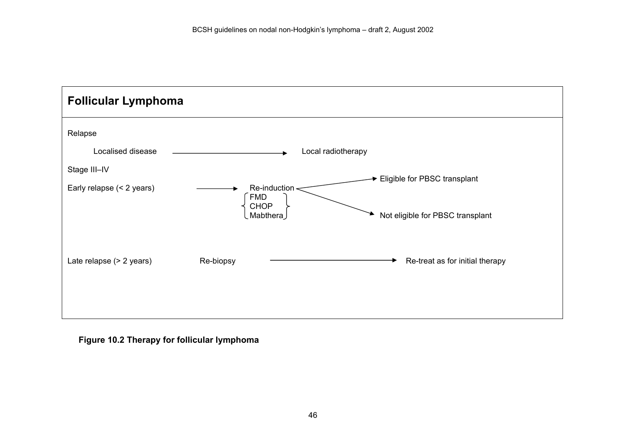

**Figure 10.2 Therapy for follicular lymphoma**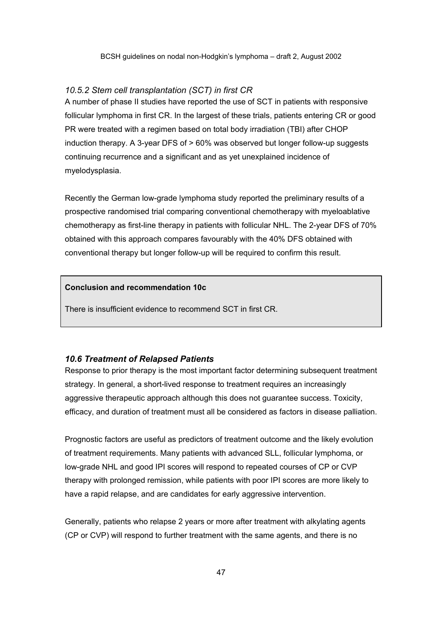#### *10.5.2 Stem cell transplantation (SCT) in first CR*

A number of phase II studies have reported the use of SCT in patients with responsive follicular lymphoma in first CR. In the largest of these trials, patients entering CR or good PR were treated with a regimen based on total body irradiation (TBI) after CHOP induction therapy. A 3-year DFS of > 60% was observed but longer follow-up suggests continuing recurrence and a significant and as yet unexplained incidence of myelodysplasia.

Recently the German low-grade lymphoma study reported the preliminary results of a prospective randomised trial comparing conventional chemotherapy with myeloablative chemotherapy as first-line therapy in patients with follicular NHL. The 2-year DFS of 70% obtained with this approach compares favourably with the 40% DFS obtained with conventional therapy but longer follow-up will be required to confirm this result.

#### **Conclusion and recommendation 10c**

There is insufficient evidence to recommend SCT in first CR.

#### *10.6 Treatment of Relapsed Patients*

Response to prior therapy is the most important factor determining subsequent treatment strategy. In general, a short-lived response to treatment requires an increasingly aggressive therapeutic approach although this does not guarantee success. Toxicity, efficacy, and duration of treatment must all be considered as factors in disease palliation.

Prognostic factors are useful as predictors of treatment outcome and the likely evolution of treatment requirements. Many patients with advanced SLL, follicular lymphoma, or low-grade NHL and good IPI scores will respond to repeated courses of CP or CVP therapy with prolonged remission, while patients with poor IPI scores are more likely to have a rapid relapse, and are candidates for early aggressive intervention.

Generally, patients who relapse 2 years or more after treatment with alkylating agents (CP or CVP) will respond to further treatment with the same agents, and there is no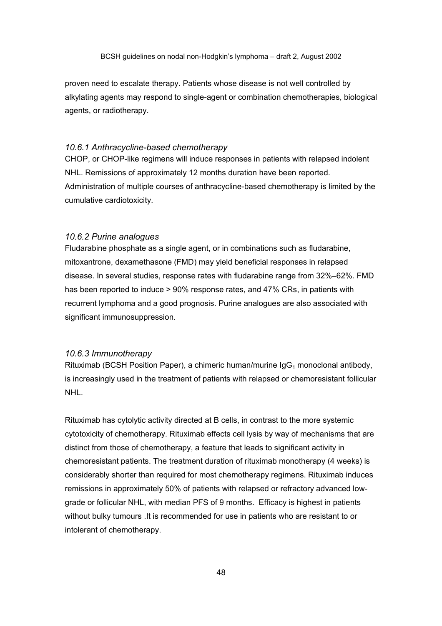proven need to escalate therapy. Patients whose disease is not well controlled by alkylating agents may respond to single-agent or combination chemotherapies, biological agents, or radiotherapy.

#### *10.6.1 Anthracycline-based chemotherapy*

CHOP, or CHOP-like regimens will induce responses in patients with relapsed indolent NHL. Remissions of approximately 12 months duration have been reported. Administration of multiple courses of anthracycline-based chemotherapy is limited by the cumulative cardiotoxicity.

#### *10.6.2 Purine analogues*

Fludarabine phosphate as a single agent, or in combinations such as fludarabine, mitoxantrone, dexamethasone (FMD) may yield beneficial responses in relapsed disease. In several studies, response rates with fludarabine range from 32%–62%. FMD has been reported to induce > 90% response rates, and 47% CRs, in patients with recurrent lymphoma and a good prognosis. Purine analogues are also associated with significant immunosuppression.

#### *10.6.3 Immunotherapy*

Rituximab (BCSH Position Paper), a chimeric human/murine  $\log_1$  monoclonal antibody, is increasingly used in the treatment of patients with relapsed or chemoresistant follicular NHL.

Rituximab has cytolytic activity directed at B cells, in contrast to the more systemic cytotoxicity of chemotherapy. Rituximab effects cell lysis by way of mechanisms that are distinct from those of chemotherapy, a feature that leads to significant activity in chemoresistant patients. The treatment duration of rituximab monotherapy (4 weeks) is considerably shorter than required for most chemotherapy regimens. Rituximab induces remissions in approximately 50% of patients with relapsed or refractory advanced lowgrade or follicular NHL, with median PFS of 9 months. Efficacy is highest in patients without bulky tumours .It is recommended for use in patients who are resistant to or intolerant of chemotherapy.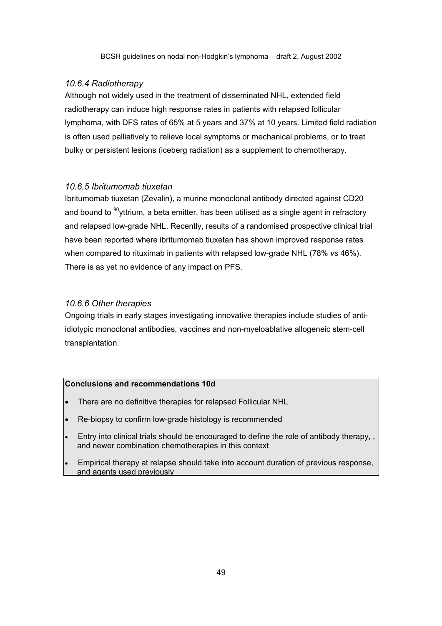#### *10.6.4 Radiotherapy*

Although not widely used in the treatment of disseminated NHL, extended field radiotherapy can induce high response rates in patients with relapsed follicular lymphoma, with DFS rates of 65% at 5 years and 37% at 10 years. Limited field radiation is often used palliatively to relieve local symptoms or mechanical problems, or to treat bulky or persistent lesions (iceberg radiation) as a supplement to chemotherapy.

#### *10.6.5 Ibritumomab tiuxetan*

Ibritumomab tiuxetan (Zevalin), a murine monoclonal antibody directed against CD20 and bound to  $90$ <sub>V</sub>ttrium, a beta emitter, has been utilised as a single agent in refractory and relapsed low-grade NHL. Recently, results of a randomised prospective clinical trial have been reported where ibritumomab tiuxetan has shown improved response rates when compared to rituximab in patients with relapsed low-grade NHL (78% *vs* 46%). There is as yet no evidence of any impact on PFS.

### *10.6.6 Other therapies*

Ongoing trials in early stages investigating innovative therapies include studies of antiidiotypic monoclonal antibodies, vaccines and non-myeloablative allogeneic stem-cell transplantation.

#### **Conclusions and recommendations 10d**

- There are no definitive therapies for relapsed Follicular NHL
- Re-biopsy to confirm low-grade histology is recommended
- Entry into clinical trials should be encouraged to define the role of antibody therapy, , and newer combination chemotherapies in this context
- Empirical therapy at relapse should take into account duration of previous response, and agents used previously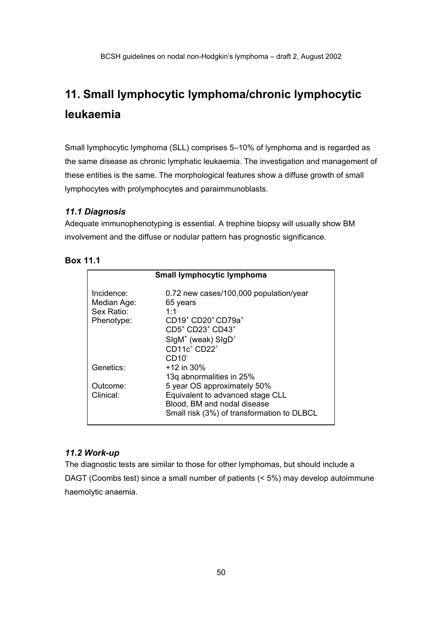# **11. Small lymphocytic lymphoma/chronic lymphocytic leukaemia**

Small lymphocytic lymphoma (SLL) comprises 5–10% of lymphoma and is regarded as the same disease as chronic lymphatic leukaemia. The investigation and management of these entities is the same. The morphological features show a diffuse growth of small lymphocytes with prolymphocytes and paraimmunoblasts.

## *11.1 Diagnosis*

Adequate immunophenotyping is essential. A trephine biopsy will usually show BM involvement and the diffuse or nodular pattern has prognostic significance.

| Box |  | А |  |
|-----|--|---|--|
|-----|--|---|--|

| <b>Small lymphocytic lymphoma</b> |                                                        |  |
|-----------------------------------|--------------------------------------------------------|--|
|                                   |                                                        |  |
| Incidence:                        | 0.72 new cases/100,000 population/year                 |  |
| Median Age:                       | 65 years                                               |  |
| Sex Ratio:                        | 1:1                                                    |  |
| Phenotype:                        | CD19 <sup>+</sup> CD20 <sup>+</sup> CD79a <sup>+</sup> |  |
|                                   | CD5 <sup>+</sup> CD23 <sup>+</sup> CD43 <sup>+</sup>   |  |
|                                   | $SigM^{+}$ (weak) $SigD^{\pm}$                         |  |
|                                   | CD11 $c^{\pm}$ CD22 <sup><math>\pm</math></sup>        |  |
|                                   | CD <sub>10</sub>                                       |  |
| Genetics:                         | $+12$ in 30%                                           |  |
|                                   | 13q abnormalities in 25%                               |  |
| Outcome:                          | 5 year OS approximately 50%                            |  |
| Clinical:                         | Equivalent to advanced stage CLL                       |  |
|                                   | Blood, BM and nodal disease                            |  |
|                                   | Small risk (3%) of transformation to DLBCL             |  |
|                                   |                                                        |  |

### *11.2 Work-up*

The diagnostic tests are similar to those for other lymphomas, but should include a DAGT (Coombs test) since a small number of patients (< 5%) may develop autoimmune haemolytic anaemia.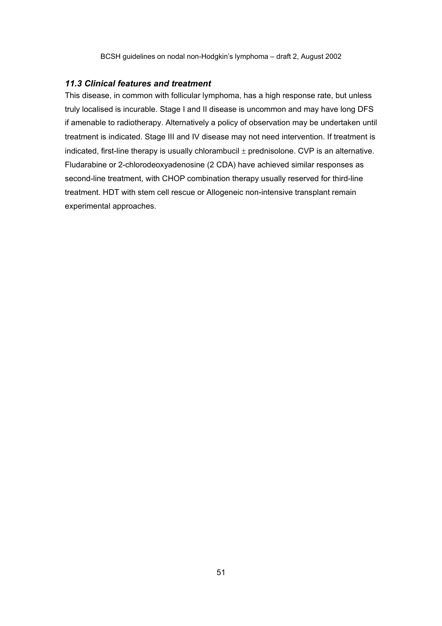#### *11.3 Clinical features and treatment*

This disease, in common with follicular lymphoma, has a high response rate, but unless truly localised is incurable. Stage I and II disease is uncommon and may have long DFS if amenable to radiotherapy. Alternatively a policy of observation may be undertaken until treatment is indicated. Stage III and IV disease may not need intervention. If treatment is indicated, first-line therapy is usually chlorambucil  $\pm$  prednisolone. CVP is an alternative. Fludarabine or 2-chlorodeoxyadenosine (2 CDA) have achieved similar responses as second-line treatment, with CHOP combination therapy usually reserved for third-line treatment. HDT with stem cell rescue or Allogeneic non-intensive transplant remain experimental approaches.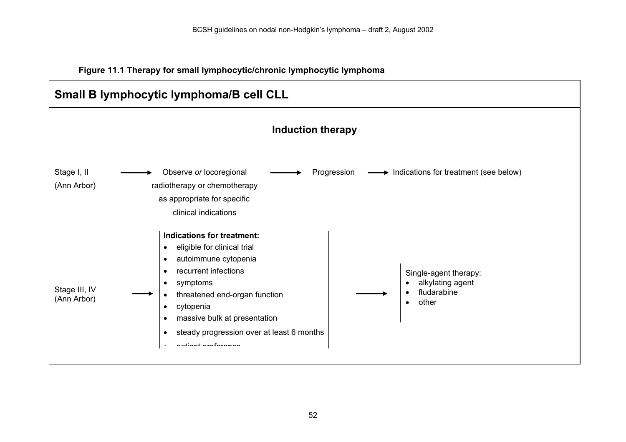**Figure 11.1 Therapy for small lymphocytic/chronic lymphocytic lymphoma** 

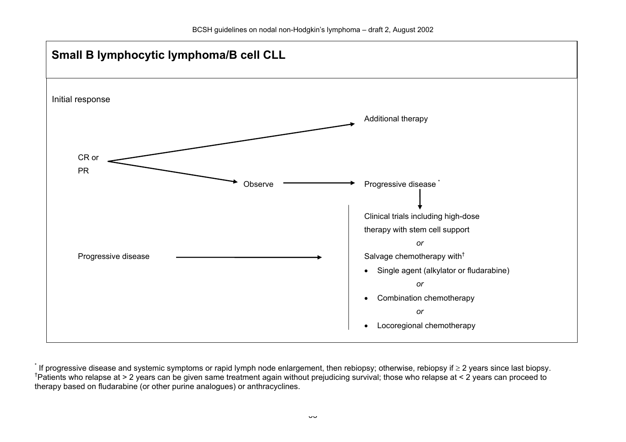

<sup>\*</sup> If progressive disease and systemic symptoms or rapid lymph node enlargement, then rebiopsy; otherwise, rebiopsy if <sup>≥</sup> 2 years since last biopsy. †Patients who relapse at > 2 years can be given same treatment again without prejudicing survival; those who relapse at < 2 years can proceed to therapy based on fludarabine (or other purine analogues) or anthracyclines.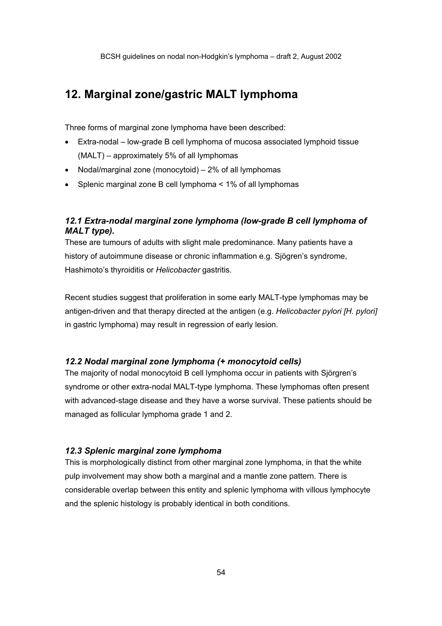# **12. Marginal zone/gastric MALT lymphoma**

Three forms of marginal zone lymphoma have been described:

- Extra-nodal low-grade B cell lymphoma of mucosa associated lymphoid tissue (MALT) – approximately 5% of all lymphomas
- Nodal/marginal zone (monocytoid) 2% of all lymphomas
- Splenic marginal zone B cell lymphoma < 1% of all lymphomas

## *12.1 Extra-nodal marginal zone lymphoma (low-grade B cell lymphoma of MALT type).*

These are tumours of adults with slight male predominance. Many patients have a history of autoimmune disease or chronic inflammation e.g. Sjögren's syndrome, Hashimoto's thyroiditis or *Helicobacter* gastritis.

Recent studies suggest that proliferation in some early MALT-type lymphomas may be antigen-driven and that therapy directed at the antigen (e.g. *Helicobacter pylori [H. pylori]* in gastric lymphoma) may result in regression of early lesion.

### *12.2 Nodal marginal zone lymphoma (+ monocytoid cells)*

The majority of nodal monocytoid B cell lymphoma occur in patients with Sjörgren's syndrome or other extra-nodal MALT-type lymphoma. These lymphomas often present with advanced-stage disease and they have a worse survival. These patients should be managed as follicular lymphoma grade 1 and 2.

### *12.3 Splenic marginal zone lymphoma*

This is morphologically distinct from other marginal zone lymphoma, in that the white pulp involvement may show both a marginal and a mantle zone pattern. There is considerable overlap between this entity and splenic lymphoma with villous lymphocyte and the splenic histology is probably identical in both conditions.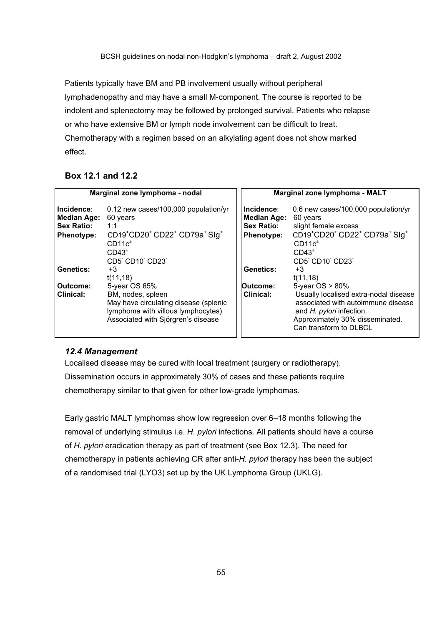Patients typically have BM and PB involvement usually without peripheral lymphadenopathy and may have a small M-component. The course is reported to be indolent and splenectomy may be followed by prolonged survival. Patients who relapse or who have extensive BM or lymph node involvement can be difficult to treat. Chemotherapy with a regimen based on an alkylating agent does not show marked effect.

## **Box 12.1 and 12.2**

| Marginal zone lymphoma - nodal                                             |                                                                                                                                                                                                             | Marginal zone lymphoma - MALT                                       |                                                                                                                                                                                                                             |
|----------------------------------------------------------------------------|-------------------------------------------------------------------------------------------------------------------------------------------------------------------------------------------------------------|---------------------------------------------------------------------|-----------------------------------------------------------------------------------------------------------------------------------------------------------------------------------------------------------------------------|
| Incidence:<br><b>Median Age:</b><br><b>Sex Ratio:</b><br><b>Phenotype:</b> | 0.12 new cases/100,000 population/yr<br>60 years<br>1:1<br>CD19 <sup>+</sup> CD20 <sup>+</sup> CD22 <sup>+</sup> CD79a <sup>+</sup> Slg <sup>+</sup><br>$CD11c^{\pm}$<br>CD43 <sup>±</sup><br>CD5 CD10 CD23 | Incidence:<br><b>Median Age:</b><br><b>Sex Ratio:</b><br>Phenotype: | 0.6 new cases/100,000 population/yr<br>60 years<br>slight female excess<br>CD19 <sup>+</sup> CD20 <sup>+</sup> CD22 <sup>+</sup> CD79a <sup>+</sup> Slg <sup>+</sup><br>$CD11c^{\pm}$<br>CD43 <sup>±</sup><br>CD5 CD10 CD23 |
| Genetics:                                                                  | +3<br>t(11,18)                                                                                                                                                                                              | Genetics:                                                           | +3<br>t(11,18)                                                                                                                                                                                                              |
| Outcome:<br><b>Clinical:</b>                                               | 5-year OS 65%<br>BM, nodes, spleen<br>May have circulating disease (splenic<br>lymphoma with villous lymphocytes)<br>Associated with Sjörgren's disease                                                     | Outcome:<br>Clinical:                                               | 5-year $OS > 80\%$<br>Usually localised extra-nodal disease<br>associated with autoimmune disease<br>and H. pylori infection.<br>Approximately 30% disseminated.<br>Can transform to DLBCL                                  |

### *12.4 Management*

Localised disease may be cured with local treatment (surgery or radiotherapy). Dissemination occurs in approximately 30% of cases and these patients require chemotherapy similar to that given for other low-grade lymphomas.

Early gastric MALT lymphomas show low regression over 6–18 months following the removal of underlying stimulus i.e. *H. pylori* infections. All patients should have a course of *H. pylori* eradication therapy as part of treatment (see Box 12.3). The need for chemotherapy in patients achieving CR after anti-*H. pylori* therapy has been the subject of a randomised trial (LYO3) set up by the UK Lymphoma Group (UKLG).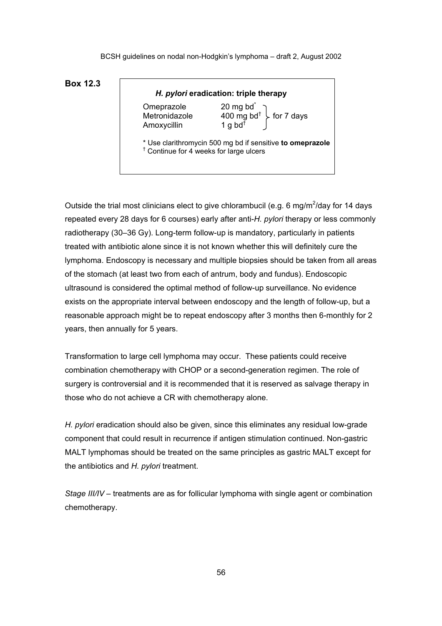### **Box 12.3**

| Box 12.3 |                                            |                                                                                                                        |  |
|----------|--------------------------------------------|------------------------------------------------------------------------------------------------------------------------|--|
|          | H. pylori eradication: triple therapy      |                                                                                                                        |  |
|          | Omeprazole<br>Metronidazole<br>Amoxycillin | $\left\{\begin{array}{c} 20 \text{ mg bd}^* \\ 400 \text{ mg bd}^+ \\ 1 \text{ g bd}^+ \end{array}\right\}$ for 7 days |  |
|          |                                            | * Use clarithromycin 500 mg bd if sensitive to omeprazole $\dagger$ Continue for 4 weeks for large ulcers              |  |

Outside the trial most clinicians elect to give chlorambucil (e.g. 6 mg/m<sup>2</sup>/day for 14 days repeated every 28 days for 6 courses) early after anti-*H. pylori* therapy or less commonly radiotherapy (30–36 Gy). Long-term follow-up is mandatory, particularly in patients treated with antibiotic alone since it is not known whether this will definitely cure the lymphoma. Endoscopy is necessary and multiple biopsies should be taken from all areas of the stomach (at least two from each of antrum, body and fundus). Endoscopic ultrasound is considered the optimal method of follow-up surveillance. No evidence exists on the appropriate interval between endoscopy and the length of follow-up, but a reasonable approach might be to repeat endoscopy after 3 months then 6-monthly for 2 years, then annually for 5 years.

Transformation to large cell lymphoma may occur. These patients could receive combination chemotherapy with CHOP or a second-generation regimen. The role of surgery is controversial and it is recommended that it is reserved as salvage therapy in those who do not achieve a CR with chemotherapy alone.

*H. pylori* eradication should also be given, since this eliminates any residual low-grade component that could result in recurrence if antigen stimulation continued. Non-gastric MALT lymphomas should be treated on the same principles as gastric MALT except for the antibiotics and *H. pylori* treatment.

*Stage III/IV* – treatments are as for follicular lymphoma with single agent or combination chemotherapy.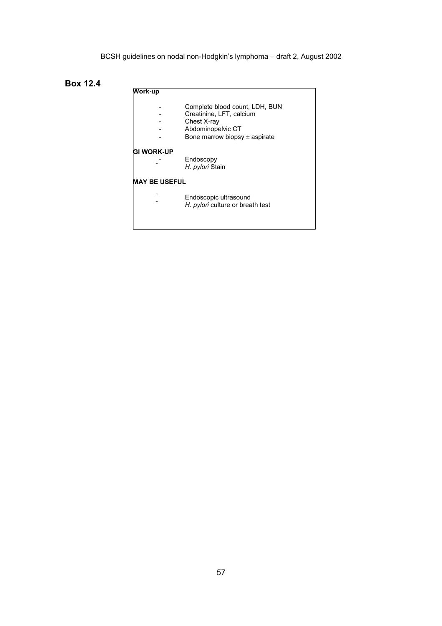**Box 12.4**

| Work-up              |                                                                                                                                     |
|----------------------|-------------------------------------------------------------------------------------------------------------------------------------|
|                      | Complete blood count, LDH, BUN<br>Creatinine, LFT, calcium<br>Chest X-ray<br>Abdominopelvic CT<br>Bone marrow biopsy $\pm$ aspirate |
| <b>GI WORK-UP</b>    | Endoscopy<br>H. pylori Stain                                                                                                        |
| <b>MAY BE USEFUL</b> |                                                                                                                                     |
|                      | Endoscopic ultrasound<br>H. <i>pylori</i> culture or breath test                                                                    |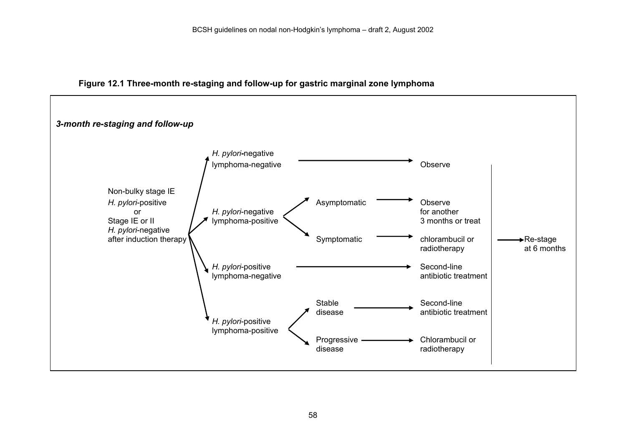

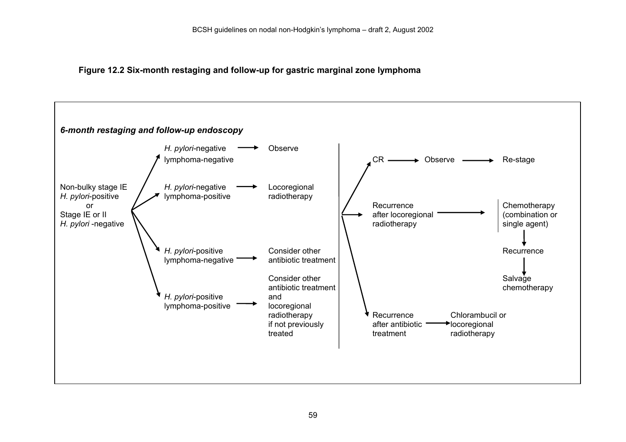**Figure 12.2 Six-month restaging and follow-up for gastric marginal zone lymphoma**

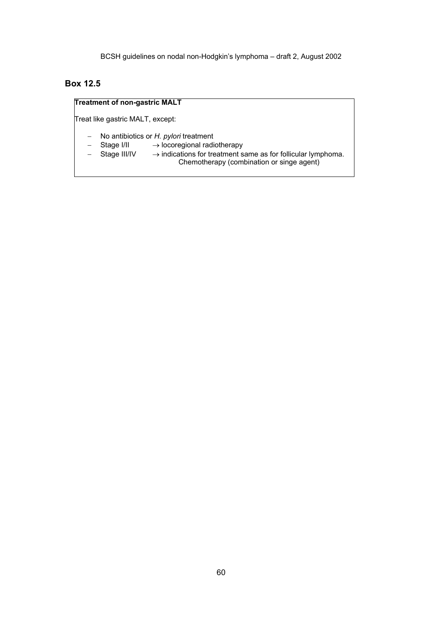## **Box 12.5**

### **Treatment of non-gastric MALT**

Treat like gastric MALT, except:

- − No antibiotics or *H. pylori* treatment
- − Stage I/II → locoregional radiotherapy
- − Stage III/IV → indications for treatment same as for follicular lymphoma. Chemotherapy (combination or singe agent)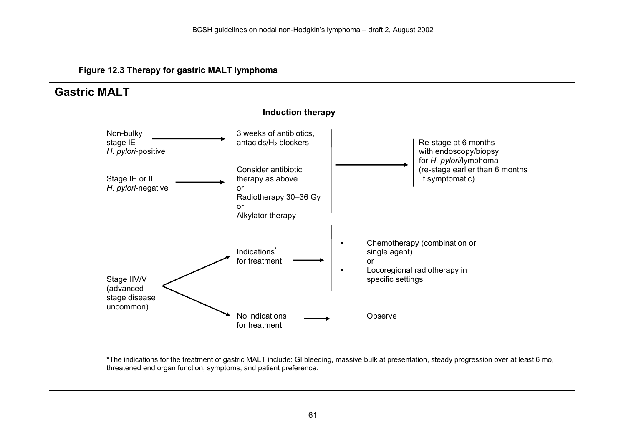**Figure 12.3 Therapy for gastric MALT lymphoma**

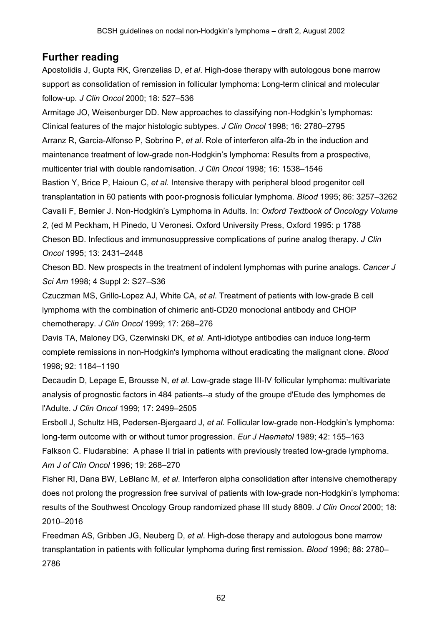# **Further reading**

Apostolidis J, Gupta RK, Grenzelias D, *et al*. High-dose therapy with autologous bone marrow support as consolidation of remission in follicular lymphoma: Long-term clinical and molecular follow-up. *J Clin Oncol* 2000; 18: 527–536

Armitage JO, Weisenburger DD. New approaches to classifying non-Hodgkin's lymphomas: Clinical features of the major histologic subtypes. *J Clin Oncol* 1998; 16: 2780–2795 Arranz R, Garcia-Alfonso P, Sobrino P, *et al*. Role of interferon alfa-2b in the induction and maintenance treatment of low-grade non-Hodgkin's lymphoma: Results from a prospective, multicenter trial with double randomisation. *J Clin Oncol* 1998; 16: 1538–1546 Bastion Y, Brice P, Haioun C, *et al.* Intensive therapy with peripheral blood progenitor cell transplantation in 60 patients with poor-prognosis follicular lymphoma. *Blood* 1995; 86: 3257–3262 Cavalli F, Bernier J. Non-Hodgkin's Lymphoma in Adults. In: *Oxford Textbook of Oncology Volume 2*, (ed M Peckham, H Pinedo, U Veronesi. Oxford University Press, Oxford 1995: p 1788 Cheson BD. Infectious and immunosuppressive complications of purine analog therapy. *J Clin Oncol* 1995; 13: 2431–2448

Cheson BD. New prospects in the treatment of indolent lymphomas with purine analogs. *Cancer J Sci Am* 1998; 4 Suppl 2: S27–S36

Czuczman MS, Grillo-Lopez AJ, White CA, *et al*. Treatment of patients with low-grade B cell lymphoma with the combination of chimeric anti-CD20 monoclonal antibody and CHOP chemotherapy. *J Clin Oncol* 1999; 17: 268–276

Davis TA, Maloney DG, Czerwinski DK, *et al*. Anti-idiotype antibodies can induce long-term complete remissions in non-Hodgkin's lymphoma without eradicating the malignant clone. *Blood* 1998; 92: 1184–1190

Decaudin D, Lepage E, Brousse N, *et al.* Low-grade stage III-IV follicular lymphoma: multivariate analysis of prognostic factors in 484 patients--a study of the groupe d'Etude des lymphomes de l'Adulte. *J Clin Oncol* 1999; 17: 2499–2505

Ersboll J, Schultz HB, Pedersen-Bjergaard J, *et al*. Follicular low-grade non-Hodgkin's lymphoma: long-term outcome with or without tumor progression. *Eur J Haematol* 1989; 42: 155–163 Falkson C. Fludarabine: A phase II trial in patients with previously treated low-grade lymphoma. *Am J of Clin Oncol* 1996; 19: 268–270

Fisher RI, Dana BW, LeBlanc M, *et al*. Interferon alpha consolidation after intensive chemotherapy does not prolong the progression free survival of patients with low-grade non-Hodgkin's lymphoma: results of the Southwest Oncology Group randomized phase III study 8809. *J Clin Oncol* 2000; 18: 2010–2016

Freedman AS, Gribben JG, Neuberg D, *et al*. High-dose therapy and autologous bone marrow transplantation in patients with follicular lymphoma during first remission. *Blood* 1996; 88: 2780– 2786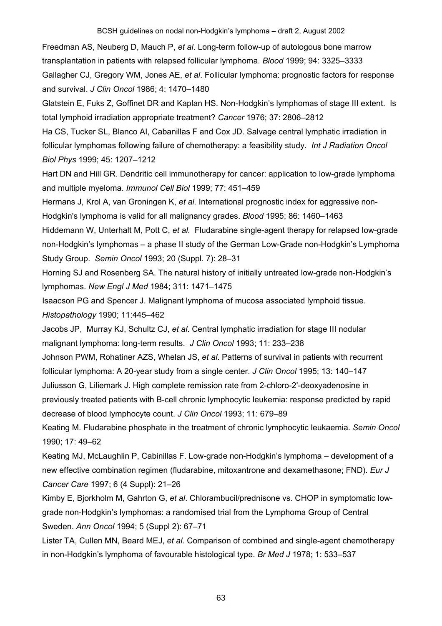Freedman AS, Neuberg D, Mauch P, *et al*. Long-term follow-up of autologous bone marrow transplantation in patients with relapsed follicular lymphoma. *Blood* 1999; 94: 3325–3333 Gallagher CJ, Gregory WM, Jones AE, *et al*. Follicular lymphoma: prognostic factors for response and survival. *J Clin Oncol* 1986; 4: 1470–1480

Glatstein E, Fuks Z, Goffinet DR and Kaplan HS. Non-Hodgkin's lymphomas of stage III extent. Is total lymphoid irradiation appropriate treatment? *Cancer* 1976; 37: 2806–2812

Ha CS, Tucker SL, Blanco AI, Cabanillas F and Cox JD. Salvage central lymphatic irradiation in follicular lymphomas following failure of chemotherapy: a feasibility study. *Int J Radiation Oncol Biol Phys* 1999; 45: 1207–1212

Hart DN and Hill GR. Dendritic cell immunotherapy for cancer: application to low-grade lymphoma and multiple myeloma. *Immunol Cell Biol* 1999; 77: 451–459

Hermans J, Krol A, van Groningen K, *et al.* International prognostic index for aggressive non-Hodgkin's lymphoma is valid for all malignancy grades. *Blood* 1995; 86: 1460–1463

Hiddemann W, Unterhalt M, Pott C, *et al.* Fludarabine single-agent therapy for relapsed low-grade non-Hodgkin's lymphomas – a phase II study of the German Low-Grade non-Hodgkin's Lymphoma Study Group. *Semin Oncol* 1993; 20 (Suppl. 7): 28–31

Horning SJ and Rosenberg SA. The natural history of initially untreated low-grade non-Hodgkin's lymphomas. *New Engl J Med* 1984; 311: 1471–1475

Isaacson PG and Spencer J. Malignant lymphoma of mucosa associated lymphoid tissue. *Histopathology* 1990; 11:445–462

Jacobs JP, Murray KJ, Schultz CJ, *et al*. Central lymphatic irradiation for stage III nodular malignant lymphoma: long-term results. *J Clin Oncol* 1993; 11: 233–238

Johnson PWM, Rohatiner AZS, Whelan JS, *et al*. Patterns of survival in patients with recurrent follicular lymphoma: A 20-year study from a single center. *J Clin Oncol* 1995; 13: 140–147 Juliusson G, Liliemark J. High complete remission rate from 2-chloro-2'-deoxyadenosine in previously treated patients with B-cell chronic lymphocytic leukemia: response predicted by rapid decrease of blood lymphocyte count. *J Clin Oncol* 1993; 11: 679–89

Keating M. Fludarabine phosphate in the treatment of chronic lymphocytic leukaemia. *Semin Oncol* 1990; 17: 49–62

Keating MJ, McLaughlin P, Cabinillas F. Low-grade non-Hodgkin's lymphoma – development of a new effective combination regimen (fludarabine, mitoxantrone and dexamethasone; FND). *Eur J Cancer Care* 1997; 6 (4 Suppl): 21–26

Kimby E, Bjorkholm M, Gahrton G, *et al*. Chlorambucil/prednisone vs. CHOP in symptomatic lowgrade non-Hodgkin's lymphomas: a randomised trial from the Lymphoma Group of Central Sweden. *Ann Oncol* 1994; 5 (Suppl 2): 67–71

Lister TA, Cullen MN, Beard MEJ, *et al.* Comparison of combined and single-agent chemotherapy in non-Hodgkin's lymphoma of favourable histological type. *Br Med J* 1978; 1: 533–537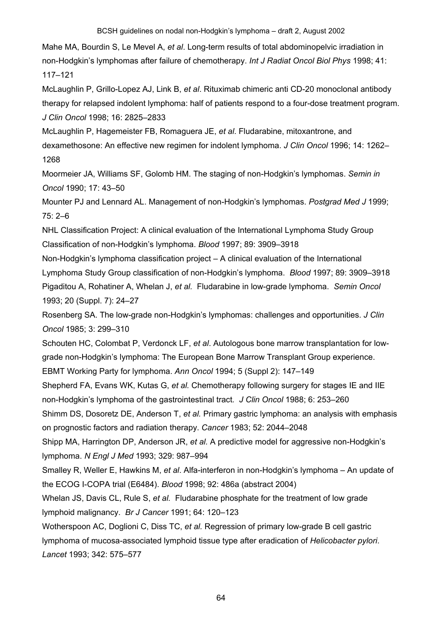Mahe MA, Bourdin S, Le Mevel A, *et al*. Long-term results of total abdominopelvic irradiation in non-Hodgkin's lymphomas after failure of chemotherapy. *Int J Radiat Oncol Biol Phys* 1998; 41: 117–121

McLaughlin P, Grillo-Lopez AJ, Link B, *et al*. Rituximab chimeric anti CD-20 monoclonal antibody therapy for relapsed indolent lymphoma: half of patients respond to a four-dose treatment program. *J Clin Oncol* 1998; 16: 2825–2833

McLaughlin P, Hagemeister FB, Romaguera JE, *et al*. Fludarabine, mitoxantrone, and dexamethosone: An effective new regimen for indolent lymphoma. *J Clin Oncol* 1996; 14: 1262– 1268

Moormeier JA, Williams SF, Golomb HM. The staging of non-Hodgkin's lymphomas. *Semin in Oncol* 1990; 17: 43–50

Mounter PJ and Lennard AL. Management of non-Hodgkin's lymphomas. *Postgrad Med J* 1999; 75: 2–6

NHL Classification Project: A clinical evaluation of the International Lymphoma Study Group Classification of non-Hodgkin's lymphoma. *Blood* 1997; 89: 3909–3918

Non-Hodgkin's lymphoma classification project – A clinical evaluation of the International Lymphoma Study Group classification of non-Hodgkin's lymphoma. *Blood* 1997; 89: 3909–3918 Pigaditou A, Rohatiner A, Whelan J, *et al.* Fludarabine in low-grade lymphoma. *Semin Oncol* 1993; 20 (Suppl. 7): 24–27

Rosenberg SA. The low-grade non-Hodgkin's lymphomas: challenges and opportunities. *J Clin Oncol* 1985; 3: 299–310

Schouten HC, Colombat P, Verdonck LF, *et al*. Autologous bone marrow transplantation for lowgrade non-Hodgkin's lymphoma: The European Bone Marrow Transplant Group experience. EBMT Working Party for lymphoma. *Ann Oncol* 1994; 5 (Suppl 2): 147–149

Shepherd FA, Evans WK, Kutas G, *et al.* Chemotherapy following surgery for stages IE and IIE non-Hodgkin's lymphoma of the gastrointestinal tract*. J Clin Oncol* 1988; 6: 253–260

Shimm DS, Dosoretz DE, Anderson T, *et al.* Primary gastric lymphoma: an analysis with emphasis on prognostic factors and radiation therapy. *Cancer* 1983; 52: 2044–2048

Shipp MA, Harrington DP, Anderson JR, *et al.* A predictive model for aggressive non-Hodgkin's lymphoma. *N Engl J Med* 1993; 329: 987–994

Smalley R, Weller E, Hawkins M, *et al*. Alfa-interferon in non-Hodgkin's lymphoma – An update of the ECOG I-COPA trial (E6484). *Blood* 1998; 92: 486a (abstract 2004)

Whelan JS, Davis CL, Rule S, *et al.* Fludarabine phosphate for the treatment of low grade lymphoid malignancy. *Br J Cancer* 1991; 64: 120–123

Wotherspoon AC, Doglioni C, Diss TC, *et al.* Regression of primary low-grade B cell gastric lymphoma of mucosa-associated lymphoid tissue type after eradication of *Helicobacter pylori*. *Lancet* 1993; 342: 575–577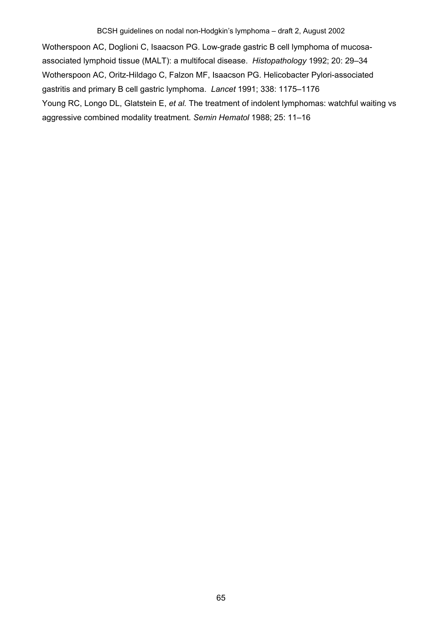Wotherspoon AC, Doglioni C, Isaacson PG. Low-grade gastric B cell lymphoma of mucosaassociated lymphoid tissue (MALT): a multifocal disease. *Histopathology* 1992; 20: 29–34 Wotherspoon AC, Oritz-Hildago C, Falzon MF, Isaacson PG. Helicobacter Pylori-associated gastritis and primary B cell gastric lymphoma. *Lancet* 1991; 338: 1175–1176 Young RC, Longo DL, Glatstein E, *et al.* The treatment of indolent lymphomas: watchful waiting vs aggressive combined modality treatment. *Semin Hematol* 1988; 25: 11–16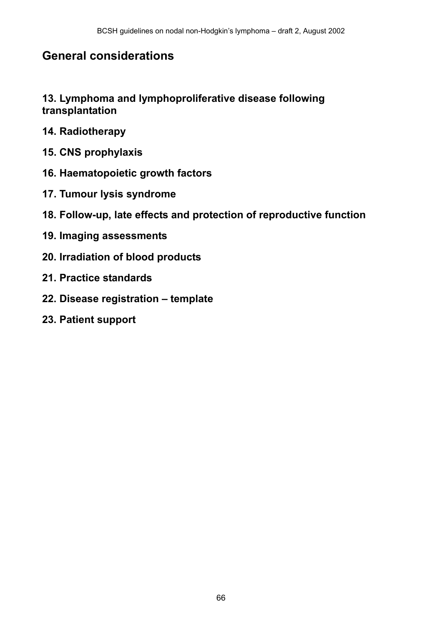# **General considerations**

# **13. Lymphoma and lymphoproliferative disease following transplantation**

- **14. Radiotherapy**
- **15. CNS prophylaxis**
- **16. Haematopoietic growth factors**
- **17. Tumour lysis syndrome**
- **18. Follow-up, late effects and protection of reproductive function**
- **19. Imaging assessments**
- **20. Irradiation of blood products**
- **21. Practice standards**
- **22. Disease registration template**
- **23. Patient support**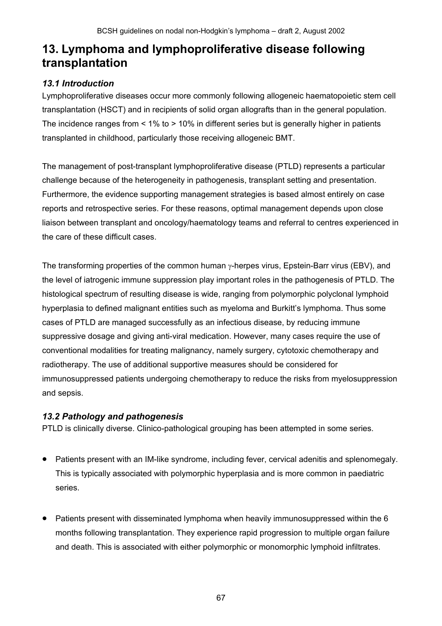# **13. Lymphoma and lymphoproliferative disease following transplantation**

# *13.1 Introduction*

Lymphoproliferative diseases occur more commonly following allogeneic haematopoietic stem cell transplantation (HSCT) and in recipients of solid organ allografts than in the general population. The incidence ranges from < 1% to > 10% in different series but is generally higher in patients transplanted in childhood, particularly those receiving allogeneic BMT.

The management of post-transplant lymphoproliferative disease (PTLD) represents a particular challenge because of the heterogeneity in pathogenesis, transplant setting and presentation. Furthermore, the evidence supporting management strategies is based almost entirely on case reports and retrospective series. For these reasons, optimal management depends upon close liaison between transplant and oncology/haematology teams and referral to centres experienced in the care of these difficult cases.

The transforming properties of the common human  $\gamma$ -herpes virus, Epstein-Barr virus (EBV), and the level of iatrogenic immune suppression play important roles in the pathogenesis of PTLD. The histological spectrum of resulting disease is wide, ranging from polymorphic polyclonal lymphoid hyperplasia to defined malignant entities such as myeloma and Burkitt's lymphoma. Thus some cases of PTLD are managed successfully as an infectious disease, by reducing immune suppressive dosage and giving anti-viral medication. However, many cases require the use of conventional modalities for treating malignancy, namely surgery, cytotoxic chemotherapy and radiotherapy. The use of additional supportive measures should be considered for immunosuppressed patients undergoing chemotherapy to reduce the risks from myelosuppression and sepsis.

# *13.2 Pathology and pathogenesis*

PTLD is clinically diverse. Clinico-pathological grouping has been attempted in some series.

- Patients present with an IM-like syndrome, including fever, cervical adenitis and splenomegaly. This is typically associated with polymorphic hyperplasia and is more common in paediatric series.
- Patients present with disseminated lymphoma when heavily immunosuppressed within the 6 months following transplantation. They experience rapid progression to multiple organ failure and death. This is associated with either polymorphic or monomorphic lymphoid infiltrates.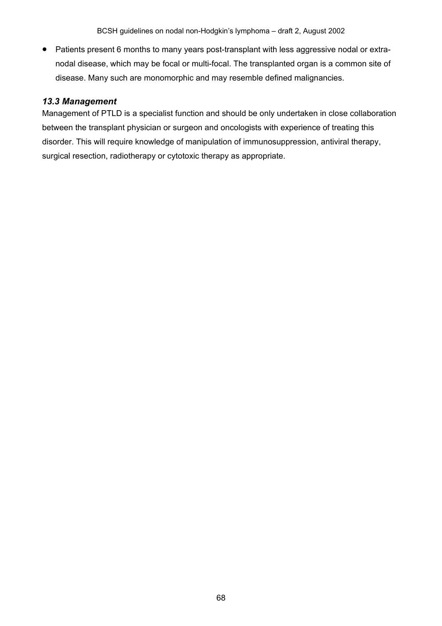• Patients present 6 months to many years post-transplant with less aggressive nodal or extranodal disease, which may be focal or multi-focal. The transplanted organ is a common site of disease. Many such are monomorphic and may resemble defined malignancies.

# *13.3 Management*

Management of PTLD is a specialist function and should be only undertaken in close collaboration between the transplant physician or surgeon and oncologists with experience of treating this disorder. This will require knowledge of manipulation of immunosuppression, antiviral therapy, surgical resection, radiotherapy or cytotoxic therapy as appropriate.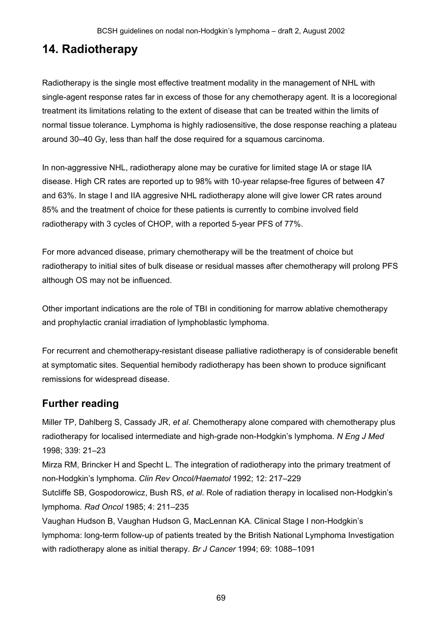# **14. Radiotherapy**

Radiotherapy is the single most effective treatment modality in the management of NHL with single-agent response rates far in excess of those for any chemotherapy agent. It is a locoregional treatment its limitations relating to the extent of disease that can be treated within the limits of normal tissue tolerance. Lymphoma is highly radiosensitive, the dose response reaching a plateau around 30–40 Gy, less than half the dose required for a squamous carcinoma.

In non-aggressive NHL, radiotherapy alone may be curative for limited stage IA or stage IIA disease. High CR rates are reported up to 98% with 10-year relapse-free figures of between 47 and 63%. In stage I and IIA aggresive NHL radiotherapy alone will give lower CR rates around 85% and the treatment of choice for these patients is currently to combine involved field radiotherapy with 3 cycles of CHOP, with a reported 5-year PFS of 77%.

For more advanced disease, primary chemotherapy will be the treatment of choice but radiotherapy to initial sites of bulk disease or residual masses after chemotherapy will prolong PFS although OS may not be influenced.

Other important indications are the role of TBI in conditioning for marrow ablative chemotherapy and prophylactic cranial irradiation of lymphoblastic lymphoma.

For recurrent and chemotherapy-resistant disease palliative radiotherapy is of considerable benefit at symptomatic sites. Sequential hemibody radiotherapy has been shown to produce significant remissions for widespread disease.

# **Further reading**

Miller TP, Dahlberg S, Cassady JR, *et al*. Chemotherapy alone compared with chemotherapy plus radiotherapy for localised intermediate and high-grade non-Hodgkin's lymphoma. *N Eng J Med* 1998; 339: 21–23

Mirza RM, Brincker H and Specht L. The integration of radiotherapy into the primary treatment of non-Hodgkin's lymphoma. *Clin Rev Oncol/Haematol* 1992; 12: 217–229

Sutcliffe SB, Gospodorowicz, Bush RS, *et al*. Role of radiation therapy in localised non-Hodgkin's lymphoma. *Rad Oncol* 1985; 4: 211–235

Vaughan Hudson B, Vaughan Hudson G, MacLennan KA. Clinical Stage I non-Hodgkin's lymphoma: long-term follow-up of patients treated by the British National Lymphoma Investigation with radiotherapy alone as initial therapy. *Br J Cancer* 1994; 69: 1088–1091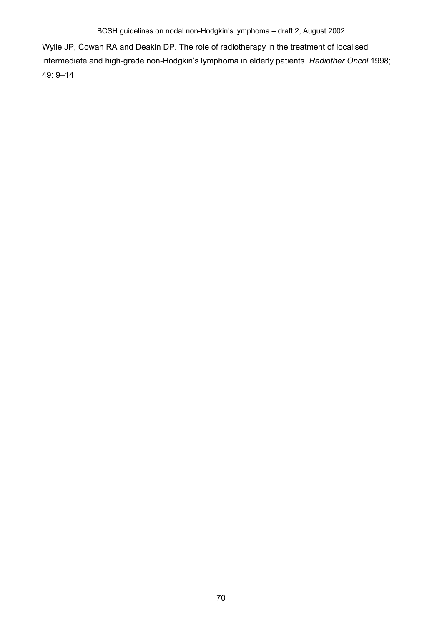Wylie JP, Cowan RA and Deakin DP. The role of radiotherapy in the treatment of localised intermediate and high-grade non-Hodgkin's lymphoma in elderly patients. *Radiother Oncol* 1998; 49: 9–14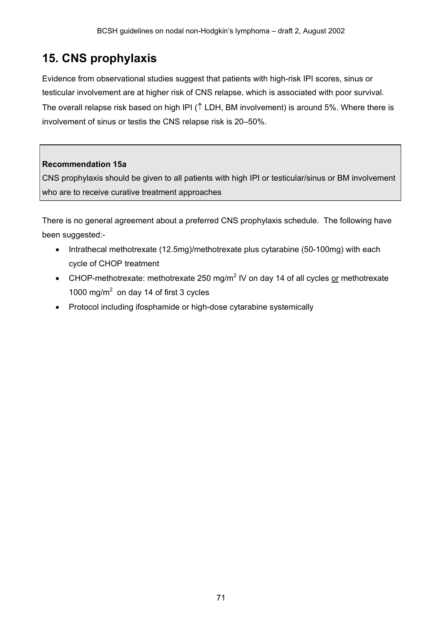# **15. CNS prophylaxis**

Evidence from observational studies suggest that patients with high-risk IPI scores, sinus or testicular involvement are at higher risk of CNS relapse, which is associated with poor survival. The overall relapse risk based on high IPI (↑ LDH, BM involvement) is around 5%. Where there is involvement of sinus or testis the CNS relapse risk is 20–50%.

## **Recommendation 15a**

CNS prophylaxis should be given to all patients with high IPI or testicular/sinus or BM involvement who are to receive curative treatment approaches

There is no general agreement about a preferred CNS prophylaxis schedule. The following have been suggested:-

- Intrathecal methotrexate (12.5mg)/methotrexate plus cytarabine (50-100mg) with each cycle of CHOP treatment
- CHOP-methotrexate: methotrexate 250 mg/m<sup>2</sup> IV on day 14 of all cycles or methotrexate 1000 mg/m<sup>2</sup> on day 14 of first 3 cycles
- Protocol including ifosphamide or high-dose cytarabine systemically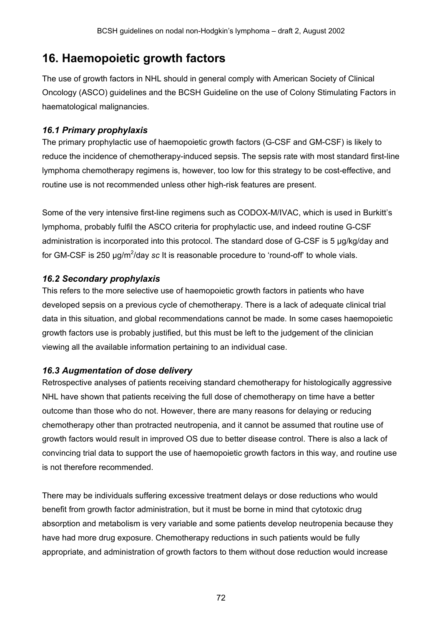# **16. Haemopoietic growth factors**

The use of growth factors in NHL should in general comply with American Society of Clinical Oncology (ASCO) guidelines and the BCSH Guideline on the use of Colony Stimulating Factors in haematological malignancies.

# *16.1 Primary prophylaxis*

The primary prophylactic use of haemopoietic growth factors (G-CSF and GM-CSF) is likely to reduce the incidence of chemotherapy-induced sepsis. The sepsis rate with most standard first-line lymphoma chemotherapy regimens is, however, too low for this strategy to be cost-effective, and routine use is not recommended unless other high-risk features are present.

Some of the very intensive first-line regimens such as CODOX-M/IVAC, which is used in Burkitt's lymphoma, probably fulfil the ASCO criteria for prophylactic use, and indeed routine G-CSF administration is incorporated into this protocol. The standard dose of G-CSF is 5 µg/kg/day and for GM-CSF is 250 µg/m<sup>2</sup>/day sc It is reasonable procedure to 'round-off' to whole vials.

# *16.2 Secondary prophylaxis*

This refers to the more selective use of haemopoietic growth factors in patients who have developed sepsis on a previous cycle of chemotherapy. There is a lack of adequate clinical trial data in this situation, and global recommendations cannot be made. In some cases haemopoietic growth factors use is probably justified, but this must be left to the judgement of the clinician viewing all the available information pertaining to an individual case.

# *16.3 Augmentation of dose delivery*

Retrospective analyses of patients receiving standard chemotherapy for histologically aggressive NHL have shown that patients receiving the full dose of chemotherapy on time have a better outcome than those who do not. However, there are many reasons for delaying or reducing chemotherapy other than protracted neutropenia, and it cannot be assumed that routine use of growth factors would result in improved OS due to better disease control. There is also a lack of convincing trial data to support the use of haemopoietic growth factors in this way, and routine use is not therefore recommended.

There may be individuals suffering excessive treatment delays or dose reductions who would benefit from growth factor administration, but it must be borne in mind that cytotoxic drug absorption and metabolism is very variable and some patients develop neutropenia because they have had more drug exposure. Chemotherapy reductions in such patients would be fully appropriate, and administration of growth factors to them without dose reduction would increase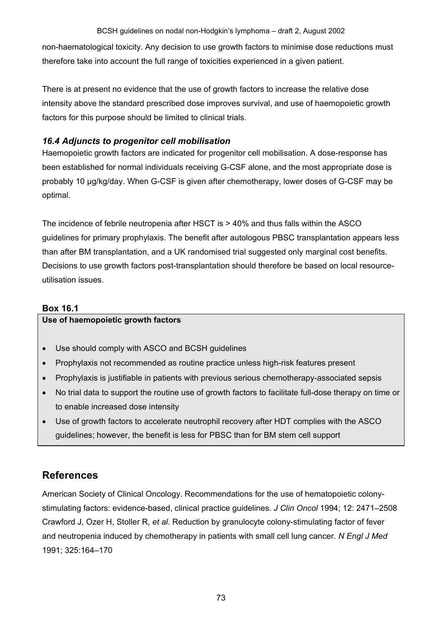non-haematological toxicity. Any decision to use growth factors to minimise dose reductions must therefore take into account the full range of toxicities experienced in a given patient.

There is at present no evidence that the use of growth factors to increase the relative dose intensity above the standard prescribed dose improves survival, and use of haemopoietic growth factors for this purpose should be limited to clinical trials.

### *16.4 Adjuncts to progenitor cell mobilisation*

Haemopoietic growth factors are indicated for progenitor cell mobilisation. A dose-response has been established for normal individuals receiving G-CSF alone, and the most appropriate dose is probably 10 µg/kg/day. When G-CSF is given after chemotherapy, lower doses of G-CSF may be optimal.

The incidence of febrile neutropenia after HSCT is > 40% and thus falls within the ASCO guidelines for primary prophylaxis. The benefit after autologous PBSC transplantation appears less than after BM transplantation, and a UK randomised trial suggested only marginal cost benefits. Decisions to use growth factors post-transplantation should therefore be based on local resourceutilisation issues.

### **Box 16.1**

### **Use of haemopoietic growth factors**

- Use should comply with ASCO and BCSH guidelines
- Prophylaxis not recommended as routine practice unless high-risk features present
- Prophylaxis is justifiable in patients with previous serious chemotherapy-associated sepsis
- No trial data to support the routine use of growth factors to facilitate full-dose therapy on time or to enable increased dose intensity
- Use of growth factors to accelerate neutrophil recovery after HDT complies with the ASCO guidelines; however, the benefit is less for PBSC than for BM stem cell support

# **References**

American Society of Clinical Oncology. Recommendations for the use of hematopoietic colonystimulating factors: evidence-based, clinical practice guidelines. *J Clin Oncol* 1994; 12: 2471–2508 Crawford J, Ozer H, Stoller R, *et al*. Reduction by granulocyte colony-stimulating factor of fever and neutropenia induced by chemotherapy in patients with small cell lung cancer. *N Engl J Med* 1991; 325:164–170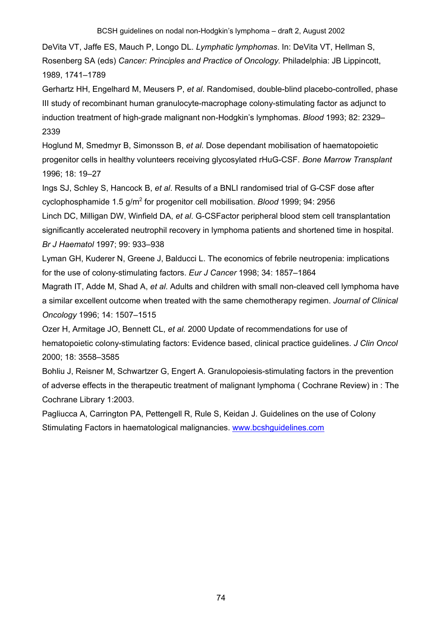DeVita VT, Jaffe ES, Mauch P, Longo DL. *Lymphatic lymphomas*. In: DeVita VT, Hellman S, Rosenberg SA (eds) *Cancer: Principles and Practice of Oncology.* Philadelphia: JB Lippincott, 1989, 1741–1789

Gerhartz HH, Engelhard M, Meusers P, *et al*. Randomised, double-blind placebo-controlled, phase III study of recombinant human granulocyte-macrophage colony-stimulating factor as adjunct to induction treatment of high-grade malignant non-Hodgkin's lymphomas. *Blood* 1993; 82: 2329– 2339

Hoglund M, Smedmyr B, Simonsson B, *et al*. Dose dependant mobilisation of haematopoietic progenitor cells in healthy volunteers receiving glycosylated rHuG-CSF. *Bone Marrow Transplant* 1996; 18: 19–27

Ings SJ, Schley S, Hancock B, *et al*. Results of a BNLI randomised trial of G-CSF dose after cyclophosphamide 1.5 g/m<sup>2</sup> for progenitor cell mobilisation. *Blood* 1999; 94: 2956

Linch DC, Milligan DW, Winfield DA, *et al*. G-CSFactor peripheral blood stem cell transplantation significantly accelerated neutrophil recovery in lymphoma patients and shortened time in hospital. *Br J Haematol* 1997; 99: 933–938

Lyman GH, Kuderer N, Greene J, Balducci L. The economics of febrile neutropenia: implications for the use of colony-stimulating factors. *Eur J Cancer* 1998; 34: 1857–1864

Magrath IT, Adde M, Shad A, *et al*. Adults and children with small non-cleaved cell lymphoma have a similar excellent outcome when treated with the same chemotherapy regimen. *Journal of Clinical Oncology* 1996; 14: 1507–1515

Ozer H, Armitage JO, Bennett CL, *et al.* 2000 Update of recommendations for use of hematopoietic colony-stimulating factors: Evidence based, clinical practice guidelines. *J Clin Oncol*  2000; 18: 3558–3585

Bohliu J, Reisner M, Schwartzer G, Engert A. Granulopoiesis-stimulating factors in the prevention of adverse effects in the therapeutic treatment of malignant lymphoma ( Cochrane Review) in : The Cochrane Library 1:2003.

Pagliucca A, Carrington PA, Pettengell R, Rule S, Keidan J. Guidelines on the use of Colony Stimulating Factors in haematological malignancies. www.bcshguidelines.com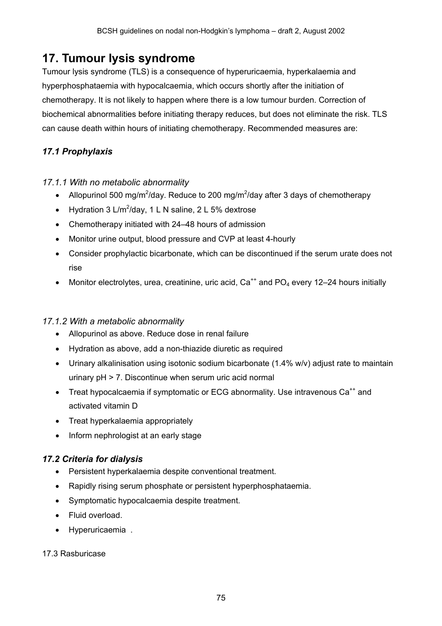# **17. Tumour lysis syndrome**

Tumour lysis syndrome (TLS) is a consequence of hyperuricaemia, hyperkalaemia and hyperphosphataemia with hypocalcaemia, which occurs shortly after the initiation of chemotherapy. It is not likely to happen where there is a low tumour burden. Correction of biochemical abnormalities before initiating therapy reduces, but does not eliminate the risk. TLS can cause death within hours of initiating chemotherapy. Recommended measures are:

### *17.1 Prophylaxis*

### *17.1.1 With no metabolic abnormality*

- Allopurinol 500 mg/m<sup>2</sup>/day. Reduce to 200 mg/m<sup>2</sup>/day after 3 days of chemotherapy
- Hydration 3 L/m<sup>2</sup>/day, 1 L N saline, 2 L 5% dextrose
- Chemotherapy initiated with 24–48 hours of admission
- Monitor urine output, blood pressure and CVP at least 4-hourly
- Consider prophylactic bicarbonate, which can be discontinued if the serum urate does not rise
- Monitor electrolytes, urea, creatinine, uric acid,  $Ca^{++}$  and  $PO_4$  every 12–24 hours initially

### *17.1.2 With a metabolic abnormality*

- Allopurinol as above. Reduce dose in renal failure
- Hydration as above, add a non-thiazide diuretic as required
- Urinary alkalinisation using isotonic sodium bicarbonate (1.4% w/v) adjust rate to maintain urinary pH > 7. Discontinue when serum uric acid normal
- Treat hypocalcaemia if symptomatic or ECG abnormality. Use intravenous  $Ca^{++}$  and activated vitamin D
- Treat hyperkalaemia appropriately
- Inform nephrologist at an early stage

### *17.2 Criteria for dialysis*

- Persistent hyperkalaemia despite conventional treatment.
- Rapidly rising serum phosphate or persistent hyperphosphataemia.
- Symptomatic hypocalcaemia despite treatment.
- Fluid overload.
- Hyperuricaemia .

### 17.3 Rasburicase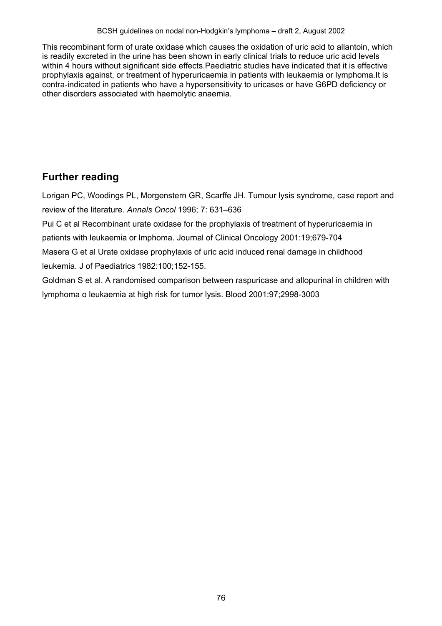This recombinant form of urate oxidase which causes the oxidation of uric acid to allantoin, which is readily excreted in the urine has been shown in early clinical trials to reduce uric acid levels within 4 hours without significant side effects. Paediatric studies have indicated that it is effective prophylaxis against, or treatment of hyperuricaemia in patients with leukaemia or lymphoma.It is contra-indicated in patients who have a hypersensitivity to uricases or have G6PD deficiency or other disorders associated with haemolytic anaemia.

# **Further reading**

Lorigan PC, Woodings PL, Morgenstern GR, Scarffe JH. Tumour lysis syndrome, case report and review of the literature. *Annals Oncol* 1996; 7: 631–636

Pui C et al Recombinant urate oxidase for the prophylaxis of treatment of hyperuricaemia in patients with leukaemia or lmphoma. Journal of Clinical Oncology 2001:19;679-704

Masera G et al Urate oxidase prophylaxis of uric acid induced renal damage in childhood leukemia. J of Paediatrics 1982:100;152-155.

Goldman S et al. A randomised comparison between raspuricase and allopurinal in children with lymphoma o leukaemia at high risk for tumor lysis. Blood 2001:97;2998-3003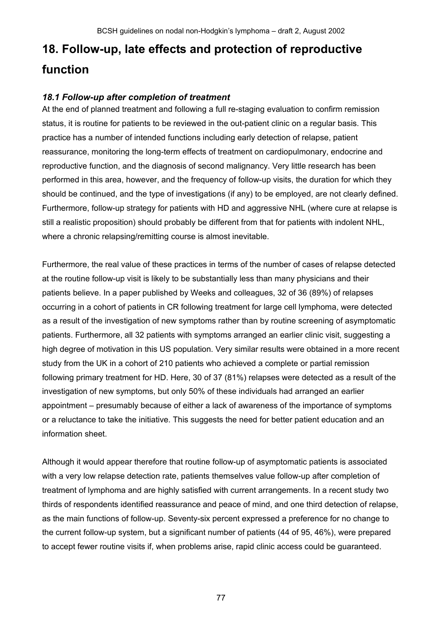# **18. Follow-up, late effects and protection of reproductive function**

### *18.1 Follow-up after completion of treatment*

At the end of planned treatment and following a full re-staging evaluation to confirm remission status, it is routine for patients to be reviewed in the out-patient clinic on a regular basis. This practice has a number of intended functions including early detection of relapse, patient reassurance, monitoring the long-term effects of treatment on cardiopulmonary, endocrine and reproductive function, and the diagnosis of second malignancy. Very little research has been performed in this area, however, and the frequency of follow-up visits, the duration for which they should be continued, and the type of investigations (if any) to be employed, are not clearly defined. Furthermore, follow-up strategy for patients with HD and aggressive NHL (where cure at relapse is still a realistic proposition) should probably be different from that for patients with indolent NHL, where a chronic relapsing/remitting course is almost inevitable.

Furthermore, the real value of these practices in terms of the number of cases of relapse detected at the routine follow-up visit is likely to be substantially less than many physicians and their patients believe. In a paper published by Weeks and colleagues, 32 of 36 (89%) of relapses occurring in a cohort of patients in CR following treatment for large cell lymphoma, were detected as a result of the investigation of new symptoms rather than by routine screening of asymptomatic patients. Furthermore, all 32 patients with symptoms arranged an earlier clinic visit, suggesting a high degree of motivation in this US population. Very similar results were obtained in a more recent study from the UK in a cohort of 210 patients who achieved a complete or partial remission following primary treatment for HD. Here, 30 of 37 (81%) relapses were detected as a result of the investigation of new symptoms, but only 50% of these individuals had arranged an earlier appointment – presumably because of either a lack of awareness of the importance of symptoms or a reluctance to take the initiative. This suggests the need for better patient education and an information sheet.

Although it would appear therefore that routine follow-up of asymptomatic patients is associated with a very low relapse detection rate, patients themselves value follow-up after completion of treatment of lymphoma and are highly satisfied with current arrangements. In a recent study two thirds of respondents identified reassurance and peace of mind, and one third detection of relapse, as the main functions of follow-up. Seventy-six percent expressed a preference for no change to the current follow-up system, but a significant number of patients (44 of 95, 46%), were prepared to accept fewer routine visits if, when problems arise, rapid clinic access could be guaranteed.

77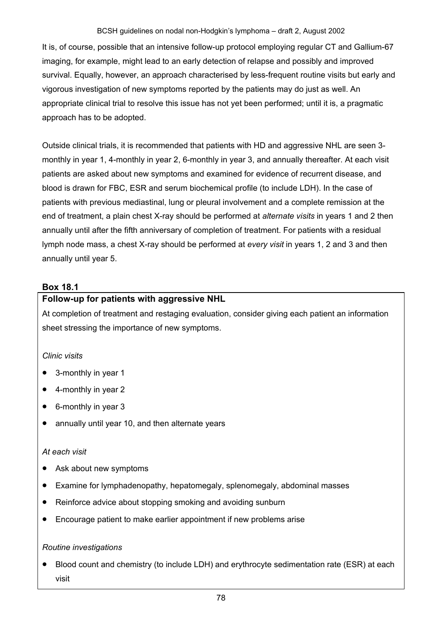It is, of course, possible that an intensive follow-up protocol employing regular CT and Gallium-67 imaging, for example, might lead to an early detection of relapse and possibly and improved survival. Equally, however, an approach characterised by less-frequent routine visits but early and vigorous investigation of new symptoms reported by the patients may do just as well. An appropriate clinical trial to resolve this issue has not yet been performed; until it is, a pragmatic approach has to be adopted.

Outside clinical trials, it is recommended that patients with HD and aggressive NHL are seen 3 monthly in year 1, 4-monthly in year 2, 6-monthly in year 3, and annually thereafter. At each visit patients are asked about new symptoms and examined for evidence of recurrent disease, and blood is drawn for FBC, ESR and serum biochemical profile (to include LDH). In the case of patients with previous mediastinal, lung or pleural involvement and a complete remission at the end of treatment, a plain chest X-ray should be performed at *alternate visits* in years 1 and 2 then annually until after the fifth anniversary of completion of treatment. For patients with a residual lymph node mass, a chest X-ray should be performed at *every visit* in years 1, 2 and 3 and then annually until year 5.

### **Box 18.1**

### **Follow-up for patients with aggressive NHL**

At completion of treatment and restaging evaluation, consider giving each patient an information sheet stressing the importance of new symptoms.

### *Clinic visits*

- 3-monthly in year 1
- 4-monthly in year 2
- 6-monthly in year 3
- annually until year 10, and then alternate years

### *At each visit*

- Ask about new symptoms
- Examine for lymphadenopathy, hepatomegaly, splenomegaly, abdominal masses
- Reinforce advice about stopping smoking and avoiding sunburn
- Encourage patient to make earlier appointment if new problems arise

### *Routine investigations*

• Blood count and chemistry (to include LDH) and erythrocyte sedimentation rate (ESR) at each visit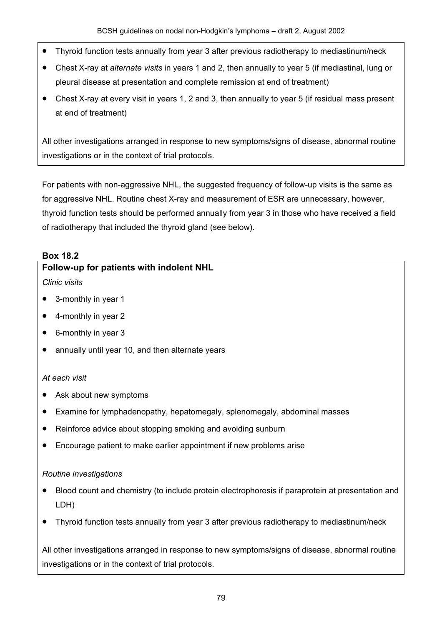- Thyroid function tests annually from year 3 after previous radiotherapy to mediastinum/neck
- Chest X-ray at *alternate visits* in years 1 and 2, then annually to year 5 (if mediastinal, lung or pleural disease at presentation and complete remission at end of treatment)
- Chest X-ray at every visit in years 1, 2 and 3, then annually to year 5 (if residual mass present at end of treatment)

All other investigations arranged in response to new symptoms/signs of disease, abnormal routine investigations or in the context of trial protocols.

For patients with non-aggressive NHL, the suggested frequency of follow-up visits is the same as for aggressive NHL. Routine chest X-ray and measurement of ESR are unnecessary, however, thyroid function tests should be performed annually from year 3 in those who have received a field of radiotherapy that included the thyroid gland (see below).

### **Box 18.2**

### **Follow-up for patients with indolent NHL**

*Clinic visits*

- 3-monthly in year 1
- 4-monthly in year 2
- 6-monthly in year 3
- annually until year 10, and then alternate years

### *At each visit*

- Ask about new symptoms
- Examine for lymphadenopathy, hepatomegaly, splenomegaly, abdominal masses
- Reinforce advice about stopping smoking and avoiding sunburn
- Encourage patient to make earlier appointment if new problems arise

### *Routine investigations*

- Blood count and chemistry (to include protein electrophoresis if paraprotein at presentation and LDH)
- Thyroid function tests annually from year 3 after previous radiotherapy to mediastinum/neck

All other investigations arranged in response to new symptoms/signs of disease, abnormal routine investigations or in the context of trial protocols.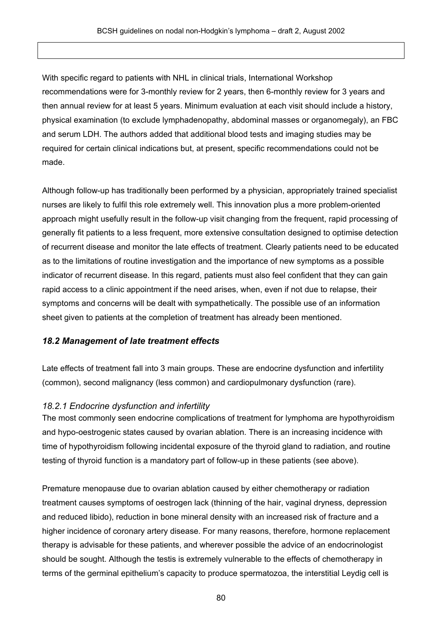With specific regard to patients with NHL in clinical trials, International Workshop recommendations were for 3-monthly review for 2 years, then 6-monthly review for 3 years and then annual review for at least 5 years. Minimum evaluation at each visit should include a history, physical examination (to exclude lymphadenopathy, abdominal masses or organomegaly), an FBC and serum LDH. The authors added that additional blood tests and imaging studies may be required for certain clinical indications but, at present, specific recommendations could not be made.

Although follow-up has traditionally been performed by a physician, appropriately trained specialist nurses are likely to fulfil this role extremely well. This innovation plus a more problem-oriented approach might usefully result in the follow-up visit changing from the frequent, rapid processing of generally fit patients to a less frequent, more extensive consultation designed to optimise detection of recurrent disease and monitor the late effects of treatment. Clearly patients need to be educated as to the limitations of routine investigation and the importance of new symptoms as a possible indicator of recurrent disease. In this regard, patients must also feel confident that they can gain rapid access to a clinic appointment if the need arises, when, even if not due to relapse, their symptoms and concerns will be dealt with sympathetically. The possible use of an information sheet given to patients at the completion of treatment has already been mentioned.

### *18.2 Management of late treatment effects*

Late effects of treatment fall into 3 main groups. These are endocrine dysfunction and infertility (common), second malignancy (less common) and cardiopulmonary dysfunction (rare).

### *18.2.1 Endocrine dysfunction and infertility*

The most commonly seen endocrine complications of treatment for lymphoma are hypothyroidism and hypo-oestrogenic states caused by ovarian ablation. There is an increasing incidence with time of hypothyroidism following incidental exposure of the thyroid gland to radiation, and routine testing of thyroid function is a mandatory part of follow-up in these patients (see above).

Premature menopause due to ovarian ablation caused by either chemotherapy or radiation treatment causes symptoms of oestrogen lack (thinning of the hair, vaginal dryness, depression and reduced libido), reduction in bone mineral density with an increased risk of fracture and a higher incidence of coronary artery disease. For many reasons, therefore, hormone replacement therapy is advisable for these patients, and wherever possible the advice of an endocrinologist should be sought. Although the testis is extremely vulnerable to the effects of chemotherapy in terms of the germinal epithelium's capacity to produce spermatozoa, the interstitial Leydig cell is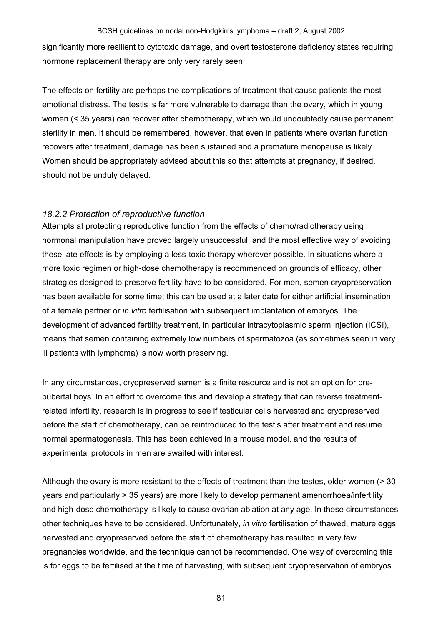significantly more resilient to cytotoxic damage, and overt testosterone deficiency states requiring hormone replacement therapy are only very rarely seen.

The effects on fertility are perhaps the complications of treatment that cause patients the most emotional distress. The testis is far more vulnerable to damage than the ovary, which in young women (< 35 years) can recover after chemotherapy, which would undoubtedly cause permanent sterility in men. It should be remembered, however, that even in patients where ovarian function recovers after treatment, damage has been sustained and a premature menopause is likely. Women should be appropriately advised about this so that attempts at pregnancy, if desired, should not be unduly delayed.

### *18.2.2 Protection of reproductive function*

Attempts at protecting reproductive function from the effects of chemo/radiotherapy using hormonal manipulation have proved largely unsuccessful, and the most effective way of avoiding these late effects is by employing a less-toxic therapy wherever possible. In situations where a more toxic regimen or high-dose chemotherapy is recommended on grounds of efficacy, other strategies designed to preserve fertility have to be considered. For men, semen cryopreservation has been available for some time; this can be used at a later date for either artificial insemination of a female partner or *in vitro* fertilisation with subsequent implantation of embryos. The development of advanced fertility treatment, in particular intracytoplasmic sperm injection (ICSI), means that semen containing extremely low numbers of spermatozoa (as sometimes seen in very ill patients with lymphoma) is now worth preserving.

In any circumstances, cryopreserved semen is a finite resource and is not an option for prepubertal boys. In an effort to overcome this and develop a strategy that can reverse treatmentrelated infertility, research is in progress to see if testicular cells harvested and cryopreserved before the start of chemotherapy, can be reintroduced to the testis after treatment and resume normal spermatogenesis. This has been achieved in a mouse model, and the results of experimental protocols in men are awaited with interest.

Although the ovary is more resistant to the effects of treatment than the testes, older women (> 30 years and particularly > 35 years) are more likely to develop permanent amenorrhoea/infertility, and high-dose chemotherapy is likely to cause ovarian ablation at any age. In these circumstances other techniques have to be considered. Unfortunately, *in vitro* fertilisation of thawed, mature eggs harvested and cryopreserved before the start of chemotherapy has resulted in very few pregnancies worldwide, and the technique cannot be recommended. One way of overcoming this is for eggs to be fertilised at the time of harvesting, with subsequent cryopreservation of embryos

81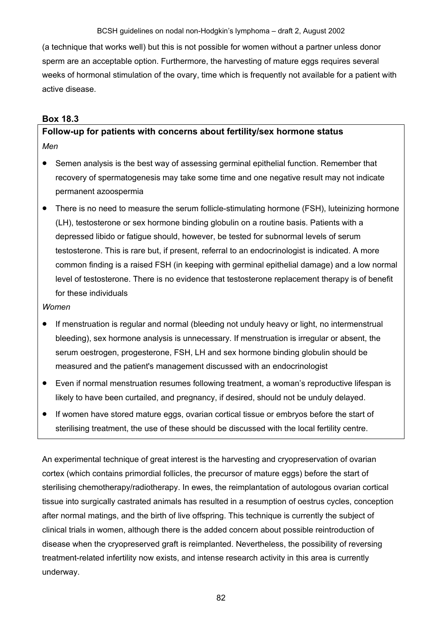(a technique that works well) but this is not possible for women without a partner unless donor sperm are an acceptable option. Furthermore, the harvesting of mature eggs requires several weeks of hormonal stimulation of the ovary, time which is frequently not available for a patient with active disease.

### **Box 18.3**

### **Follow-up for patients with concerns about fertility/sex hormone status**  *Men*

- Semen analysis is the best way of assessing germinal epithelial function. Remember that recovery of spermatogenesis may take some time and one negative result may not indicate permanent azoospermia
- There is no need to measure the serum follicle-stimulating hormone (FSH), luteinizing hormone (LH), testosterone or sex hormone binding globulin on a routine basis. Patients with a depressed libido or fatigue should, however, be tested for subnormal levels of serum testosterone. This is rare but, if present, referral to an endocrinologist is indicated. A more common finding is a raised FSH (in keeping with germinal epithelial damage) and a low normal level of testosterone. There is no evidence that testosterone replacement therapy is of benefit for these individuals

### *Women*

- If menstruation is regular and normal (bleeding not unduly heavy or light, no intermenstrual bleeding), sex hormone analysis is unnecessary. If menstruation is irregular or absent, the serum oestrogen, progesterone, FSH, LH and sex hormone binding globulin should be measured and the patient's management discussed with an endocrinologist
- Even if normal menstruation resumes following treatment, a woman's reproductive lifespan is likely to have been curtailed, and pregnancy, if desired, should not be unduly delayed.
- If women have stored mature eggs, ovarian cortical tissue or embryos before the start of sterilising treatment, the use of these should be discussed with the local fertility centre.

An experimental technique of great interest is the harvesting and cryopreservation of ovarian cortex (which contains primordial follicles, the precursor of mature eggs) before the start of sterilising chemotherapy/radiotherapy. In ewes, the reimplantation of autologous ovarian cortical tissue into surgically castrated animals has resulted in a resumption of oestrus cycles, conception after normal matings, and the birth of live offspring. This technique is currently the subject of clinical trials in women, although there is the added concern about possible reintroduction of disease when the cryopreserved graft is reimplanted. Nevertheless, the possibility of reversing treatment-related infertility now exists, and intense research activity in this area is currently underway.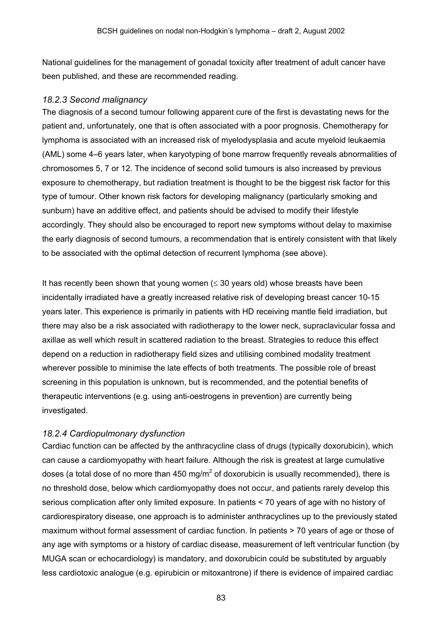National guidelines for the management of gonadal toxicity after treatment of adult cancer have been published, and these are recommended reading.

### *18.2.3 Second malignancy*

The diagnosis of a second tumour following apparent cure of the first is devastating news for the patient and, unfortunately, one that is often associated with a poor prognosis. Chemotherapy for lymphoma is associated with an increased risk of myelodysplasia and acute myeloid leukaemia (AML) some 4–6 years later, when karyotyping of bone marrow frequently reveals abnormalities of chromosomes 5, 7 or 12. The incidence of second solid tumours is also increased by previous exposure to chemotherapy, but radiation treatment is thought to be the biggest risk factor for this type of tumour. Other known risk factors for developing malignancy (particularly smoking and sunburn) have an additive effect, and patients should be advised to modify their lifestyle accordingly. They should also be encouraged to report new symptoms without delay to maximise the early diagnosis of second tumours, a recommendation that is entirely consistent with that likely to be associated with the optimal detection of recurrent lymphoma (see above).

It has recently been shown that young women  $(\leq 30$  years old) whose breasts have been incidentally irradiated have a greatly increased relative risk of developing breast cancer 10-15 years later. This experience is primarily in patients with HD receiving mantle field irradiation, but there may also be a risk associated with radiotherapy to the lower neck, supraclavicular fossa and axillae as well which result in scattered radiation to the breast. Strategies to reduce this effect depend on a reduction in radiotherapy field sizes and utilising combined modality treatment wherever possible to minimise the late effects of both treatments. The possible role of breast screening in this population is unknown, but is recommended, and the potential benefits of therapeutic interventions (e.g. using anti-oestrogens in prevention) are currently being investigated.

### *18.2.4 Cardiopulmonary dysfunction*

Cardiac function can be affected by the anthracycline class of drugs (typically doxorubicin), which can cause a cardiomyopathy with heart failure. Although the risk is greatest at large cumulative doses (a total dose of no more than 450 mg/m<sup>2</sup> of doxorubicin is usually recommended), there is no threshold dose, below which cardiomyopathy does not occur, and patients rarely develop this serious complication after only limited exposure. In patients < 70 years of age with no history of cardiorespiratory disease, one approach is to administer anthracyclines up to the previously stated maximum without formal assessment of cardiac function. In patients > 70 years of age or those of any age with symptoms or a history of cardiac disease, measurement of left ventricular function (by MUGA scan or echocardiology) is mandatory, and doxorubicin could be substituted by arguably less cardiotoxic analogue (e.g. epirubicin or mitoxantrone) if there is evidence of impaired cardiac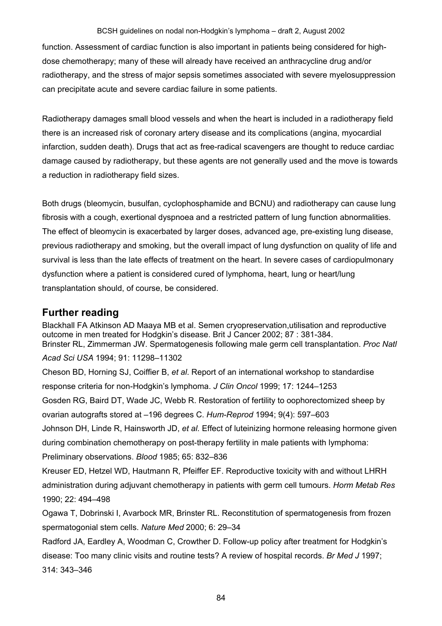function. Assessment of cardiac function is also important in patients being considered for highdose chemotherapy; many of these will already have received an anthracycline drug and/or radiotherapy, and the stress of major sepsis sometimes associated with severe myelosuppression can precipitate acute and severe cardiac failure in some patients.

Radiotherapy damages small blood vessels and when the heart is included in a radiotherapy field there is an increased risk of coronary artery disease and its complications (angina, myocardial infarction, sudden death). Drugs that act as free-radical scavengers are thought to reduce cardiac damage caused by radiotherapy, but these agents are not generally used and the move is towards a reduction in radiotherapy field sizes.

Both drugs (bleomycin, busulfan, cyclophosphamide and BCNU) and radiotherapy can cause lung fibrosis with a cough, exertional dyspnoea and a restricted pattern of lung function abnormalities. The effect of bleomycin is exacerbated by larger doses, advanced age, pre-existing lung disease, previous radiotherapy and smoking, but the overall impact of lung dysfunction on quality of life and survival is less than the late effects of treatment on the heart. In severe cases of cardiopulmonary dysfunction where a patient is considered cured of lymphoma, heart, lung or heart/lung transplantation should, of course, be considered.

### **Further reading**

Blackhall FA Atkinson AD Maaya MB et al. Semen cryopreservation,utilisation and reproductive outcome in men treated for Hodgkin's disease. Brit J Cancer 2002; 87 : 381-384. Brinster RL, Zimmerman JW. Spermatogenesis following male germ cell transplantation. *Proc Natl Acad Sci USA* 1994; 91: 11298–11302 Cheson BD, Horning SJ, Coiffier B, *et al*. Report of an international workshop to standardise response criteria for non-Hodgkin's lymphoma. *J Clin Oncol* 1999; 17: 1244–1253 Gosden RG, Baird DT, Wade JC, Webb R. Restoration of fertility to oophorectomized sheep by ovarian autografts stored at –196 degrees C. *Hum-Reprod* 1994; 9(4): 597–603 Johnson DH, Linde R, Hainsworth JD, *et al.* Effect of luteinizing hormone releasing hormone given during combination chemotherapy on post-therapy fertility in male patients with lymphoma: Preliminary observations. *Blood* 1985; 65: 832–836 Kreuser ED, Hetzel WD, Hautmann R, Pfeiffer EF. Reproductive toxicity with and without LHRH administration during adjuvant chemotherapy in patients with germ cell tumours. *Horm Metab Res* 1990; 22: 494–498 Ogawa T, Dobrinski I, Avarbock MR, Brinster RL. Reconstitution of spermatogenesis from frozen spermatogonial stem cells. *Nature Med* 2000; 6: 29–34

Radford JA, Eardley A, Woodman C, Crowther D. Follow-up policy after treatment for Hodgkin's disease: Too many clinic visits and routine tests? A review of hospital records. *Br Med J* 1997; 314: 343–346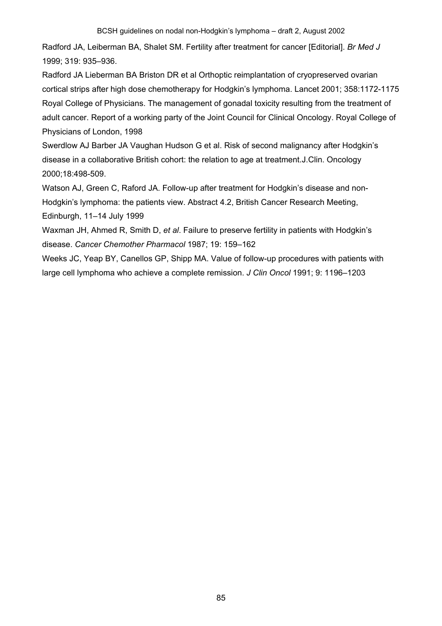Radford JA, Leiberman BA, Shalet SM. Fertility after treatment for cancer [Editorial]. *Br Med J* 1999; 319: 935–936.

Radford JA Lieberman BA Briston DR et al Orthoptic reimplantation of cryopreserved ovarian cortical strips after high dose chemotherapy for Hodgkin's lymphoma. Lancet 2001; 358:1172-1175 Royal College of Physicians. The management of gonadal toxicity resulting from the treatment of adult cancer. Report of a working party of the Joint Council for Clinical Oncology. Royal College of Physicians of London, 1998

Swerdlow AJ Barber JA Vaughan Hudson G et al. Risk of second malignancy after Hodgkin's disease in a collaborative British cohort: the relation to age at treatment.J.Clin. Oncology 2000;18:498-509.

Watson AJ, Green C, Raford JA. Follow-up after treatment for Hodgkin's disease and non-Hodgkin's lymphoma: the patients view. Abstract 4.2, British Cancer Research Meeting, Edinburgh, 11–14 July 1999

Waxman JH, Ahmed R, Smith D, *et al*. Failure to preserve fertility in patients with Hodgkin's disease. *Cancer Chemother Pharmacol* 1987; 19: 159–162

Weeks JC, Yeap BY, Canellos GP, Shipp MA. Value of follow-up procedures with patients with large cell lymphoma who achieve a complete remission. *J Clin Oncol* 1991; 9: 1196–1203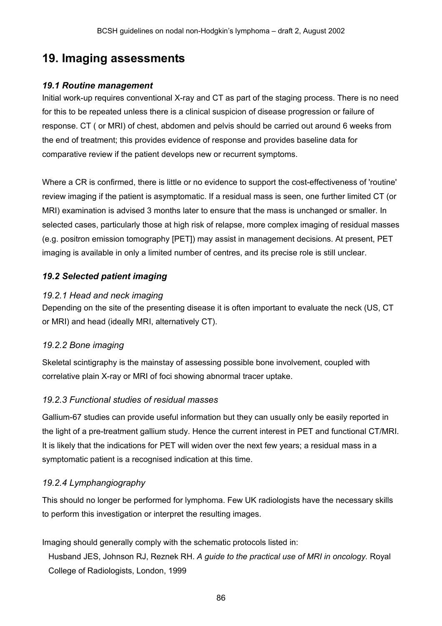# **19. Imaging assessments**

### *19.1 Routine management*

Initial work-up requires conventional X-ray and CT as part of the staging process. There is no need for this to be repeated unless there is a clinical suspicion of disease progression or failure of response. CT ( or MRI) of chest, abdomen and pelvis should be carried out around 6 weeks from the end of treatment; this provides evidence of response and provides baseline data for comparative review if the patient develops new or recurrent symptoms.

Where a CR is confirmed, there is little or no evidence to support the cost-effectiveness of 'routine' review imaging if the patient is asymptomatic. If a residual mass is seen, one further limited CT (or MRI) examination is advised 3 months later to ensure that the mass is unchanged or smaller. In selected cases, particularly those at high risk of relapse, more complex imaging of residual masses (e.g. positron emission tomography [PET]) may assist in management decisions. At present, PET imaging is available in only a limited number of centres, and its precise role is still unclear.

### *19.2 Selected patient imaging*

### *19.2.1 Head and neck imaging*

Depending on the site of the presenting disease it is often important to evaluate the neck (US, CT or MRI) and head (ideally MRI, alternatively CT).

### *19.2.2 Bone imaging*

Skeletal scintigraphy is the mainstay of assessing possible bone involvement, coupled with correlative plain X-ray or MRI of foci showing abnormal tracer uptake.

### *19.2.3 Functional studies of residual masses*

Gallium-67 studies can provide useful information but they can usually only be easily reported in the light of a pre-treatment gallium study. Hence the current interest in PET and functional CT/MRI. It is likely that the indications for PET will widen over the next few years; a residual mass in a symptomatic patient is a recognised indication at this time.

### *19.2.4 Lymphangiography*

This should no longer be performed for lymphoma. Few UK radiologists have the necessary skills to perform this investigation or interpret the resulting images.

Imaging should generally comply with the schematic protocols listed in:

Husband JES, Johnson RJ, Reznek RH. *A guide to the practical use of MRI in oncology.* Royal College of Radiologists, London, 1999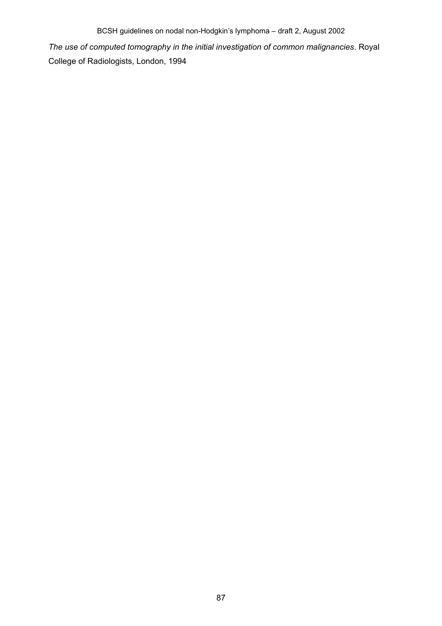*The use of computed tomography in the initial investigation of common malignancies*. Royal College of Radiologists, London, 1994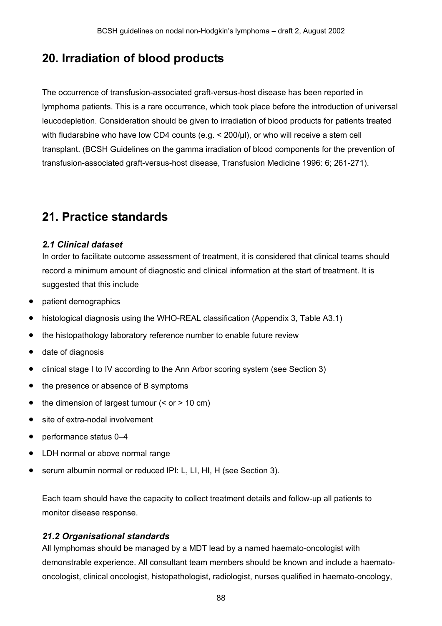# **20. Irradiation of blood products**

The occurrence of transfusion-associated graft-versus-host disease has been reported in lymphoma patients. This is a rare occurrence, which took place before the introduction of universal leucodepletion. Consideration should be given to irradiation of blood products for patients treated with fludarabine who have low CD4 counts (e.g. < 200/ul), or who will receive a stem cell transplant. (BCSH Guidelines on the gamma irradiation of blood components for the prevention of transfusion-associated graft-versus-host disease, Transfusion Medicine 1996: 6; 261-271).

# **21. Practice standards**

### *2.1 Clinical dataset*

In order to facilitate outcome assessment of treatment, it is considered that clinical teams should record a minimum amount of diagnostic and clinical information at the start of treatment. It is suggested that this include

- patient demographics
- histological diagnosis using the WHO-REAL classification (Appendix 3, Table A3.1)
- the histopathology laboratory reference number to enable future review
- date of diagnosis
- clinical stage I to IV according to the Ann Arbor scoring system (see Section 3)
- the presence or absence of B symptoms
- the dimension of largest tumour  $(<$  or  $>$  10 cm)
- site of extra-nodal involvement
- performance status 0–4
- LDH normal or above normal range
- serum albumin normal or reduced IPI: L, LI, HI, H (see Section 3).

Each team should have the capacity to collect treatment details and follow-up all patients to monitor disease response.

### *21.2 Organisational standards*

All lymphomas should be managed by a MDT lead by a named haemato-oncologist with demonstrable experience. All consultant team members should be known and include a haematooncologist, clinical oncologist, histopathologist, radiologist, nurses qualified in haemato-oncology,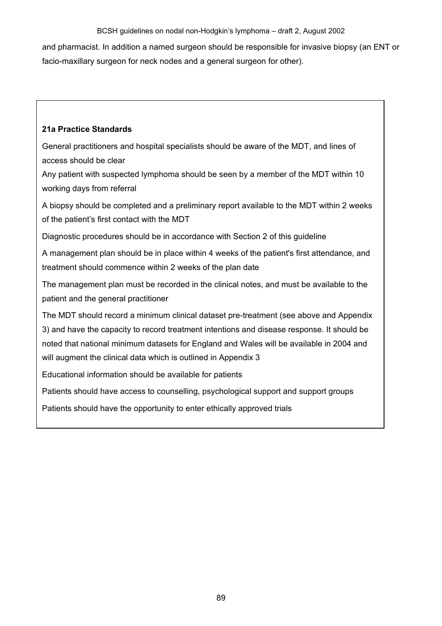and pharmacist. In addition a named surgeon should be responsible for invasive biopsy (an ENT or facio-maxillary surgeon for neck nodes and a general surgeon for other).

### **21a Practice Standards**

General practitioners and hospital specialists should be aware of the MDT, and lines of access should be clear

Any patient with suspected lymphoma should be seen by a member of the MDT within 10 working days from referral

A biopsy should be completed and a preliminary report available to the MDT within 2 weeks of the patient's first contact with the MDT

Diagnostic procedures should be in accordance with Section 2 of this guideline

A management plan should be in place within 4 weeks of the patient's first attendance, and treatment should commence within 2 weeks of the plan date

The management plan must be recorded in the clinical notes, and must be available to the patient and the general practitioner

The MDT should record a minimum clinical dataset pre-treatment (see above and Appendix 3) and have the capacity to record treatment intentions and disease response. It should be noted that national minimum datasets for England and Wales will be available in 2004 and will augment the clinical data which is outlined in Appendix 3

Educational information should be available for patients

Patients should have access to counselling, psychological support and support groups

Patients should have the opportunity to enter ethically approved trials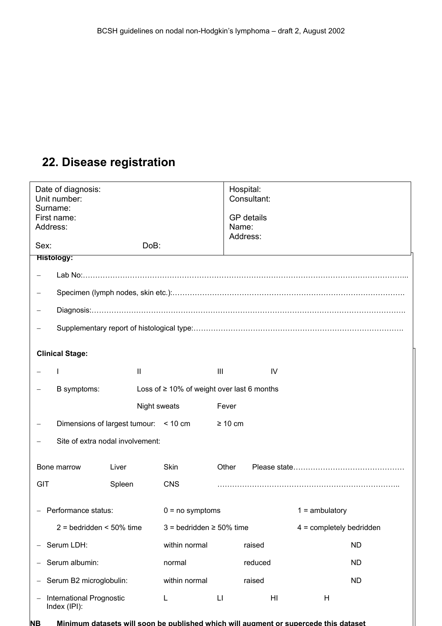# **22. Disease registration**

| Date of diagnosis:<br>Unit number:<br>Surname:<br>First name:<br>Address: |                                          |                                       |                                                 | Hospital:<br>Consultant:<br><b>GP</b> details<br>Name:<br>Address: |                            |                  |  |
|---------------------------------------------------------------------------|------------------------------------------|---------------------------------------|-------------------------------------------------|--------------------------------------------------------------------|----------------------------|------------------|--|
| Sex:                                                                      |                                          | DoB:                                  |                                                 |                                                                    |                            |                  |  |
|                                                                           | <b>Histology:</b>                        |                                       |                                                 |                                                                    |                            |                  |  |
|                                                                           |                                          |                                       |                                                 |                                                                    |                            |                  |  |
|                                                                           |                                          |                                       |                                                 |                                                                    |                            |                  |  |
|                                                                           |                                          |                                       |                                                 |                                                                    |                            |                  |  |
|                                                                           |                                          |                                       |                                                 |                                                                    |                            |                  |  |
|                                                                           |                                          |                                       |                                                 |                                                                    |                            |                  |  |
|                                                                           | <b>Clinical Stage:</b>                   |                                       |                                                 |                                                                    |                            |                  |  |
|                                                                           |                                          | Ш                                     |                                                 | $\mathbf{III}$                                                     | IV                         |                  |  |
|                                                                           | B symptoms:                              |                                       | Loss of $\geq$ 10% of weight over last 6 months |                                                                    |                            |                  |  |
|                                                                           |                                          | Night sweats                          |                                                 | Fever                                                              |                            |                  |  |
|                                                                           |                                          | Dimensions of largest tumour: < 10 cm |                                                 | $\geq 10$ cm                                                       |                            |                  |  |
|                                                                           |                                          | Site of extra nodal involvement:      |                                                 |                                                                    |                            |                  |  |
|                                                                           |                                          |                                       |                                                 |                                                                    |                            |                  |  |
|                                                                           | Bone marrow                              | Liver                                 | Skin                                            | Other                                                              |                            |                  |  |
| <b>GIT</b>                                                                |                                          | Spleen                                | <b>CNS</b>                                      |                                                                    |                            |                  |  |
|                                                                           | - Performance status:                    |                                       | $0 = no$ symptoms                               |                                                                    |                            | $1 =$ ambulatory |  |
| $2 =$ bedridden < 50% time                                                |                                          | $3 =$ bedridden $\geq 50\%$ time      |                                                 |                                                                    | $4 =$ completely bedridden |                  |  |
| Serum LDH:                                                                |                                          | within normal                         |                                                 | raised                                                             |                            | <b>ND</b>        |  |
| Serum albumin:                                                            |                                          | normal                                |                                                 | reduced                                                            |                            | <b>ND</b>        |  |
| Serum B2 microglobulin:                                                   |                                          | within normal                         |                                                 | raised                                                             |                            | <b>ND</b>        |  |
|                                                                           | International Prognostic<br>Index (IPI): |                                       | L                                               | $\lfloor \cdot \rfloor$                                            | HI                         | H                |  |

2 = bedridden < 50% time 3 = bedridden ≥ 50% time 4 = completely bedridden **NB Minimum datasets will soon be published which will augment or supercede this dataset**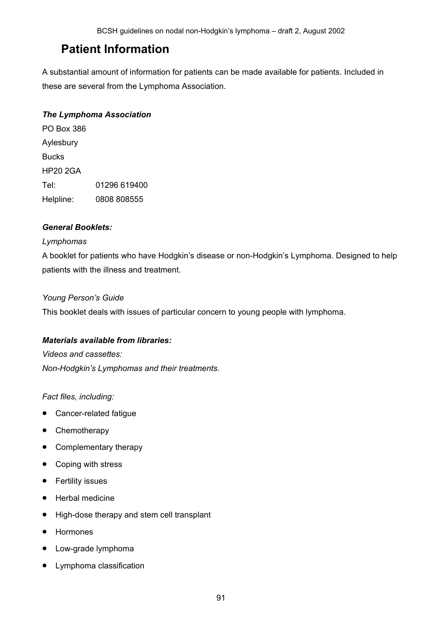# **Patient Information**

A substantial amount of information for patients can be made available for patients. Included in these are several from the Lymphoma Association.

### *The Lymphoma Association*

PO Box 386 Aylesbury Bucks HP20 2GA Tel: 01296 619400 Helpline: 0808 808555

### *General Booklets:*

### *Lymphomas*

A booklet for patients who have Hodgkin's disease or non-Hodgkin's Lymphoma. Designed to help patients with the illness and treatment.

### *Young Person's Guide*

This booklet deals with issues of particular concern to young people with lymphoma.

### *Materials available from libraries:*

*Videos and cassettes:* 

*Non-Hodgkin's Lymphomas and their treatments.*

### *Fact files, including:*

- Cancer-related fatigue
- Chemotherapy
- Complementary therapy
- Coping with stress
- Fertility issues
- Herbal medicine
- High-dose therapy and stem cell transplant
- Hormones
- Low-grade lymphoma
- Lymphoma classification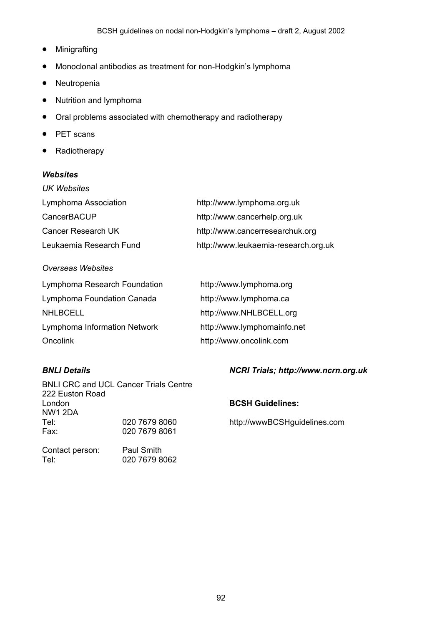- Minigrafting
- Monoclonal antibodies as treatment for non-Hodgkin's lymphoma
- Neutropenia
- Nutrition and lymphoma
- Oral problems associated with chemotherapy and radiotherapy
- PET scans
- Radiotherapy

### *Websites*

| UK Websites             |                                      |
|-------------------------|--------------------------------------|
| Lymphoma Association    | http://www.lymphoma.org.uk           |
| CancerBACUP             | http://www.cancerhelp.org.uk         |
| Cancer Research UK      | http://www.cancerresearchuk.org      |
| Leukaemia Research Fund | http://www.leukaemia-research.org.uk |

### *Overseas Websites*

| Lymphoma Research Foundation | http://www.lymphoma.org     |
|------------------------------|-----------------------------|
| Lymphoma Foundation Canada   | http://www.lymphoma.ca      |
| <b>NHLBCELL</b>              | http://www.NHLBCELL.org     |
| Lymphoma Information Network | http://www.lymphomainfo.net |
| Oncolink                     | http://www.oncolink.com     |

BNLI CRC and UCL Cancer Trials Centre 222 Euston Road London **BCSH Guidelines:**  NW1 2DA Tel: 020 7679 8060 http://wwwBCSHguidelines.com<br>Fax: 020 7679 8061 020 7679 8061

Contact person: Paul Smith Tel: 020 7679 8062

### *BNLI Details NCRI Trials; http://www.ncrn.org.uk*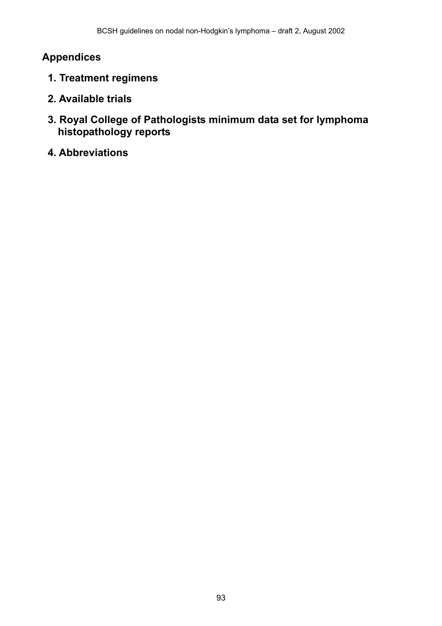# **Appendices**

- **1. Treatment regimens**
- **2. Available trials**
- **3. Royal College of Pathologists minimum data set for lymphoma histopathology reports**
- **4. Abbreviations**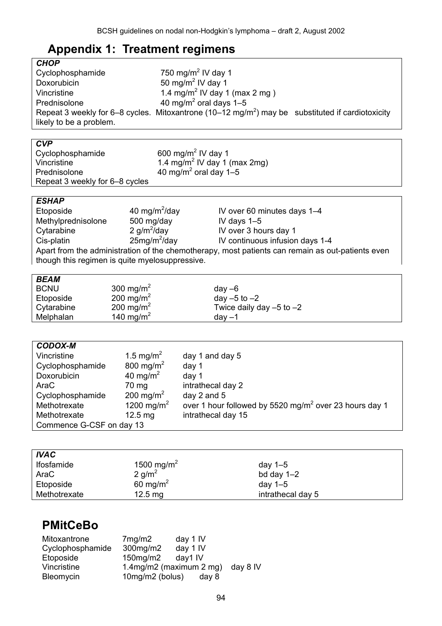# **Appendix 1: Treatment regimens**

| <b>CHOP</b>             |                                                                                                              |  |
|-------------------------|--------------------------------------------------------------------------------------------------------------|--|
| Cyclophosphamide        | 750 mg/m <sup>2</sup> IV day 1                                                                               |  |
| Doxorubicin             | 50 mg/m <sup>2</sup> IV day 1                                                                                |  |
| Vincristine             | 1.4 mg/m <sup>2</sup> IV day 1 (max 2 mg)                                                                    |  |
| Prednisolone            | 40 mg/m <sup>2</sup> oral days $1-5$                                                                         |  |
| likely to be a problem. | Repeat 3 weekly for 6–8 cycles. Mitoxantrone (10–12 mg/m <sup>2</sup> ) may be substituted if cardiotoxicity |  |

| <b>CVP</b>                     |                                          |
|--------------------------------|------------------------------------------|
| Cyclophosphamide               | 600 mg/m <sup>2</sup> IV day 1           |
| Vincristine                    | 1.4 mg/m <sup>2</sup> IV day 1 (max 2mg) |
| Prednisolone                   | 40 mg/m <sup>2</sup> oral day 1-5        |
| Repeat 3 weekly for 6–8 cycles |                                          |
|                                |                                          |

### *ESHAP*

| Etoposide                                                                                        | 40 mg/m <sup>2</sup> /day | IV over 60 minutes days 1-4     |  |  |  |
|--------------------------------------------------------------------------------------------------|---------------------------|---------------------------------|--|--|--|
| Methylprednisolone                                                                               | 500 mg/day                | IV days $1-5$                   |  |  |  |
| Cytarabine                                                                                       | 2 $g/m^2$ /day            | IV over 3 hours day 1           |  |  |  |
| Cis-platin                                                                                       | $25mg/m^2$ /day           | IV continuous infusion days 1-4 |  |  |  |
| Apart from the administration of the chemotherapy, most patients can remain as out-patients even |                           |                                 |  |  |  |
| though this regimen is quite myelosuppressive.                                                   |                           |                                 |  |  |  |

| <b>BEAM</b> |                       |                              |
|-------------|-----------------------|------------------------------|
| <b>BCNU</b> | 300 mg/m <sup>2</sup> | $day -6$                     |
| Etoposide   | 200 mg/m <sup>2</sup> | day $-5$ to $-2$             |
| Cytarabine  | 200 mg/m <sup>2</sup> | Twice daily day $-5$ to $-2$ |
| Melphalan   | 140 mg/m <sup>2</sup> | $day -1$                     |

| <b>CODOX-M</b>           |                        |                                                                    |  |  |
|--------------------------|------------------------|--------------------------------------------------------------------|--|--|
| Vincristine              | 1.5 mg/m <sup>2</sup>  | day 1 and day 5                                                    |  |  |
| Cyclophosphamide         | 800 mg/m <sup>2</sup>  | day 1                                                              |  |  |
| Doxorubicin              | 40 mg/m <sup>2</sup>   | day 1                                                              |  |  |
| AraC                     | 70 mg                  | intrathecal day 2                                                  |  |  |
| Cyclophosphamide         | 200 mg/m <sup>2</sup>  | day 2 and 5                                                        |  |  |
| Methotrexate             | 1200 mg/m <sup>2</sup> | over 1 hour followed by 5520 mg/m <sup>2</sup> over 23 hours day 1 |  |  |
| Methotrexate             | $12.5 \text{ mg}$      | intrathecal day 15                                                 |  |  |
| Commence G-CSF on day 13 |                        |                                                                    |  |  |

| <b>IVAC</b>  |                        |                   |
|--------------|------------------------|-------------------|
| Ifosfamide   | 1500 mg/m <sup>2</sup> | day $1-5$         |
| AraC         | 2 g/m <sup>2</sup>     | bd day $1-2$      |
| Etoposide    | 60 mg/m <sup>2</sup>   | day 1–5           |
| Methotrexate | $12.5 \text{ mg}$      | intrathecal day 5 |

# **PMitCeBo**

| Mitoxantrone     | 7 <sub>mg</sub> /m2       | day 1 IV |          |
|------------------|---------------------------|----------|----------|
| Cyclophosphamide | 300mg/m2                  | day 1 IV |          |
| Etoposide        | $150$ mg/m $2$            | day1 IV  |          |
| Vincristine      | 1.4mg/m2 (maximum $2$ mg) |          | day 8 IV |
| Bleomycin        | 10mg/m2 (bolus)           | day 8    |          |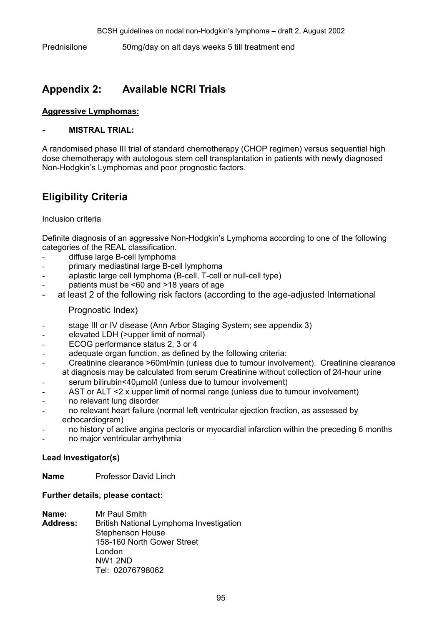Prednisilone 50mg/day on alt days weeks 5 till treatment end

# **Appendix 2: Available NCRI Trials**

### **Aggressive Lymphomas:**

### **- MISTRAL TRIAL:**

A randomised phase III trial of standard chemotherapy (CHOP regimen) versus sequential high dose chemotherapy with autologous stem cell transplantation in patients with newly diagnosed Non-Hodgkin's Lymphomas and poor prognostic factors.

# **Eligibility Criteria**

### Inclusion criteria

Definite diagnosis of an aggressive Non-Hodgkin's Lymphoma according to one of the following categories of the REAL classification.

- diffuse large B-cell lymphoma
- primary mediastinal large B-cell lymphoma
- aplastic large cell lymphoma (B-cell, T-cell or null-cell type)
- patients must be  $<60$  and  $>18$  years of age
- at least 2 of the following risk factors (according to the age-adjusted International

Prognostic Index)

- stage III or IV disease (Ann Arbor Staging System; see appendix 3)
- elevated LDH (>upper limit of normal)
- ECOG performance status 2, 3 or 4
- adequate organ function, as defined by the following criteria:
- Creatinine clearance >60ml/min (unless due to tumour involvement). Creatinine clearance at diagnosis may be calculated from serum Creatinine without collection of 24-hour urine
- $serum\, bilirubin<40µmol/l$  (unless due to tumour involvement)
- AST or ALT <2 x upper limit of normal range (unless due to tumour involvement)
- no relevant lung disorder
- no relevant heart failure (normal left ventricular ejection fraction, as assessed by echocardiogram)
- no history of active angina pectoris or myocardial infarction within the preceding 6 months
- no major ventricular arrhythmia

### **Lead Investigator(s)**

**Name** Professor David Linch

### **Further details, please contact:**

- **Name:** Mr Paul Smith
- **Address:** British National Lymphoma Investigation Stephenson House 158-160 North Gower Street London NW1 2ND Tel: 02076798062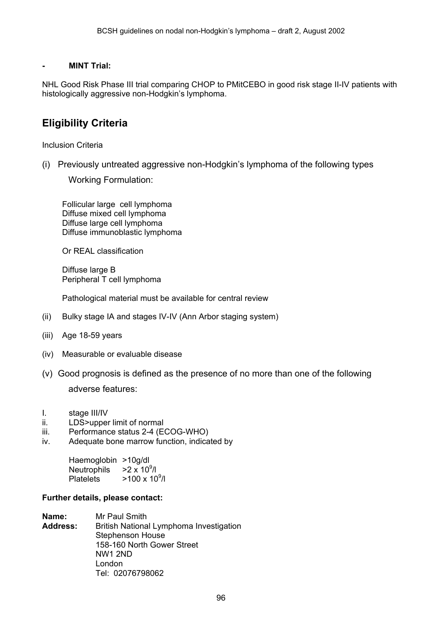### **- MINT Trial:**

NHL Good Risk Phase III trial comparing CHOP to PMitCEBO in good risk stage II-IV patients with histologically aggressive non-Hodgkin's lymphoma.

# **Eligibility Criteria**

Inclusion Criteria

(i) Previously untreated aggressive non-Hodgkin's lymphoma of the following types

Working Formulation:

Follicular large cell lymphoma Diffuse mixed cell lymphoma Diffuse large cell lymphoma Diffuse immunoblastic lymphoma

Or REAL classification

Diffuse large B Peripheral T cell lymphoma

Pathological material must be available for central review

- (ii) Bulky stage IA and stages IV-IV (Ann Arbor staging system)
- (iii) Age 18-59 years
- (iv) Measurable or evaluable disease
- (v) Good prognosis is defined as the presence of no more than one of the following

adverse features:

- I. stage III/IV
- ii. LDS>upper limit of normal
- iii. Performance status 2-4 (ECOG-WHO)
- iv. Adequate bone marrow function, indicated by

Haemoglobin >10g/dl Neutrophils  $>2 \times 10^9$ /l Platelets  $>100 \times 10^9$ /l

#### **Further details, please contact:**

**Name:** Mr Paul Smith **Address:** British National Lymphoma Investigation Stephenson House 158-160 North Gower Street NW1 2ND London Tel: 02076798062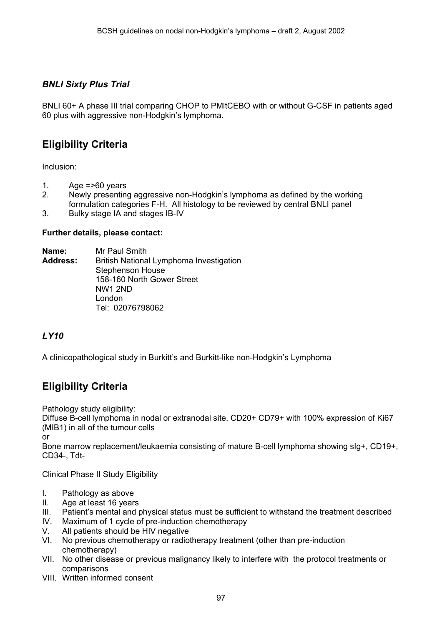### *BNLI Sixty Plus Trial*

BNLI 60+ A phase III trial comparing CHOP to PMltCEBO with or without G-CSF in patients aged 60 plus with aggressive non-Hodgkin's lymphoma.

# **Eligibility Criteria**

Inclusion:

- 1. Age  $\approx$  560 years
- 2. Newly presenting aggressive non-Hodgkin's lymphoma as defined by the working formulation categories F-H. All histology to be reviewed by central BNLI panel
- 3. Bulky stage IA and stages IB-IV

### **Further details, please contact:**

**Name:** Mr Paul Smith **Address:** British National Lymphoma Investigation Stephenson House 158-160 North Gower Street NW1 2ND London Tel: 02076798062

### *LY10*

A clinicopathological study in Burkitt's and Burkitt-like non-Hodgkin's Lymphoma

# **Eligibility Criteria**

Pathology study eligibility:

Diffuse B-cell lymphoma in nodal or extranodal site, CD20+ CD79+ with 100% expression of Ki67 (MIB1) in all of the tumour cells

or

Bone marrow replacement/leukaemia consisting of mature B-cell lymphoma showing sIg+, CD19+, CD34-, Tdt-

Clinical Phase II Study Eligibility

- I. Pathology as above
- II. Age at least 16 years
- III. Patient's mental and physical status must be sufficient to withstand the treatment described
- IV. Maximum of 1 cycle of pre-induction chemotherapy
- V. All patients should be HIV negative
- VI. No previous chemotherapy or radiotherapy treatment (other than pre-induction chemotherapy)
- VII. No other disease or previous malignancy likely to interfere with the protocol treatments or comparisons
- VIII. Written informed consent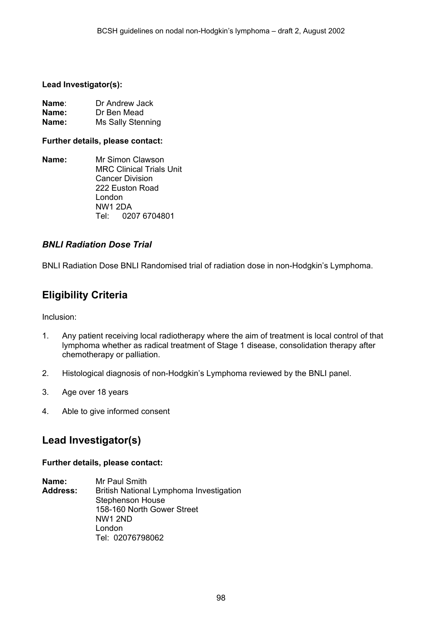### **Lead Investigator(s):**

| Name∶ | Dr Andrew Jack    |
|-------|-------------------|
| Name: | Dr Ben Mead       |
| Name: | Ms Sally Stenning |

### **Further details, please contact:**

**Name:** Mr Simon Clawson MRC Clinical Trials Unit Cancer Division 222 Euston Road London NW1 2DA Tel: 0207 6704801

### *BNLI Radiation Dose Trial*

BNLI Radiation Dose BNLI Randomised trial of radiation dose in non-Hodgkin's Lymphoma.

# **Eligibility Criteria**

Inclusion:

- 1. Any patient receiving local radiotherapy where the aim of treatment is local control of that lymphoma whether as radical treatment of Stage 1 disease, consolidation therapy after chemotherapy or palliation.
- 2. Histological diagnosis of non-Hodgkin's Lymphoma reviewed by the BNLI panel.
- 3. Age over 18 years
- 4. Able to give informed consent

# **Lead Investigator(s)**

### **Further details, please contact:**

**Name:** Mr Paul Smith **Address:** British National Lymphoma Investigation Stephenson House 158-160 North Gower Street NW1 2ND London Tel: 02076798062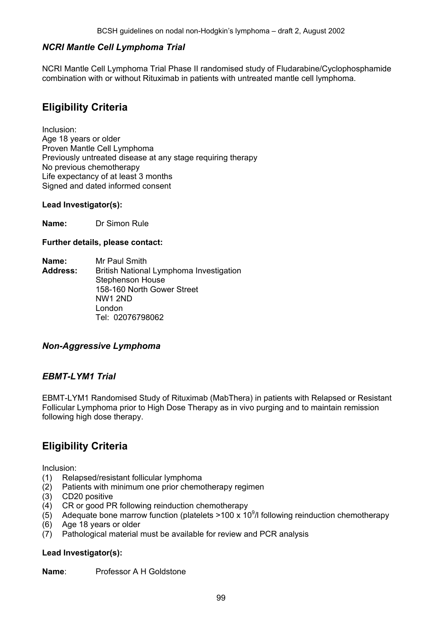### *NCRI Mantle Cell Lymphoma Trial*

NCRI Mantle Cell Lymphoma Trial Phase II randomised study of Fludarabine/Cyclophosphamide combination with or without Rituximab in patients with untreated mantle cell lymphoma.

# **Eligibility Criteria**

Inclusion: Age 18 years or older Proven Mantle Cell Lymphoma Previously untreated disease at any stage requiring therapy No previous chemotherapy Life expectancy of at least 3 months Signed and dated informed consent

### **Lead Investigator(s):**

**Name:** Dr Simon Rule

### **Further details, please contact:**

**Name:** Mr Paul Smith **Address:** British National Lymphoma Investigation Stephenson House 158-160 North Gower Street NW1 2ND London Tel: 02076798062

### *Non-Aggressive Lymphoma*

### *EBMT-LYM1 Trial*

EBMT-LYM1 Randomised Study of Rituximab (MabThera) in patients with Relapsed or Resistant Follicular Lymphoma prior to High Dose Therapy as in vivo purging and to maintain remission following high dose therapy.

# **Eligibility Criteria**

Inclusion:

- (1) Relapsed/resistant follicular lymphoma
- (2) Patients with minimum one prior chemotherapy regimen
- (3) CD20 positive
- (4) CR or good PR following reinduction chemotherapy
- (5) Adequate bone marrow function (platelets >100 x 10<sup>9</sup>/l following reinduction chemotherapy
- (6) Age 18 years or older
- (7) Pathological material must be available for review and PCR analysis

### **Lead Investigator(s):**

**Name**: Professor A H Goldstone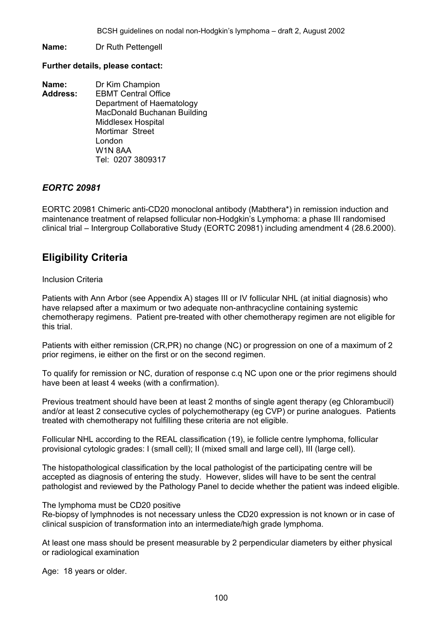**Name:** Dr Ruth Pettengell

#### **Further details, please contact:**

**Name:** Dr Kim Champion **Address:** EBMT Central Office Department of Haematology MacDonald Buchanan Building Middlesex Hospital Mortimar Street London W1N 8AA Tel: 0207 3809317

### *EORTC 20981*

EORTC 20981 Chimeric anti-CD20 monoclonal antibody (Mabthera\*) in remission induction and maintenance treatment of relapsed follicular non-Hodgkin's Lymphoma: a phase III randomised clinical trial – Intergroup Collaborative Study (EORTC 20981) including amendment 4 (28.6.2000).

# **Eligibility Criteria**

### Inclusion Criteria

Patients with Ann Arbor (see Appendix A) stages III or IV follicular NHL (at initial diagnosis) who have relapsed after a maximum or two adequate non-anthracycline containing systemic chemotherapy regimens. Patient pre-treated with other chemotherapy regimen are not eligible for this trial.

Patients with either remission (CR,PR) no change (NC) or progression on one of a maximum of 2 prior regimens, ie either on the first or on the second regimen.

To qualify for remission or NC, duration of response c.q NC upon one or the prior regimens should have been at least 4 weeks (with a confirmation).

Previous treatment should have been at least 2 months of single agent therapy (eg Chlorambucil) and/or at least 2 consecutive cycles of polychemotherapy (eg CVP) or purine analogues. Patients treated with chemotherapy not fulfilling these criteria are not eligible.

Follicular NHL according to the REAL classification (19), ie follicle centre lymphoma, follicular provisional cytologic grades: I (small cell); II (mixed small and large cell), III (large cell).

The histopathological classification by the local pathologist of the participating centre will be accepted as diagnosis of entering the study. However, slides will have to be sent the central pathologist and reviewed by the Pathology Panel to decide whether the patient was indeed eligible.

#### The lymphoma must be CD20 positive

Re-biopsy of lymphnodes is not necessary unless the CD20 expression is not known or in case of clinical suspicion of transformation into an intermediate/high grade lymphoma.

At least one mass should be present measurable by 2 perpendicular diameters by either physical or radiological examination

Age: 18 years or older.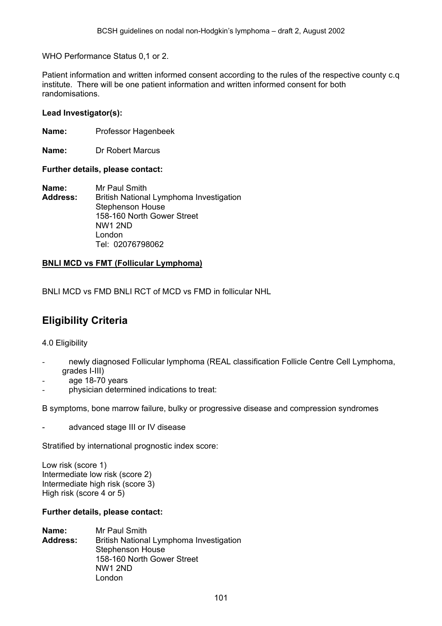WHO Performance Status 0,1 or 2.

Patient information and written informed consent according to the rules of the respective county c.q institute. There will be one patient information and written informed consent for both randomisations.

### **Lead Investigator(s):**

**Name:** Professor Hagenbeek

**Name:** Dr Robert Marcus

#### **Further details, please contact:**

**Name:** Mr Paul Smith **Address:** British National Lymphoma Investigation Stephenson House 158-160 North Gower Street NW1 2ND London Tel: 02076798062

### **BNLI MCD vs FMT (Follicular Lymphoma)**

BNLI MCD vs FMD BNLI RCT of MCD vs FMD in follicular NHL

# **Eligibility Criteria**

4.0 Eligibility

- newly diagnosed Follicular lymphoma (REAL classification Follicle Centre Cell Lymphoma, grades I-III)
- age 18-70 years
- physician determined indications to treat:

B symptoms, bone marrow failure, bulky or progressive disease and compression syndromes

advanced stage III or IV disease

Stratified by international prognostic index score:

Low risk (score 1) Intermediate low risk (score 2) Intermediate high risk (score 3) High risk (score 4 or 5)

#### **Further details, please contact:**

**Name:** Mr Paul Smith **Address:** British National Lymphoma Investigation Stephenson House 158-160 North Gower Street NW1 2ND London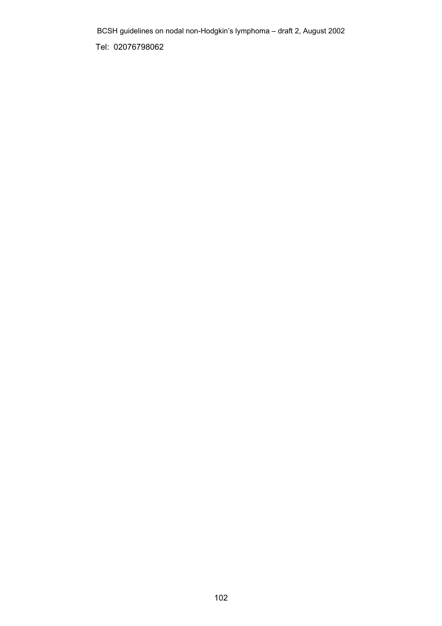Tel: 02076798062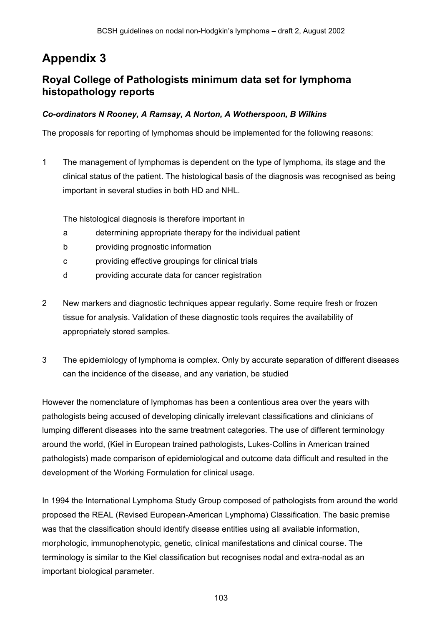# **Appendix 3**

### **Royal College of Pathologists minimum data set for lymphoma histopathology reports**

### *Co-ordinators N Rooney, A Ramsay, A Norton, A Wotherspoon, B Wilkins*

The proposals for reporting of lymphomas should be implemented for the following reasons:

1 The management of lymphomas is dependent on the type of lymphoma, its stage and the clinical status of the patient. The histological basis of the diagnosis was recognised as being important in several studies in both HD and NHL.

The histological diagnosis is therefore important in

- a determining appropriate therapy for the individual patient
- b providing prognostic information
- c providing effective groupings for clinical trials
- d providing accurate data for cancer registration
- 2 New markers and diagnostic techniques appear regularly. Some require fresh or frozen tissue for analysis. Validation of these diagnostic tools requires the availability of appropriately stored samples.
- 3 The epidemiology of lymphoma is complex. Only by accurate separation of different diseases can the incidence of the disease, and any variation, be studied

However the nomenclature of lymphomas has been a contentious area over the years with pathologists being accused of developing clinically irrelevant classifications and clinicians of lumping different diseases into the same treatment categories. The use of different terminology around the world, (Kiel in European trained pathologists, Lukes-Collins in American trained pathologists) made comparison of epidemiological and outcome data difficult and resulted in the development of the Working Formulation for clinical usage.

In 1994 the International Lymphoma Study Group composed of pathologists from around the world proposed the REAL (Revised European-American Lymphoma) Classification. The basic premise was that the classification should identify disease entities using all available information, morphologic, immunophenotypic, genetic, clinical manifestations and clinical course. The terminology is similar to the Kiel classification but recognises nodal and extra-nodal as an important biological parameter.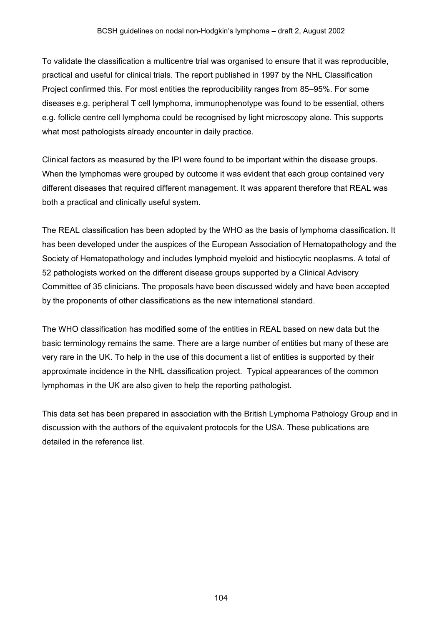To validate the classification a multicentre trial was organised to ensure that it was reproducible, practical and useful for clinical trials. The report published in 1997 by the NHL Classification Project confirmed this. For most entities the reproducibility ranges from 85–95%. For some diseases e.g. peripheral T cell lymphoma, immunophenotype was found to be essential, others e.g. follicle centre cell lymphoma could be recognised by light microscopy alone. This supports what most pathologists already encounter in daily practice.

Clinical factors as measured by the IPI were found to be important within the disease groups. When the lymphomas were grouped by outcome it was evident that each group contained very different diseases that required different management. It was apparent therefore that REAL was both a practical and clinically useful system.

The REAL classification has been adopted by the WHO as the basis of lymphoma classification. It has been developed under the auspices of the European Association of Hematopathology and the Society of Hematopathology and includes lymphoid myeloid and histiocytic neoplasms. A total of 52 pathologists worked on the different disease groups supported by a Clinical Advisory Committee of 35 clinicians. The proposals have been discussed widely and have been accepted by the proponents of other classifications as the new international standard.

The WHO classification has modified some of the entities in REAL based on new data but the basic terminology remains the same. There are a large number of entities but many of these are very rare in the UK. To help in the use of this document a list of entities is supported by their approximate incidence in the NHL classification project. Typical appearances of the common lymphomas in the UK are also given to help the reporting pathologist.

This data set has been prepared in association with the British Lymphoma Pathology Group and in discussion with the authors of the equivalent protocols for the USA. These publications are detailed in the reference list.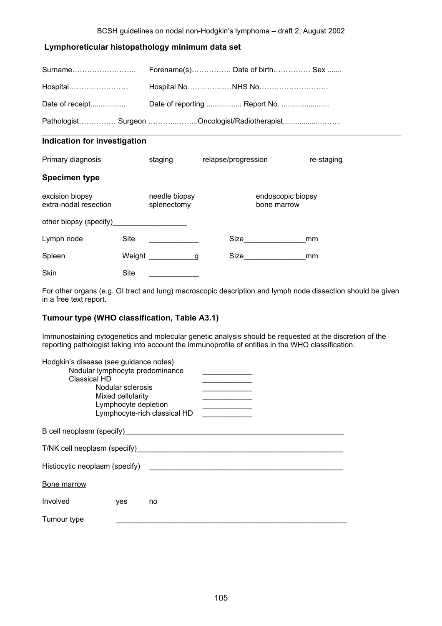### **Lymphoreticular histopathology minimum data set**

| Surname                                       |         | Forename(s) Date of birth Sex |            |  |  |  |
|-----------------------------------------------|---------|-------------------------------|------------|--|--|--|
| Hospital                                      |         |                               |            |  |  |  |
| Date of receipt                               |         |                               |            |  |  |  |
| Pathologist Surgeon Oncologist/Radiotherapist |         |                               |            |  |  |  |
| Indication for investigation                  |         |                               |            |  |  |  |
| Primary diagnosis                             | staging | relapse/progression           | re-staging |  |  |  |
| <b>Specimen type</b>                          |         |                               |            |  |  |  |
|                                               |         |                               |            |  |  |  |

| excision biopsy<br>extra-nodal resection  |        | needle biopsy<br>splenectomy |     |      | endoscopic biopsy<br>bone marrow |    |
|-------------------------------------------|--------|------------------------------|-----|------|----------------------------------|----|
| other biopsy (specify)___________________ |        |                              |     |      |                                  |    |
| Lymph node                                | Site   |                              |     | Size |                                  | mm |
| Spleen                                    | Weight |                              | a d | Size |                                  | mm |
| <b>Skin</b>                               | Site   |                              |     |      |                                  |    |

For other organs (e.g. GI tract and lung) macroscopic description and lymph node dissection should be given in a free text report.

### **Tumour type (WHO classification, Table A3.1)**

Immunostaining cytogenetics and molecular genetic analysis should be requested at the discretion of the reporting pathologist taking into account the immunoprofile of entities in the WHO classification.

| Hodgkin's disease (see guidance notes)<br>Classical HD                                                                                                                                                                        | Nodular sclerosis<br>Mixed cellularity<br>Lymphocyte depletion | Nodular lymphocyte predominance<br>Lymphocyte-rich classical HD | the control of the control of the control of |  |  |
|-------------------------------------------------------------------------------------------------------------------------------------------------------------------------------------------------------------------------------|----------------------------------------------------------------|-----------------------------------------------------------------|----------------------------------------------|--|--|
| B cell neoplasm (specify) and the control of the control of the control of the control of the control of the control of the control of the control of the control of the control of the control of the control of the control |                                                                |                                                                 |                                              |  |  |
| T/NK cell neoplasm (specify)                                                                                                                                                                                                  |                                                                |                                                                 |                                              |  |  |
| Histiocytic neoplasm (specify)                                                                                                                                                                                                |                                                                |                                                                 |                                              |  |  |
| Bone marrow                                                                                                                                                                                                                   |                                                                |                                                                 |                                              |  |  |
| Involved                                                                                                                                                                                                                      | yes                                                            | no                                                              |                                              |  |  |
| Tumour type                                                                                                                                                                                                                   |                                                                |                                                                 |                                              |  |  |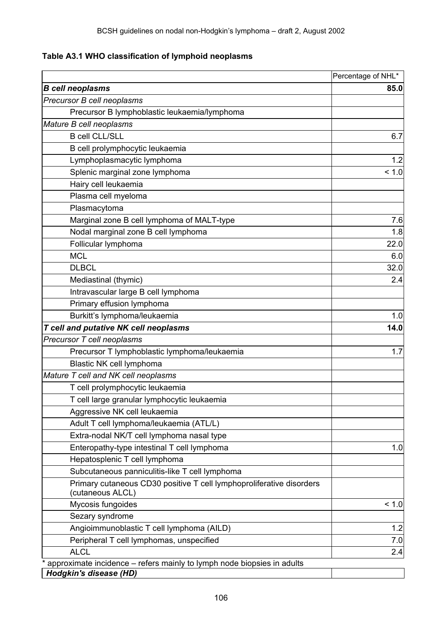**Table A3.1 WHO classification of lymphoid neoplasms** 

|                                                                                                         | Percentage of NHL* |
|---------------------------------------------------------------------------------------------------------|--------------------|
| <b>B</b> cell neoplasms                                                                                 | 85.0               |
| Precursor B cell neoplasms                                                                              |                    |
| Precursor B lymphoblastic leukaemia/lymphoma                                                            |                    |
| Mature B cell neoplasms                                                                                 |                    |
| <b>B</b> cell CLL/SLL                                                                                   | 6.7                |
| B cell prolymphocytic leukaemia                                                                         |                    |
| Lymphoplasmacytic lymphoma                                                                              | 1.2                |
| Splenic marginal zone lymphoma                                                                          | < 1.0              |
| Hairy cell leukaemia                                                                                    |                    |
| Plasma cell myeloma                                                                                     |                    |
| Plasmacytoma                                                                                            |                    |
| Marginal zone B cell lymphoma of MALT-type                                                              | 7.6                |
| Nodal marginal zone B cell lymphoma                                                                     | 1.8                |
| Follicular lymphoma                                                                                     | 22.0               |
| <b>MCL</b>                                                                                              | 6.0                |
| <b>DLBCL</b>                                                                                            | 32.0               |
| Mediastinal (thymic)                                                                                    | 2.4                |
| Intravascular large B cell lymphoma                                                                     |                    |
| Primary effusion lymphoma                                                                               |                    |
| Burkitt's lymphoma/leukaemia                                                                            | 1.0                |
| T cell and putative NK cell neoplasms                                                                   | 14.0               |
| Precursor T cell neoplasms                                                                              |                    |
| Precursor T lymphoblastic lymphoma/leukaemia                                                            | 1.7                |
| Blastic NK cell lymphoma                                                                                |                    |
| Mature T cell and NK cell neoplasms                                                                     |                    |
| T cell prolymphocytic leukaemia                                                                         |                    |
| T cell large granular lymphocytic leukaemia                                                             |                    |
| Aggressive NK cell leukaemia                                                                            |                    |
| Adult T cell lymphoma/leukaemia (ATL/L)                                                                 |                    |
| Extra-nodal NK/T cell lymphoma nasal type                                                               |                    |
| Enteropathy-type intestinal T cell lymphoma                                                             | 1.0                |
| Hepatosplenic T cell lymphoma                                                                           |                    |
| Subcutaneous panniculitis-like T cell lymphoma                                                          |                    |
| Primary cutaneous CD30 positive T cell lymphoproliferative disorders<br>(cutaneous ALCL)                |                    |
| Mycosis fungoides                                                                                       | < 1.0              |
| Sezary syndrome                                                                                         |                    |
| Angioimmunoblastic T cell lymphoma (AILD)                                                               | 1.2                |
| Peripheral T cell lymphomas, unspecified                                                                | 7.0                |
| <b>ALCL</b>                                                                                             | 2.4                |
| approximate incidence – refers mainly to lymph node biopsies in adults<br><b>Hodgkin's disease (HD)</b> |                    |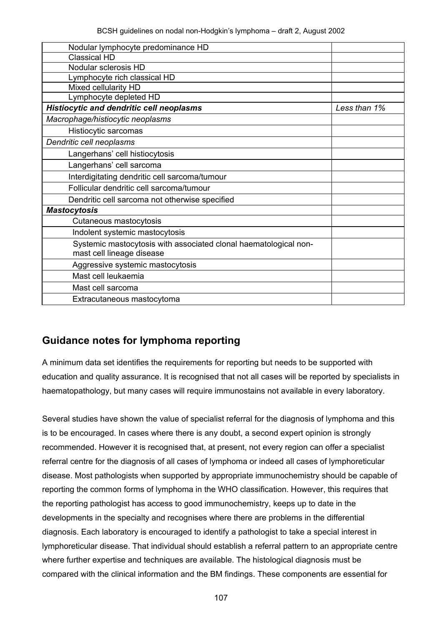| Nodular lymphocyte predominance HD                               |              |
|------------------------------------------------------------------|--------------|
| <b>Classical HD</b>                                              |              |
| Nodular sclerosis HD                                             |              |
| Lymphocyte rich classical HD                                     |              |
| Mixed cellularity HD                                             |              |
| Lymphocyte depleted HD                                           |              |
| <b>Histiocytic and dendritic cell neoplasms</b>                  | Less than 1% |
| Macrophage/histiocytic neoplasms                                 |              |
| Histiocytic sarcomas                                             |              |
| Dendritic cell neoplasms                                         |              |
| Langerhans' cell histiocytosis                                   |              |
| Langerhans' cell sarcoma                                         |              |
| Interdigitating dendritic cell sarcoma/tumour                    |              |
| Follicular dendritic cell sarcoma/tumour                         |              |
| Dendritic cell sarcoma not otherwise specified                   |              |
| <b>Mastocytosis</b>                                              |              |
| Cutaneous mastocytosis                                           |              |
| Indolent systemic mastocytosis                                   |              |
| Systemic mastocytosis with associated clonal haematological non- |              |
| mast cell lineage disease                                        |              |
| Aggressive systemic mastocytosis                                 |              |
| Mast cell leukaemia                                              |              |
| Mast cell sarcoma                                                |              |
| Extracutaneous mastocytoma                                       |              |
|                                                                  |              |

# **Guidance notes for lymphoma reporting**

A minimum data set identifies the requirements for reporting but needs to be supported with education and quality assurance. It is recognised that not all cases will be reported by specialists in haematopathology, but many cases will require immunostains not available in every laboratory.

Several studies have shown the value of specialist referral for the diagnosis of lymphoma and this is to be encouraged. In cases where there is any doubt, a second expert opinion is strongly recommended. However it is recognised that, at present, not every region can offer a specialist referral centre for the diagnosis of all cases of lymphoma or indeed all cases of lymphoreticular disease. Most pathologists when supported by appropriate immunochemistry should be capable of reporting the common forms of lymphoma in the WHO classification. However, this requires that the reporting pathologist has access to good immunochemistry, keeps up to date in the developments in the specialty and recognises where there are problems in the differential diagnosis. Each laboratory is encouraged to identify a pathologist to take a special interest in lymphoreticular disease. That individual should establish a referral pattern to an appropriate centre where further expertise and techniques are available. The histological diagnosis must be compared with the clinical information and the BM findings. These components are essential for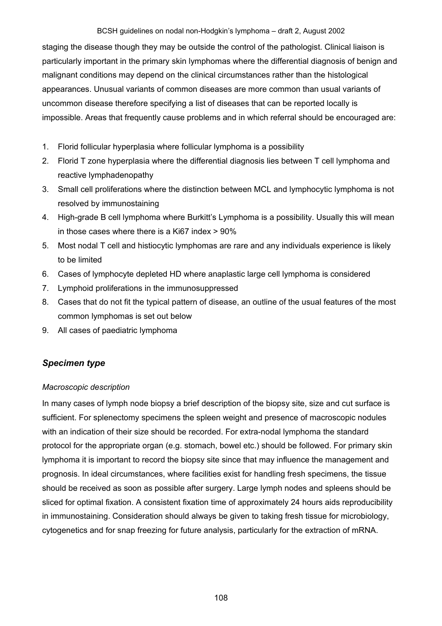staging the disease though they may be outside the control of the pathologist. Clinical liaison is particularly important in the primary skin lymphomas where the differential diagnosis of benign and malignant conditions may depend on the clinical circumstances rather than the histological appearances. Unusual variants of common diseases are more common than usual variants of uncommon disease therefore specifying a list of diseases that can be reported locally is impossible. Areas that frequently cause problems and in which referral should be encouraged are:

- 1. Florid follicular hyperplasia where follicular lymphoma is a possibility
- 2. Florid T zone hyperplasia where the differential diagnosis lies between T cell lymphoma and reactive lymphadenopathy
- 3. Small cell proliferations where the distinction between MCL and lymphocytic lymphoma is not resolved by immunostaining
- 4. High-grade B cell lymphoma where Burkitt's Lymphoma is a possibility. Usually this will mean in those cases where there is a Ki67 index > 90%
- 5. Most nodal T cell and histiocytic lymphomas are rare and any individuals experience is likely to be limited
- 6. Cases of lymphocyte depleted HD where anaplastic large cell lymphoma is considered
- 7. Lymphoid proliferations in the immunosuppressed
- 8. Cases that do not fit the typical pattern of disease, an outline of the usual features of the most common lymphomas is set out below
- 9. All cases of paediatric lymphoma

### *Specimen type*

### *Macroscopic description*

In many cases of lymph node biopsy a brief description of the biopsy site, size and cut surface is sufficient. For splenectomy specimens the spleen weight and presence of macroscopic nodules with an indication of their size should be recorded. For extra-nodal lymphoma the standard protocol for the appropriate organ (e.g. stomach, bowel etc.) should be followed. For primary skin lymphoma it is important to record the biopsy site since that may influence the management and prognosis. In ideal circumstances, where facilities exist for handling fresh specimens, the tissue should be received as soon as possible after surgery. Large lymph nodes and spleens should be sliced for optimal fixation. A consistent fixation time of approximately 24 hours aids reproducibility in immunostaining. Consideration should always be given to taking fresh tissue for microbiology, cytogenetics and for snap freezing for future analysis, particularly for the extraction of mRNA.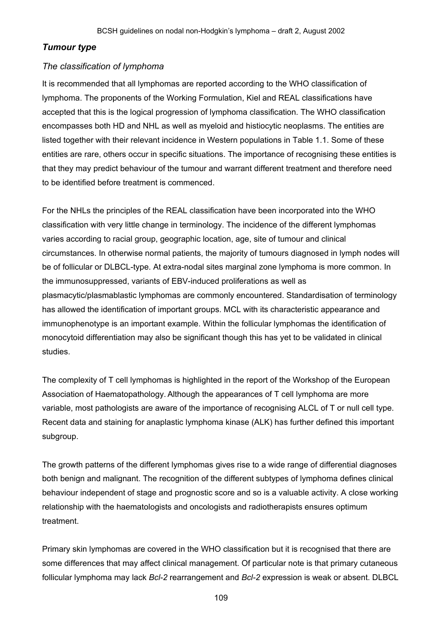# *Tumour type*

# *The classification of lymphoma*

It is recommended that all lymphomas are reported according to the WHO classification of lymphoma. The proponents of the Working Formulation, Kiel and REAL classifications have accepted that this is the logical progression of lymphoma classification. The WHO classification encompasses both HD and NHL as well as myeloid and histiocytic neoplasms. The entities are listed together with their relevant incidence in Western populations in Table 1.1. Some of these entities are rare, others occur in specific situations. The importance of recognising these entities is that they may predict behaviour of the tumour and warrant different treatment and therefore need to be identified before treatment is commenced.

For the NHLs the principles of the REAL classification have been incorporated into the WHO classification with very little change in terminology. The incidence of the different lymphomas varies according to racial group, geographic location, age, site of tumour and clinical circumstances. In otherwise normal patients, the majority of tumours diagnosed in lymph nodes will be of follicular or DLBCL-type. At extra-nodal sites marginal zone lymphoma is more common. In the immunosuppressed, variants of EBV-induced proliferations as well as plasmacytic/plasmablastic lymphomas are commonly encountered. Standardisation of terminology has allowed the identification of important groups. MCL with its characteristic appearance and immunophenotype is an important example. Within the follicular lymphomas the identification of monocytoid differentiation may also be significant though this has yet to be validated in clinical studies.

The complexity of T cell lymphomas is highlighted in the report of the Workshop of the European Association of Haematopathology. Although the appearances of T cell lymphoma are more variable, most pathologists are aware of the importance of recognising ALCL of T or null cell type. Recent data and staining for anaplastic lymphoma kinase (ALK) has further defined this important subgroup.

The growth patterns of the different lymphomas gives rise to a wide range of differential diagnoses both benign and malignant. The recognition of the different subtypes of lymphoma defines clinical behaviour independent of stage and prognostic score and so is a valuable activity. A close working relationship with the haematologists and oncologists and radiotherapists ensures optimum treatment.

Primary skin lymphomas are covered in the WHO classification but it is recognised that there are some differences that may affect clinical management. Of particular note is that primary cutaneous follicular lymphoma may lack *Bcl-2* rearrangement and *Bcl-2* expression is weak or absent. DLBCL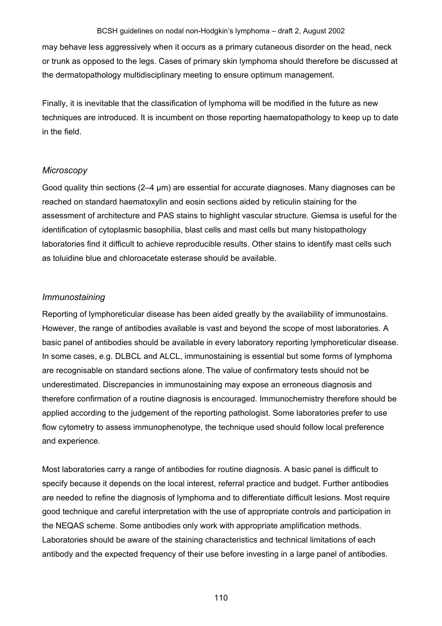may behave less aggressively when it occurs as a primary cutaneous disorder on the head, neck or trunk as opposed to the legs. Cases of primary skin lymphoma should therefore be discussed at the dermatopathology multidisciplinary meeting to ensure optimum management.

Finally, it is inevitable that the classification of lymphoma will be modified in the future as new techniques are introduced. It is incumbent on those reporting haematopathology to keep up to date in the field.

#### *Microscopy*

Good quality thin sections (2–4 µm) are essential for accurate diagnoses. Many diagnoses can be reached on standard haematoxylin and eosin sections aided by reticulin staining for the assessment of architecture and PAS stains to highlight vascular structure. Giemsa is useful for the identification of cytoplasmic basophilia, blast cells and mast cells but many histopathology laboratories find it difficult to achieve reproducible results. Other stains to identify mast cells such as toluidine blue and chloroacetate esterase should be available.

### *Immunostaining*

Reporting of lymphoreticular disease has been aided greatly by the availability of immunostains. However, the range of antibodies available is vast and beyond the scope of most laboratories. A basic panel of antibodies should be available in every laboratory reporting lymphoreticular disease. In some cases, e.g. DLBCL and ALCL, immunostaining is essential but some forms of lymphoma are recognisable on standard sections alone. The value of confirmatory tests should not be underestimated. Discrepancies in immunostaining may expose an erroneous diagnosis and therefore confirmation of a routine diagnosis is encouraged. Immunochemistry therefore should be applied according to the judgement of the reporting pathologist. Some laboratories prefer to use flow cytometry to assess immunophenotype, the technique used should follow local preference and experience.

Most laboratories carry a range of antibodies for routine diagnosis. A basic panel is difficult to specify because it depends on the local interest, referral practice and budget. Further antibodies are needed to refine the diagnosis of lymphoma and to differentiate difficult lesions. Most require good technique and careful interpretation with the use of appropriate controls and participation in the NEQAS scheme. Some antibodies only work with appropriate amplification methods. Laboratories should be aware of the staining characteristics and technical limitations of each antibody and the expected frequency of their use before investing in a large panel of antibodies.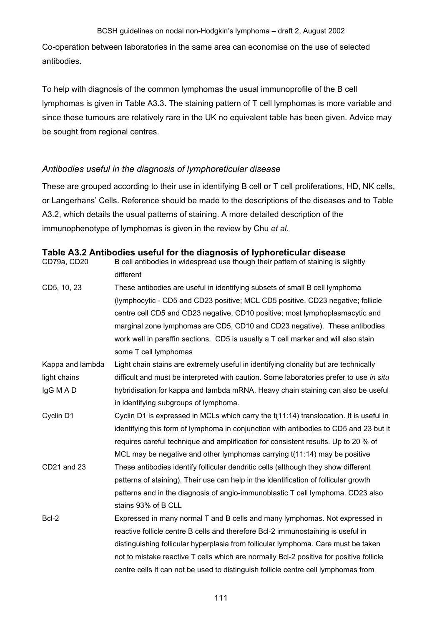Co-operation between laboratories in the same area can economise on the use of selected antibodies.

To help with diagnosis of the common lymphomas the usual immunoprofile of the B cell lymphomas is given in Table A3.3. The staining pattern of T cell lymphomas is more variable and since these tumours are relatively rare in the UK no equivalent table has been given. Advice may be sought from regional centres.

# *Antibodies useful in the diagnosis of lymphoreticular disease*

These are grouped according to their use in identifying B cell or T cell proliferations, HD, NK cells, or Langerhans' Cells. Reference should be made to the descriptions of the diseases and to Table A3.2, which details the usual patterns of staining. A more detailed description of the immunophenotype of lymphomas is given in the review by Chu *et al*.

| B cell antibodies in widespread use though their pattern of staining is slightly<br>different |
|-----------------------------------------------------------------------------------------------|
| These antibodies are useful in identifying subsets of small B cell lymphoma                   |
| (lymphocytic - CD5 and CD23 positive; MCL CD5 positive, CD23 negative; follicle               |
| centre cell CD5 and CD23 negative, CD10 positive; most lymphoplasmacytic and                  |
| marginal zone lymphomas are CD5, CD10 and CD23 negative). These antibodies                    |
| work well in paraffin sections. CD5 is usually a T cell marker and will also stain            |
| some T cell lymphomas                                                                         |
| Light chain stains are extremely useful in identifying clonality but are technically          |
| difficult and must be interpreted with caution. Some laboratories prefer to use in situ       |
| hybridisation for kappa and lambda mRNA. Heavy chain staining can also be useful              |
| in identifying subgroups of lymphoma.                                                         |
| Cyclin D1 is expressed in MCLs which carry the t(11:14) translocation. It is useful in        |
| identifying this form of lymphoma in conjunction with antibodies to CD5 and 23 but it         |
| requires careful technique and amplification for consistent results. Up to 20 % of            |
| MCL may be negative and other lymphomas carrying t(11:14) may be positive                     |
| These antibodies identify follicular dendritic cells (although they show different            |
| patterns of staining). Their use can help in the identification of follicular growth          |
| patterns and in the diagnosis of angio-immunoblastic T cell lymphoma. CD23 also               |
| stains 93% of B CLL                                                                           |
| Expressed in many normal T and B cells and many lymphomas. Not expressed in                   |
| reactive follicle centre B cells and therefore Bcl-2 immunostaining is useful in              |
| distinguishing follicular hyperplasia from follicular lymphoma. Care must be taken            |
| not to mistake reactive T cells which are normally Bcl-2 positive for positive follicle       |
| centre cells It can not be used to distinguish follicle centre cell lymphomas from            |
|                                                                                               |

### **Table A3.2 Antibodies useful for the diagnosis of lyphoreticular disease**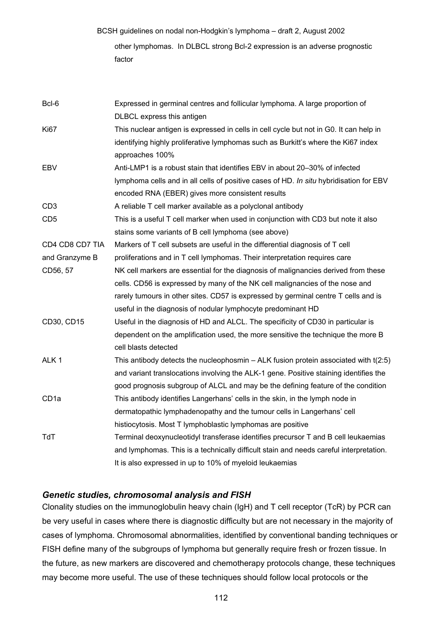BCSH guidelines on nodal non-Hodgkin's lymphoma – draft 2, August 2002 other lymphomas. In DLBCL strong Bcl-2 expression is an adverse prognostic factor

| Bcl-6            | Expressed in germinal centres and follicular lymphoma. A large proportion of            |
|------------------|-----------------------------------------------------------------------------------------|
|                  | DLBCL express this antigen                                                              |
| <b>Ki67</b>      | This nuclear antigen is expressed in cells in cell cycle but not in G0. It can help in  |
|                  | identifying highly proliferative lymphomas such as Burkitt's where the Ki67 index       |
|                  | approaches 100%                                                                         |
| EBV              | Anti-LMP1 is a robust stain that identifies EBV in about 20-30% of infected             |
|                  | lymphoma cells and in all cells of positive cases of HD. In situ hybridisation for EBV  |
|                  | encoded RNA (EBER) gives more consistent results                                        |
| CD <sub>3</sub>  | A reliable T cell marker available as a polyclonal antibody                             |
| CD <sub>5</sub>  | This is a useful T cell marker when used in conjunction with CD3 but note it also       |
|                  | stains some variants of B cell lymphoma (see above)                                     |
| CD4 CD8 CD7 TIA  | Markers of T cell subsets are useful in the differential diagnosis of T cell            |
| and Granzyme B   | proliferations and in T cell lymphomas. Their interpretation requires care              |
| CD56, 57         | NK cell markers are essential for the diagnosis of malignancies derived from these      |
|                  | cells. CD56 is expressed by many of the NK cell malignancies of the nose and            |
|                  | rarely tumours in other sites. CD57 is expressed by germinal centre T cells and is      |
|                  | useful in the diagnosis of nodular lymphocyte predominant HD                            |
| CD30, CD15       | Useful in the diagnosis of HD and ALCL. The specificity of CD30 in particular is        |
|                  | dependent on the amplification used, the more sensitive the technique the more B        |
|                  | cell blasts detected                                                                    |
| ALK <sub>1</sub> | This antibody detects the nucleophosmin $-$ ALK fusion protein associated with $t(2:5)$ |
|                  | and variant translocations involving the ALK-1 gene. Positive staining identifies the   |
|                  | good prognosis subgroup of ALCL and may be the defining feature of the condition        |
| CD <sub>1a</sub> | This antibody identifies Langerhans' cells in the skin, in the lymph node in            |
|                  | dermatopathic lymphadenopathy and the tumour cells in Langerhans' cell                  |
|                  | histiocytosis. Most T lymphoblastic lymphomas are positive                              |
| TdT              | Terminal deoxynucleotidyl transferase identifies precursor T and B cell leukaemias      |
|                  | and lymphomas. This is a technically difficult stain and needs careful interpretation.  |
|                  | It is also expressed in up to 10% of myeloid leukaemias                                 |

# *Genetic studies, chromosomal analysis and FISH*

Clonality studies on the immunoglobulin heavy chain (IgH) and T cell receptor (TcR) by PCR can be very useful in cases where there is diagnostic difficulty but are not necessary in the majority of cases of lymphoma. Chromosomal abnormalities, identified by conventional banding techniques or FISH define many of the subgroups of lymphoma but generally require fresh or frozen tissue. In the future, as new markers are discovered and chemotherapy protocols change, these techniques may become more useful. The use of these techniques should follow local protocols or the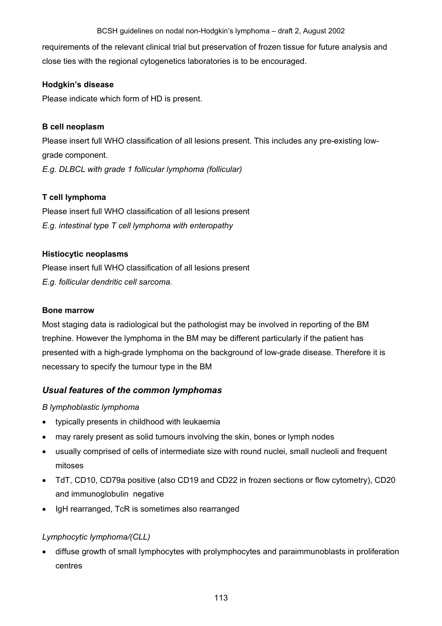requirements of the relevant clinical trial but preservation of frozen tissue for future analysis and close ties with the regional cytogenetics laboratories is to be encouraged.

# **Hodgkin's disease**

Please indicate which form of HD is present.

### **B cell neoplasm**

Please insert full WHO classification of all lesions present. This includes any pre-existing lowgrade component. *E.g. DLBCL with grade 1 follicular lymphoma (follicular)* 

# **T cell lymphoma**

Please insert full WHO classification of all lesions present *E.g. intestinal type T cell lymphoma with enteropathy* 

### **Histiocytic neoplasms**

Please insert full WHO classification of all lesions present *E.g. follicular dendritic cell sarcoma.* 

#### **Bone marrow**

Most staging data is radiological but the pathologist may be involved in reporting of the BM trephine. However the lymphoma in the BM may be different particularly if the patient has presented with a high-grade lymphoma on the background of low-grade disease. Therefore it is necessary to specify the tumour type in the BM

# *Usual features of the common lymphomas*

# *B lymphoblastic lymphoma*

- typically presents in childhood with leukaemia
- may rarely present as solid tumours involving the skin, bones or lymph nodes
- usually comprised of cells of intermediate size with round nuclei, small nucleoli and frequent mitoses
- TdT, CD10, CD79a positive (also CD19 and CD22 in frozen sections or flow cytometry), CD20 and immunoglobulin negative
- IgH rearranged, TcR is sometimes also rearranged

# *Lymphocytic lymphoma/(CLL)*

• diffuse growth of small lymphocytes with prolymphocytes and paraimmunoblasts in proliferation centres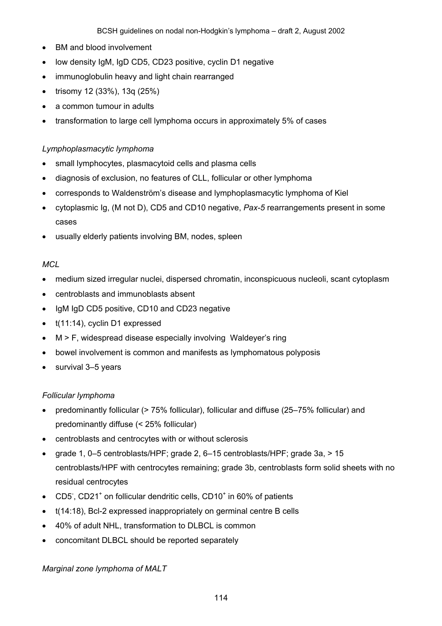- BM and blood involvement
- low density IgM, IgD CD5, CD23 positive, cyclin D1 negative
- immunoglobulin heavy and light chain rearranged
- trisomy 12 (33%), 13q (25%)
- a common tumour in adults
- transformation to large cell lymphoma occurs in approximately 5% of cases

### *Lymphoplasmacytic lymphoma*

- small lymphocytes, plasmacytoid cells and plasma cells
- diagnosis of exclusion, no features of CLL, follicular or other lymphoma
- corresponds to Waldenström's disease and lymphoplasmacytic lymphoma of Kiel
- cytoplasmic Ig, (M not D), CD5 and CD10 negative, *Pax-5* rearrangements present in some cases
- usually elderly patients involving BM, nodes, spleen

### *MCL*

- medium sized irregular nuclei, dispersed chromatin, inconspicuous nucleoli, scant cytoplasm
- centroblasts and immunoblasts absent
- IgM IgD CD5 positive, CD10 and CD23 negative
- t(11:14), cyclin D1 expressed
- M > F, widespread disease especially involving Waldeyer's ring
- bowel involvement is common and manifests as lymphomatous polyposis
- survival 3-5 years

#### *Follicular lymphoma*

- predominantly follicular (> 75% follicular), follicular and diffuse (25–75% follicular) and predominantly diffuse (< 25% follicular)
- centroblasts and centrocytes with or without sclerosis
- grade 1, 0–5 centroblasts/HPF; grade 2, 6–15 centroblasts/HPF; grade 3a, > 15 centroblasts/HPF with centrocytes remaining; grade 3b, centroblasts form solid sheets with no residual centrocytes
- CD5, CD21<sup>+</sup> on follicular dendritic cells, CD10<sup>+</sup> in 60% of patients
- t(14:18), Bcl-2 expressed inappropriately on germinal centre B cells
- 40% of adult NHL, transformation to DLBCL is common
- concomitant DLBCL should be reported separately

#### *Marginal zone lymphoma of MALT*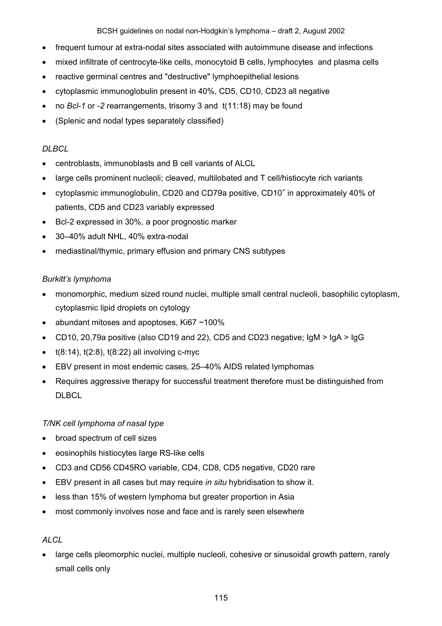- frequent tumour at extra-nodal sites associated with autoimmune disease and infections
- mixed infiltrate of centrocyte-like cells, monocytoid B cells, lymphocytes and plasma cells
- reactive germinal centres and "destructive" lymphoepithelial lesions
- cytoplasmic immunoglobulin present in 40%, CD5, CD10, CD23 all negative
- no *Bcl-1* or -2 rearrangements, trisomy 3 and t(11:18) may be found
- (Splenic and nodal types separately classified)

# *DLBCL*

- centroblasts, immunoblasts and B cell variants of ALCL
- large cells prominent nucleoli; cleaved, multilobated and T cell/histiocyte rich variants
- cytoplasmic immunoglobulin, CD20 and CD79a positive, CD10<sup>+</sup> in approximately 40% of patients, CD5 and CD23 variably expressed
- Bcl-2 expressed in 30%, a poor prognostic marker
- 30–40% adult NHL, 40% extra-nodal
- mediastinal/thymic, primary effusion and primary CNS subtypes

# *Burkitt's lymphoma*

- monomorphic, medium sized round nuclei, multiple small central nucleoli, basophilic cytoplasm, cytoplasmic lipid droplets on cytology
- abundant mitoses and apoptoses, Ki67~100%
- CD10, 20,79a positive (also CD19 and 22), CD5 and CD23 negative; IgM > IgA > IgG
- $\bullet$  t(8:14), t(2:8), t(8:22) all involving c-myc
- EBV present in most endemic cases, 25–40% AIDS related lymphomas
- Requires aggressive therapy for successful treatment therefore must be distinguished from DLBCL

# *T/NK cell lymphoma of nasal type*

- broad spectrum of cell sizes
- eosinophils histiocytes large RS-like cells
- CD3 and CD56 CD45RO variable, CD4, CD8, CD5 negative, CD20 rare
- EBV present in all cases but may require *in situ* hybridisation to show it.
- less than 15% of western lymphoma but greater proportion in Asia
- most commonly involves nose and face and is rarely seen elsewhere

# *ALCL*

• large cells pleomorphic nuclei, multiple nucleoli, cohesive or sinusoidal growth pattern, rarely small cells only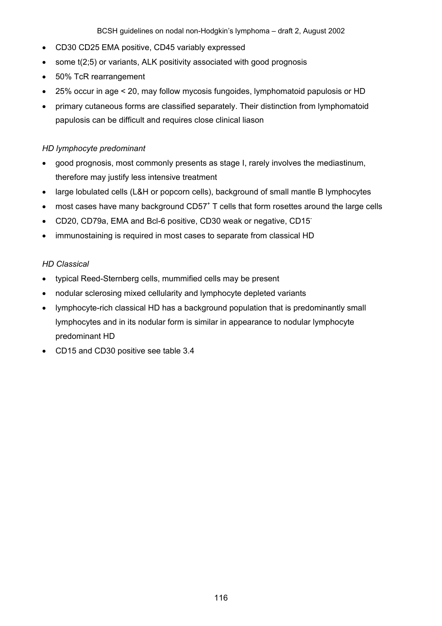- CD30 CD25 EMA positive, CD45 variably expressed
- some t(2;5) or variants, ALK positivity associated with good prognosis
- 50% TcR rearrangement
- 25% occur in age < 20, may follow mycosis fungoides, lymphomatoid papulosis or HD
- primary cutaneous forms are classified separately. Their distinction from lymphomatoid papulosis can be difficult and requires close clinical liason

# *HD lymphocyte predominant*

- good prognosis, most commonly presents as stage I, rarely involves the mediastinum, therefore may justify less intensive treatment
- large lobulated cells (L&H or popcorn cells), background of small mantle B lymphocytes
- $\bullet$  most cases have many background CD57<sup>+</sup> T cells that form rosettes around the large cells
- CD20, CD79a, EMA and Bcl-6 positive, CD30 weak or negative, CD15<sup>-</sup>
- immunostaining is required in most cases to separate from classical HD

### *HD Classical*

- typical Reed-Sternberg cells, mummified cells may be present
- nodular sclerosing mixed cellularity and lymphocyte depleted variants
- lymphocyte-rich classical HD has a background population that is predominantly small lymphocytes and in its nodular form is similar in appearance to nodular lymphocyte predominant HD
- CD15 and CD30 positive see table 3.4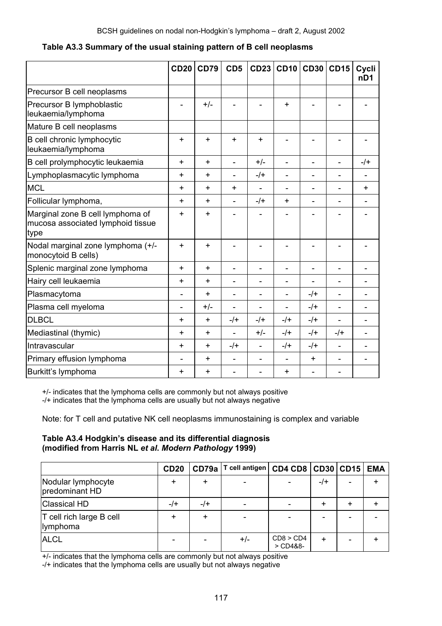|                                                                               | <b>CD20</b> | <b>CD79</b> | CD <sub>5</sub>              | <b>CD23</b>              | CD10                         | <b>CD30 CD15</b> |                          | Cycli<br>nD <sub>1</sub> |
|-------------------------------------------------------------------------------|-------------|-------------|------------------------------|--------------------------|------------------------------|------------------|--------------------------|--------------------------|
| Precursor B cell neoplasms                                                    |             |             |                              |                          |                              |                  |                          |                          |
| Precursor B lymphoblastic<br>leukaemia/lymphoma                               |             | $+/-$       |                              |                          | $\ddot{}$                    |                  |                          |                          |
| Mature B cell neoplasms                                                       |             |             |                              |                          |                              |                  |                          |                          |
| B cell chronic lymphocytic<br>leukaemia/lymphoma                              | $\ddot{}$   | $\ddot{}$   | $\ddot{}$                    | $\ddot{}$                |                              |                  |                          |                          |
| B cell prolymphocytic leukaemia                                               | $\ddot{}$   | $\ddot{}$   | ÷,                           | $+/-$                    | ÷,                           | $\overline{a}$   | $\overline{\phantom{0}}$ | $-$ /+                   |
| Lymphoplasmacytic lymphoma                                                    | +           | +           | $\qquad \qquad \blacksquare$ | $-$ /+                   | $\overline{\phantom{m}}$     |                  | $\overline{\phantom{0}}$ |                          |
| <b>MCL</b>                                                                    | +           | +           | +                            | $\overline{\phantom{0}}$ | $\overline{\phantom{0}}$     |                  | $\overline{a}$           | ÷                        |
| Follicular lymphoma,                                                          | $\ddot{}$   | $\ddot{}$   | $\blacksquare$               | $-$ /+                   | $\ddot{}$                    |                  | $\overline{a}$           |                          |
| Marginal zone B cell lymphoma of<br>mucosa associated lymphoid tissue<br>type | $\ddot{}$   | $\ddot{}$   |                              |                          | L.                           |                  |                          |                          |
| Nodal marginal zone lymphoma (+/-<br>monocytoid B cells)                      | $\ddot{}$   | $\ddot{}$   |                              |                          |                              |                  |                          |                          |
| Splenic marginal zone lymphoma                                                | $+$         | $+$         | L,                           | L,                       | $\blacksquare$               |                  | ÷                        |                          |
| Hairy cell leukaemia                                                          | $\ddot{}$   | +           |                              | -                        | $\overline{\phantom{a}}$     |                  |                          |                          |
| Plasmacytoma                                                                  |             | $\ddot{}$   |                              | -                        | $\qquad \qquad \blacksquare$ | $-$ /+           |                          |                          |
| Plasma cell myeloma                                                           |             | $+/-$       |                              | $\overline{a}$           | $\blacksquare$               | $-$ /+           |                          |                          |
| <b>DLBCL</b>                                                                  | $\ddot{}$   | $\ddot{}$   | $-$ /+                       | $-$ /+                   | $-$ /+                       | $-$ /+           |                          |                          |
| Mediastinal (thymic)                                                          | $\ddot{}$   | $\ddot{}$   |                              | $+/-$                    | $-$ /+                       | $-$ /+           | $-$ /+                   |                          |
| Intravascular                                                                 | $\ddot{}$   | $\ddot{}$   | $-$ /+                       | ÷,                       | $-$ /+                       | $-$ /+           |                          |                          |
| Primary effusion lymphoma                                                     |             | $\ddot{}$   | $\blacksquare$               | $\overline{a}$           | $\blacksquare$               | $\ddot{}$        |                          |                          |
| Burkitt's lymphoma                                                            | $\ddot{}$   | +           |                              |                          | $\ddot{}$                    |                  |                          |                          |

**Table A3.3 Summary of the usual staining pattern of B cell neoplasms** 

+/- indicates that the lymphoma cells are commonly but not always positive

-/+ indicates that the lymphoma cells are usually but not always negative

Note: for T cell and putative NK cell neoplasms immunostaining is complex and variable

#### **Table A3.4 Hodgkin's disease and its differential diagnosis (modified from Harris NL** *et al***.** *Modern Pathology* **1999)**

|                                      | <b>CD20</b> | CD79a  | T cell antigen   CD4 CD8   CD30   CD15 |                         |        |                          | <b>EMA</b> |
|--------------------------------------|-------------|--------|----------------------------------------|-------------------------|--------|--------------------------|------------|
| Nodular lymphocyte<br>predominant HD | ٠           |        |                                        |                         | $-$ /+ | $\overline{\phantom{0}}$ |            |
| <b>Classical HD</b>                  | $-$ /+      | $-$ /+ |                                        |                         |        |                          |            |
| T cell rich large B cell<br>lymphoma | +           |        |                                        |                         |        |                          |            |
| <b>ALCL</b>                          |             |        | $+/-$                                  | CD8 > CD4<br>$>$ CD4&8- | +      | $\overline{ }$           |            |

+/- indicates that the lymphoma cells are commonly but not always positive

-/+ indicates that the lymphoma cells are usually but not always negative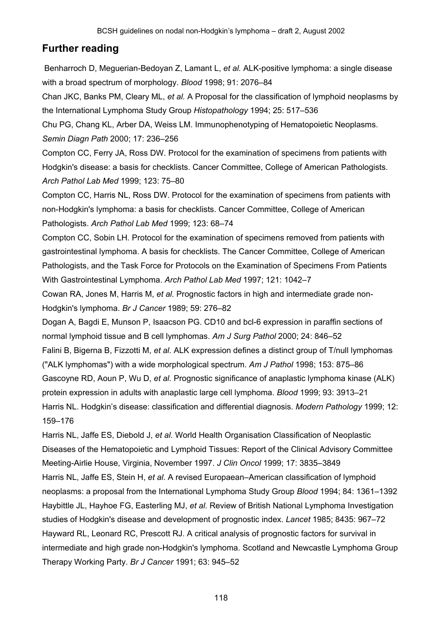# **Further reading**

 Benharroch D, Meguerian-Bedoyan Z, Lamant L, *et al.* ALK-positive lymphoma: a single disease with a broad spectrum of morphology. *Blood* 1998; 91: 2076–84

Chan JKC, Banks PM, Cleary ML, *et al.* A Proposal for the classification of lymphoid neoplasms by the International Lymphoma Study Group *Histopathology* 1994; 25: 517–536

Chu PG, Chang KL, Arber DA, Weiss LM. Immunophenotyping of Hematopoietic Neoplasms. *Semin Diagn Path* 2000; 17: 236–256

Compton CC, Ferry JA, Ross DW. Protocol for the examination of specimens from patients with Hodgkin's disease: a basis for checklists. Cancer Committee, College of American Pathologists. *Arch Pathol Lab Med* 1999; 123: 75–80

Compton CC, Harris NL, Ross DW. Protocol for the examination of specimens from patients with non-Hodgkin's lymphoma: a basis for checklists. Cancer Committee, College of American Pathologists. *Arch Pathol Lab Med* 1999; 123: 68–74

Compton CC, Sobin LH*.* Protocol for the examination of specimens removed from patients with gastrointestinal lymphoma. A basis for checklists. The Cancer Committee, College of American Pathologists, and the Task Force for Protocols on the Examination of Specimens From Patients With Gastrointestinal Lymphoma. *Arch Pathol Lab Med* 1997; 121: 1042–7

Cowan RA, Jones M, Harris M, *et al.* Prognostic factors in high and intermediate grade non-Hodgkin's lymphoma. *Br J Cancer* 1989; 59: 276–82

Dogan A, Bagdi E, Munson P, Isaacson PG. CD10 and bcl-6 expression in paraffin sections of normal lymphoid tissue and B cell lymphomas. *Am J Surg Pathol* 2000; 24: 846–52 Falini B, Bigerna B, Fizzotti M, *et al.* ALK expression defines a distinct group of T/null lymphomas ("ALK lymphomas") with a wide morphological spectrum. *Am J Pathol* 1998; 153: 875–86 Gascoyne RD, Aoun P, Wu D, *et al.* Prognostic significance of anaplastic lymphoma kinase (ALK) protein expression in adults with anaplastic large cell lymphoma. *Blood* 1999; 93: 3913–21 Harris NL. Hodgkin's disease: classification and differential diagnosis. *Modern Pathology* 1999; 12: 159–176

Harris NL, Jaffe ES, Diebold J, *et al.* World Health Organisation Classification of Neoplastic Diseases of the Hematopoietic and Lymphoid Tissues: Report of the Clinical Advisory Committee Meeting-Airlie House, Virginia, November 1997. *J Clin Oncol* 1999; 17: 3835–3849 Harris NL, Jaffe ES, Stein H, *et al.* A revised Europaean–American classification of lymphoid neoplasms: a proposal from the International Lymphoma Study Group *Blood* 1994; 84: 1361–1392 Haybittle JL, Hayhoe FG, Easterling MJ, *et al.* Review of British National Lymphoma Investigation studies of Hodgkin's disease and development of prognostic index. *Lancet* 1985; 8435: 967–72 Hayward RL, Leonard RC, Prescott RJ. A critical analysis of prognostic factors for survival in intermediate and high grade non-Hodgkin's lymphoma. Scotland and Newcastle Lymphoma Group Therapy Working Party. *Br J Cancer* 1991; 63: 945–52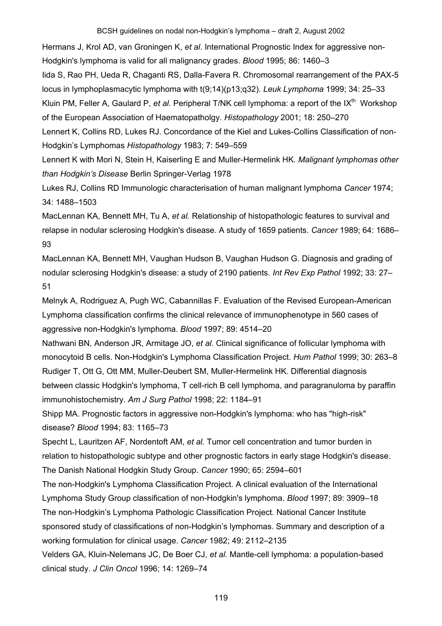Hermans J, Krol AD, van Groningen K, *et al*. International Prognostic Index for aggressive non-Hodgkin's lymphoma is valid for all malignancy grades. *Blood* 1995; 86: 1460–3 Iida S, Rao PH, Ueda R, Chaganti RS, Dalla-Favera R. Chromosomal rearrangement of the PAX-5 locus in lymphoplasmacytic lymphoma with t(9;14)(p13;q32). *Leuk Lymphoma* 1999; 34: 25–33 Kluin PM, Feller A, Gaulard P, *et al.* Peripheral T/NK cell lymphoma: a report of the IX<sup>th</sup> Workshop of the European Association of Haematopatholgy. *Histopathology* 2001; 18: 250–270 Lennert K, Collins RD, Lukes RJ. Concordance of the Kiel and Lukes-Collins Classification of non-

Hodgkin's Lymphomas *Histopathology* 1983; 7: 549–559 Lennert K with Mori N, Stein H, Kaiserling E and Muller-Hermelink HK*. Malignant lymphomas other* 

*than Hodgkin's Disease* Berlin Springer-Verlag 1978

Lukes RJ, Collins RD Immunologic characterisation of human malignant lymphoma *Cancer* 1974; 34: 1488–1503

MacLennan KA, Bennett MH, Tu A, *et al.* Relationship of histopathologic features to survival and relapse in nodular sclerosing Hodgkin's disease. A study of 1659 patients. *Cancer* 1989; 64: 1686– 93

MacLennan KA, Bennett MH, Vaughan Hudson B, Vaughan Hudson G. Diagnosis and grading of nodular sclerosing Hodgkin's disease: a study of 2190 patients. *Int Rev Exp Pathol* 1992; 33: 27– 51

Melnyk A, Rodriguez A, Pugh WC, Cabannillas F. Evaluation of the Revised European-American Lymphoma classification confirms the clinical relevance of immunophenotype in 560 cases of aggressive non-Hodgkin's lymphoma. *Blood* 1997; 89: 4514–20

Nathwani BN, Anderson JR, Armitage JO, *et al*. Clinical significance of follicular lymphoma with monocytoid B cells. Non-Hodgkin's Lymphoma Classification Project. *Hum Pathol* 1999; 30: 263–8 Rudiger T, Ott G, Ott MM, Muller-Deubert SM, Muller-Hermelink HK. Differential diagnosis between classic Hodgkin's lymphoma, T cell-rich B cell lymphoma, and paragranuloma by paraffin immunohistochemistry. *Am J Surg Pathol* 1998; 22: 1184–91

Shipp MA. Prognostic factors in aggressive non-Hodgkin's lymphoma: who has "high-risk" disease? *Blood* 1994; 83: 1165–73

Specht L, Lauritzen AF, Nordentoft AM, *et al.* Tumor cell concentration and tumor burden in relation to histopathologic subtype and other prognostic factors in early stage Hodgkin's disease. The Danish National Hodgkin Study Group. *Cancer* 1990; 65: 2594–601

The non-Hodgkin's Lymphoma Classification Project. A clinical evaluation of the International Lymphoma Study Group classification of non-Hodgkin's lymphoma. *Blood* 1997; 89: 3909–18 The non-Hodgkin's Lymphoma Pathologic Classification Project. National Cancer Institute sponsored study of classifications of non-Hodgkin's lymphomas. Summary and description of a working formulation for clinical usage. *Cancer* 1982; 49: 2112–2135

Velders GA, Kluin-Nelemans JC, De Boer CJ, *et al.* Mantle-cell lymphoma: a population-based clinical study. *J Clin Oncol* 1996; 14: 1269–74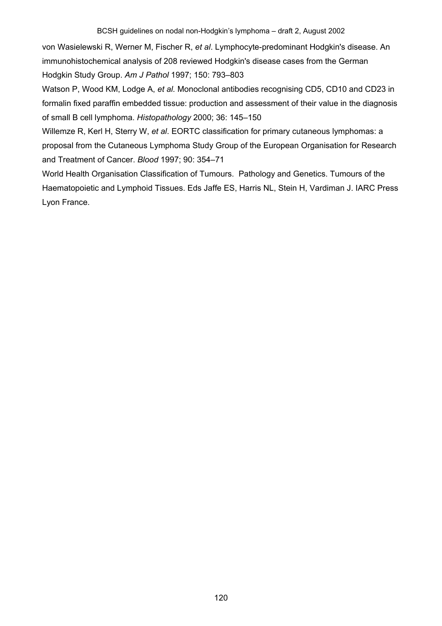von Wasielewski R, Werner M, Fischer R, *et al*. Lymphocyte-predominant Hodgkin's disease. An immunohistochemical analysis of 208 reviewed Hodgkin's disease cases from the German Hodgkin Study Group. *Am J Pathol* 1997; 150: 793–803

Watson P, Wood KM, Lodge A, *et al.* Monoclonal antibodies recognising CD5, CD10 and CD23 in formalin fixed paraffin embedded tissue: production and assessment of their value in the diagnosis of small B cell lymphoma. *Histopathology* 2000; 36: 145–150

Willemze R, Kerl H, Sterry W, *et al*. EORTC classification for primary cutaneous lymphomas: a proposal from the Cutaneous Lymphoma Study Group of the European Organisation for Research and Treatment of Cancer. *Blood* 1997; 90: 354–71

World Health Organisation Classification of Tumours. Pathology and Genetics. Tumours of the Haematopoietic and Lymphoid Tissues. Eds Jaffe ES, Harris NL, Stein H, Vardiman J. IARC Press Lyon France.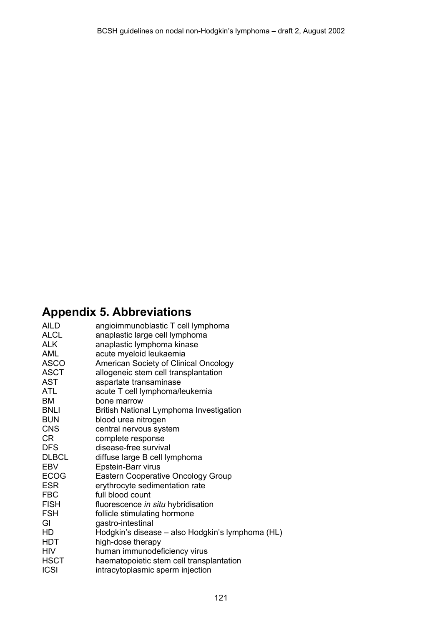# **Appendix 5. Abbreviations**

| <b>AILD</b>  | angioimmunoblastic T cell lymphoma               |
|--------------|--------------------------------------------------|
| <b>ALCL</b>  | anaplastic large cell lymphoma                   |
| <b>ALK</b>   | anaplastic lymphoma kinase                       |
| AML          | acute myeloid leukaemia                          |
| ASCO         | American Society of Clinical Oncology            |
| <b>ASCT</b>  | allogeneic stem cell transplantation             |
| <b>AST</b>   | aspartate transaminase                           |
| <b>ATL</b>   | acute T cell lymphoma/leukemia                   |
| BM           | bone marrow                                      |
| <b>BNLI</b>  | <b>British National Lymphoma Investigation</b>   |
| <b>BUN</b>   | blood urea nitrogen                              |
| <b>CNS</b>   | central nervous system                           |
| CR           | complete response                                |
| DFS          | disease-free survival                            |
| <b>DLBCL</b> | diffuse large B cell lymphoma                    |
| <b>EBV</b>   | Epstein-Barr virus                               |
| <b>ECOG</b>  | <b>Eastern Cooperative Oncology Group</b>        |
| <b>ESR</b>   | erythrocyte sedimentation rate                   |
| <b>FBC</b>   | full blood count                                 |
| <b>FISH</b>  | fluorescence in situ hybridisation               |
| <b>FSH</b>   | follicle stimulating hormone                     |
| GI           | gastro-intestinal                                |
| HD           | Hodgkin's disease - also Hodgkin's lymphoma (HL) |
| <b>HDT</b>   | high-dose therapy                                |
| <b>HIV</b>   | human immunodeficiency virus                     |
| <b>HSCT</b>  | haematopoietic stem cell transplantation         |
| <b>ICSI</b>  | intracytoplasmic sperm injection                 |
|              |                                                  |